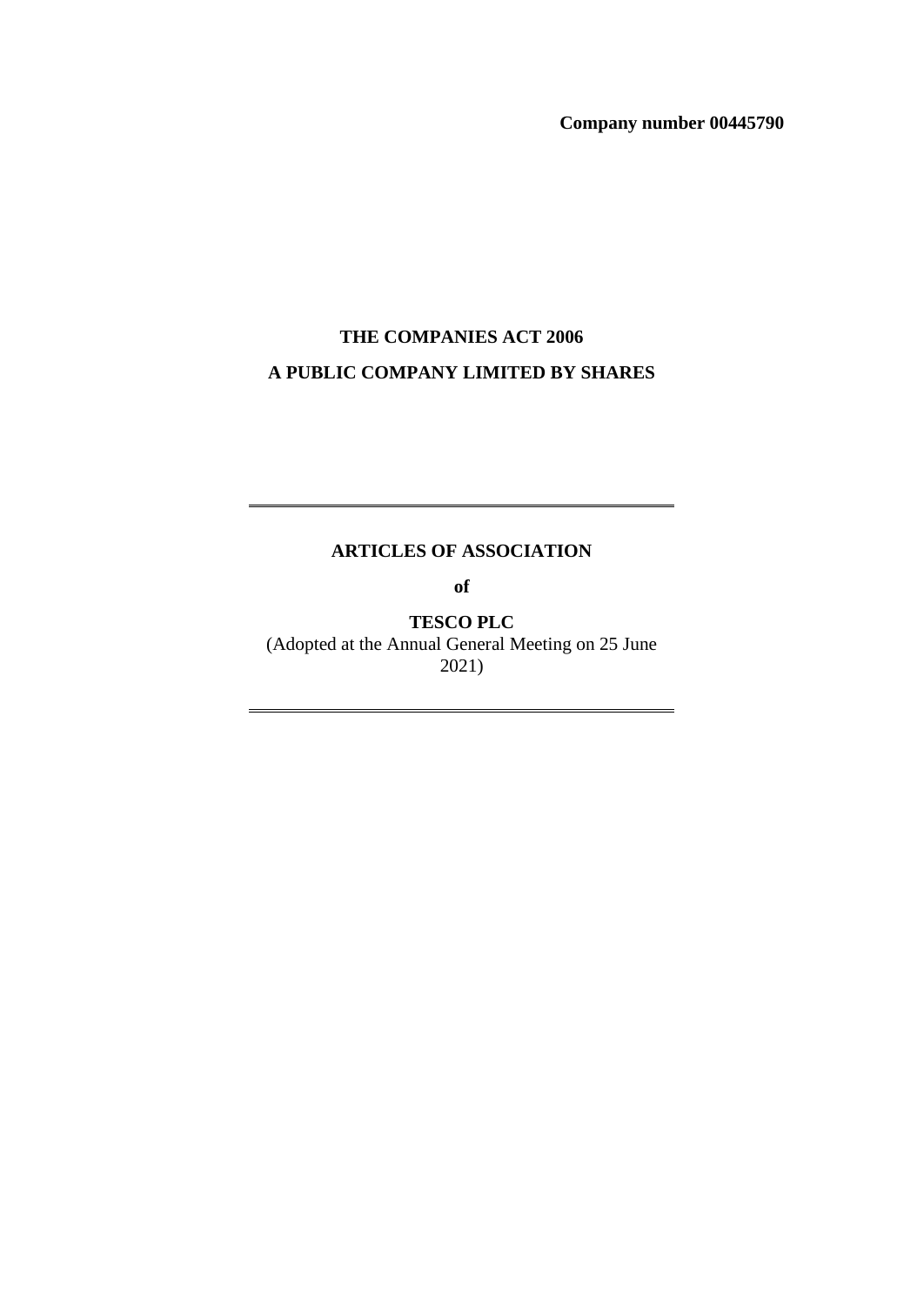**Company number 00445790**

## **THE COMPANIES ACT 2006 A PUBLIC COMPANY LIMITED BY SHARES**

## **ARTICLES OF ASSOCIATION**

**of**

**TESCO PLC** (Adopted at the Annual General Meeting on 25 June 2021)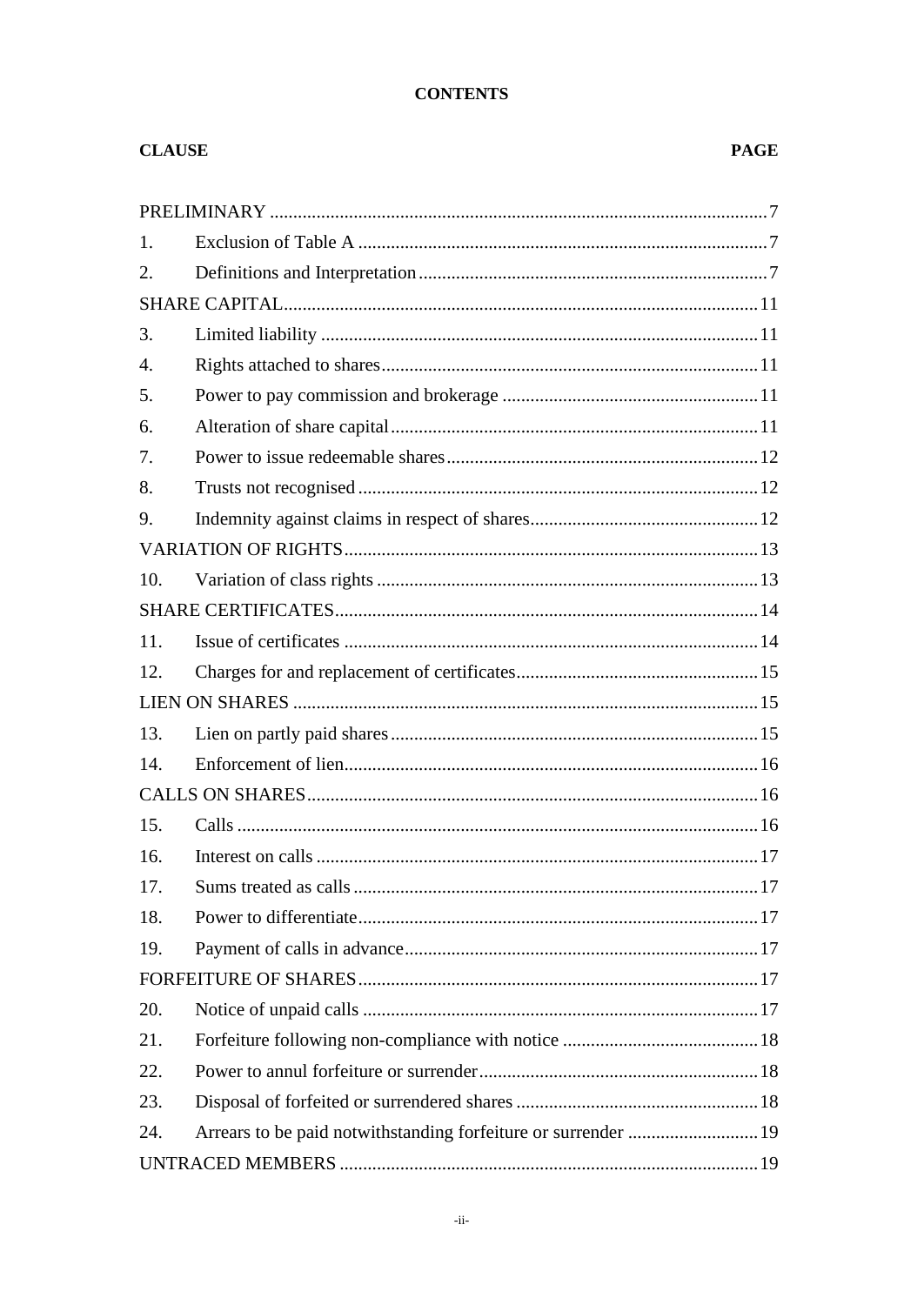## **CONTENTS**

## **CLAUSE**

## **PAGE**

| 1.  |  |
|-----|--|
| 2.  |  |
|     |  |
| 3.  |  |
| 4.  |  |
| 5.  |  |
| 6.  |  |
| 7.  |  |
| 8.  |  |
| 9.  |  |
|     |  |
| 10. |  |
|     |  |
| 11. |  |
| 12. |  |
|     |  |
| 13. |  |
| 14. |  |
|     |  |
| 15. |  |
| 16. |  |
| 17. |  |
| 18. |  |
| 19. |  |
|     |  |
| 20. |  |
| 21. |  |
| 22. |  |
| 23. |  |
| 24. |  |
|     |  |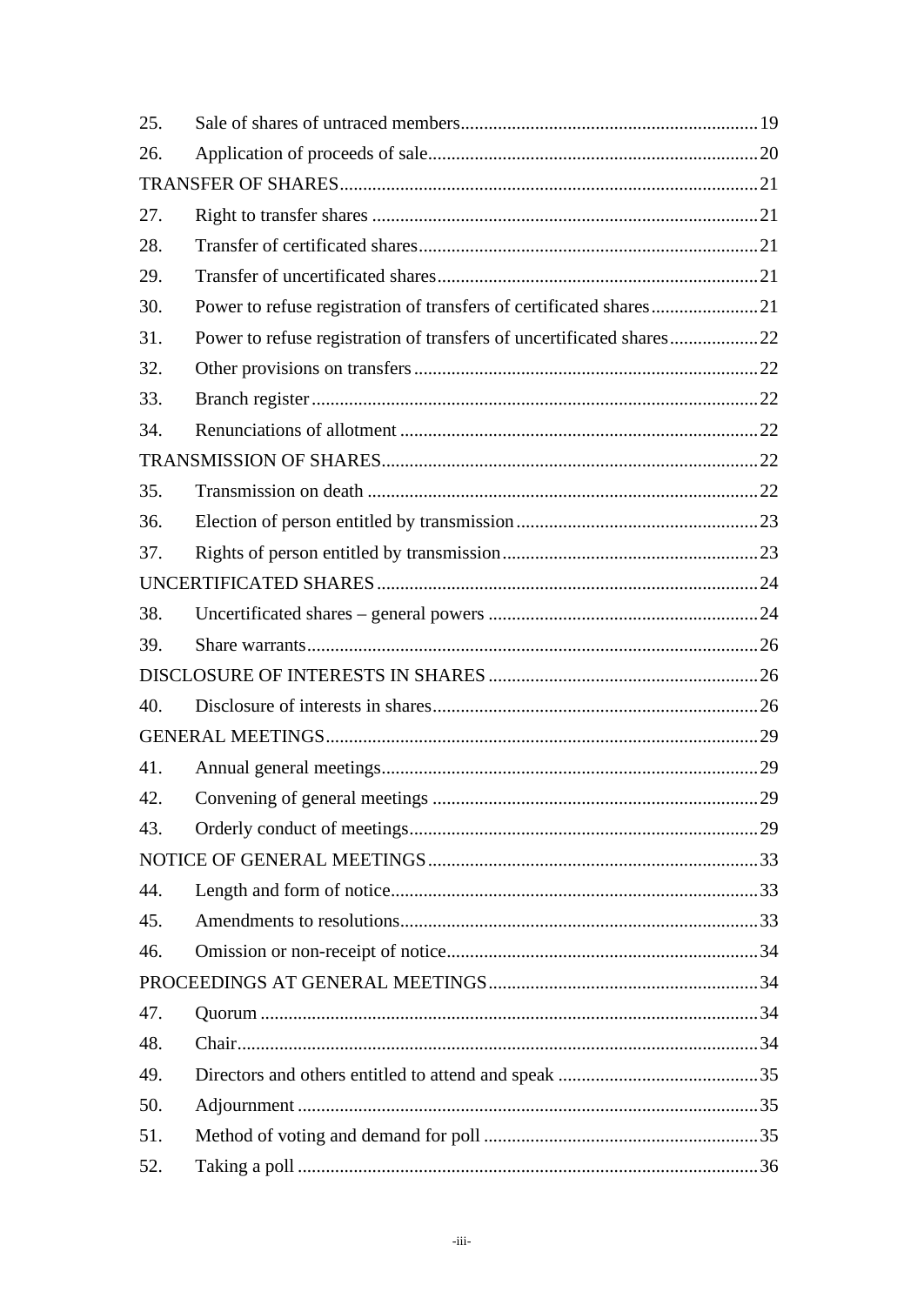| 25. |                                                                      |  |
|-----|----------------------------------------------------------------------|--|
| 26. |                                                                      |  |
|     |                                                                      |  |
| 27. |                                                                      |  |
| 28. |                                                                      |  |
| 29. |                                                                      |  |
| 30. |                                                                      |  |
| 31. | Power to refuse registration of transfers of uncertificated shares22 |  |
| 32. |                                                                      |  |
| 33. |                                                                      |  |
| 34. |                                                                      |  |
|     |                                                                      |  |
| 35. |                                                                      |  |
| 36. |                                                                      |  |
| 37. |                                                                      |  |
|     |                                                                      |  |
| 38. |                                                                      |  |
| 39. |                                                                      |  |
|     |                                                                      |  |
| 40. |                                                                      |  |
|     |                                                                      |  |
| 41. |                                                                      |  |
| 42. |                                                                      |  |
| 43. |                                                                      |  |
|     |                                                                      |  |
| 44. |                                                                      |  |
| 45. |                                                                      |  |
| 46. |                                                                      |  |
|     |                                                                      |  |
| 47. |                                                                      |  |
| 48. |                                                                      |  |
| 49. |                                                                      |  |
| 50. |                                                                      |  |
| 51. |                                                                      |  |
| 52. |                                                                      |  |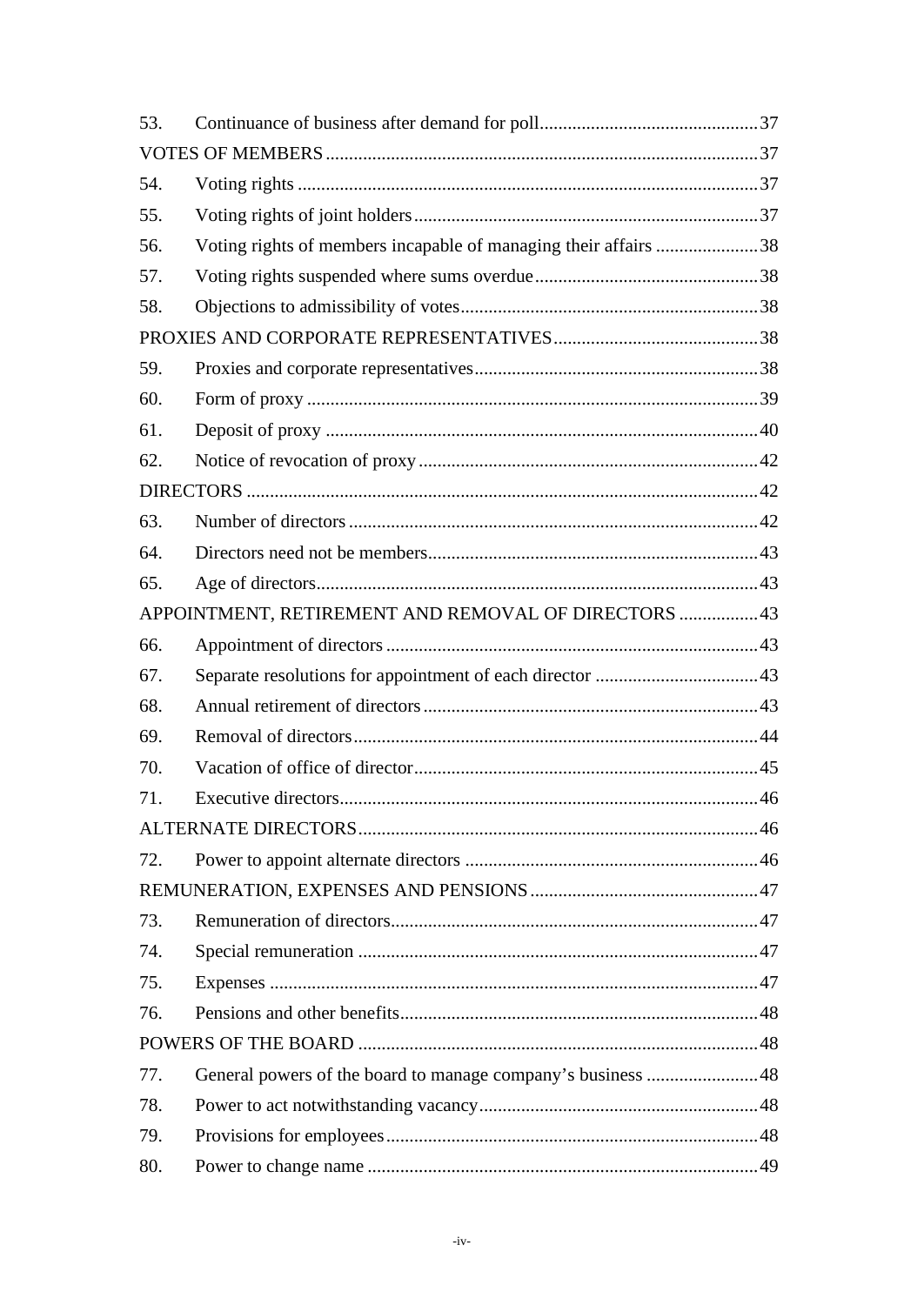| 53. |                                                                 |  |  |  |
|-----|-----------------------------------------------------------------|--|--|--|
|     |                                                                 |  |  |  |
| 54. |                                                                 |  |  |  |
| 55. |                                                                 |  |  |  |
| 56. | Voting rights of members incapable of managing their affairs 38 |  |  |  |
| 57. |                                                                 |  |  |  |
| 58. |                                                                 |  |  |  |
|     |                                                                 |  |  |  |
| 59. |                                                                 |  |  |  |
| 60. |                                                                 |  |  |  |
| 61. |                                                                 |  |  |  |
| 62. |                                                                 |  |  |  |
|     |                                                                 |  |  |  |
| 63. |                                                                 |  |  |  |
| 64. |                                                                 |  |  |  |
| 65. |                                                                 |  |  |  |
|     | APPOINTMENT, RETIREMENT AND REMOVAL OF DIRECTORS  43            |  |  |  |
| 66. |                                                                 |  |  |  |
| 67. |                                                                 |  |  |  |
| 68. |                                                                 |  |  |  |
| 69. |                                                                 |  |  |  |
| 70. |                                                                 |  |  |  |
| 71. |                                                                 |  |  |  |
|     |                                                                 |  |  |  |
| 72. |                                                                 |  |  |  |
|     |                                                                 |  |  |  |
| 73. |                                                                 |  |  |  |
| 74. |                                                                 |  |  |  |
| 75. |                                                                 |  |  |  |
| 76. |                                                                 |  |  |  |
|     |                                                                 |  |  |  |
| 77. |                                                                 |  |  |  |
| 78. |                                                                 |  |  |  |
| 79. |                                                                 |  |  |  |
| 80. |                                                                 |  |  |  |
|     |                                                                 |  |  |  |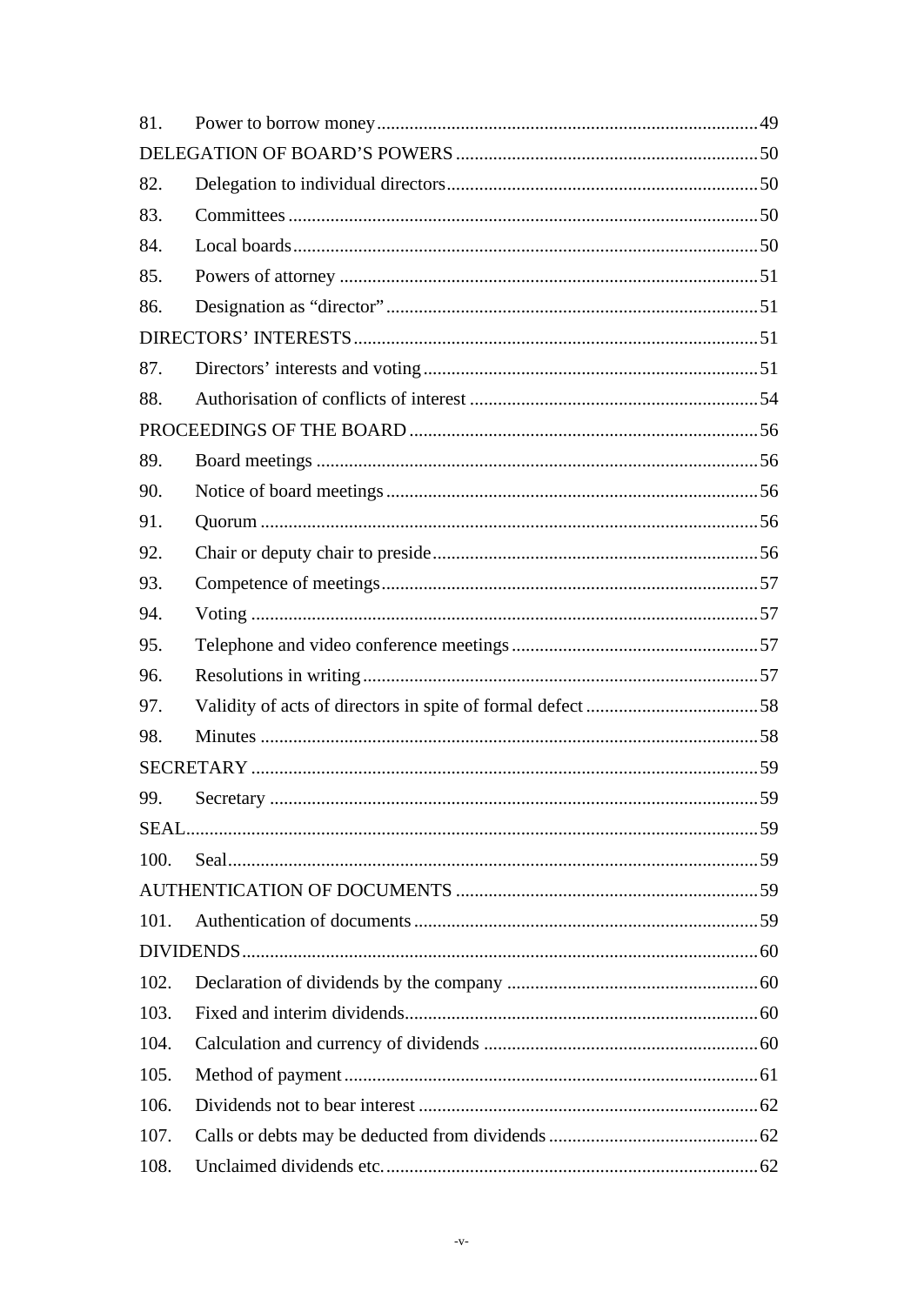| 81.  |  |
|------|--|
|      |  |
| 82.  |  |
| 83.  |  |
| 84.  |  |
| 85.  |  |
| 86.  |  |
|      |  |
| 87.  |  |
| 88.  |  |
|      |  |
| 89.  |  |
| 90.  |  |
| 91.  |  |
| 92.  |  |
| 93.  |  |
| 94.  |  |
| 95.  |  |
| 96.  |  |
| 97.  |  |
| 98.  |  |
|      |  |
| 99.  |  |
|      |  |
| 100. |  |
|      |  |
| 101. |  |
|      |  |
| 102. |  |
| 103. |  |
| 104. |  |
| 105. |  |
| 106. |  |
| 107. |  |
| 108. |  |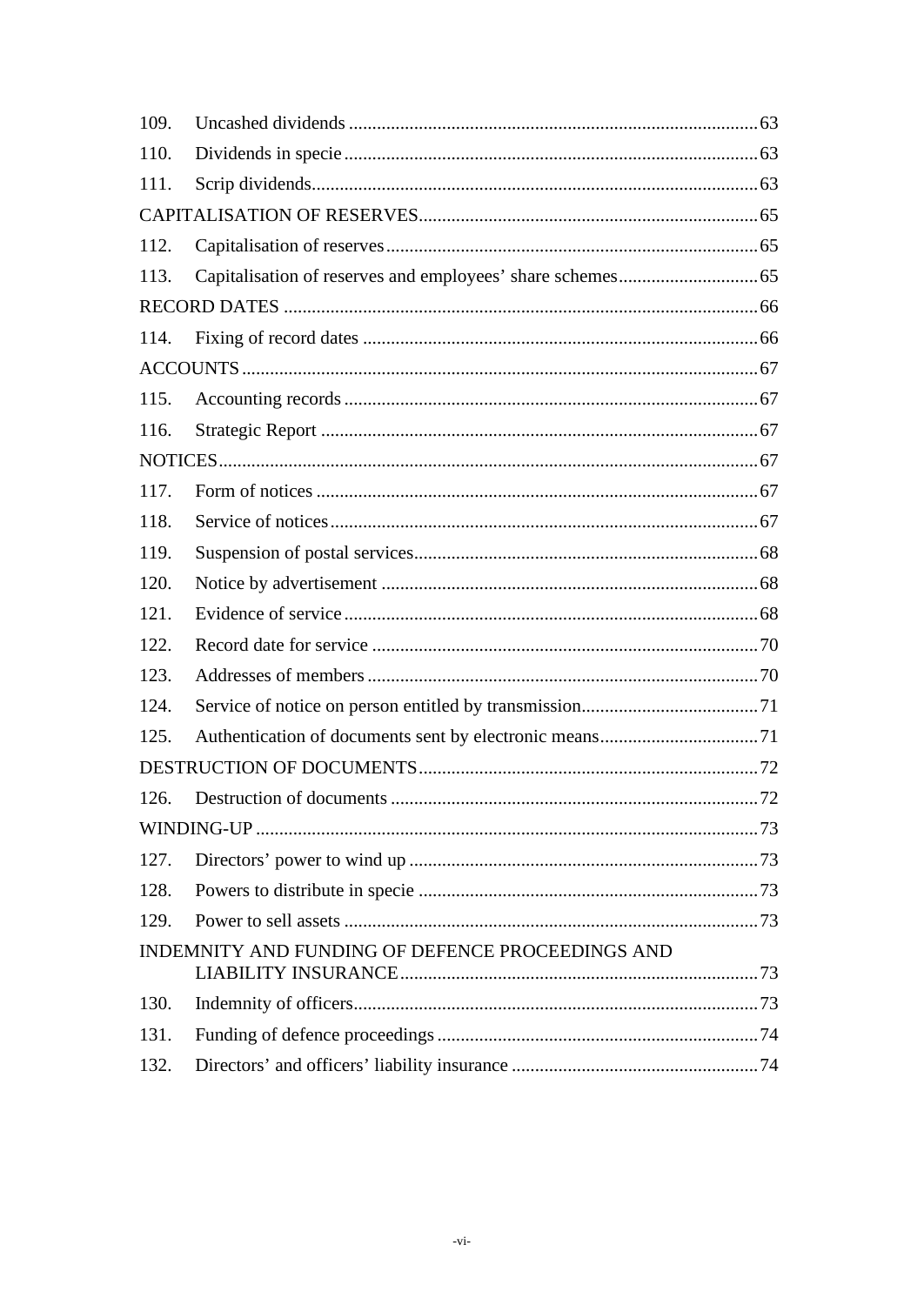| 109. |                                                  |    |
|------|--------------------------------------------------|----|
| 110. |                                                  |    |
| 111. |                                                  |    |
|      |                                                  |    |
| 112. |                                                  |    |
| 113. |                                                  |    |
|      |                                                  |    |
| 114. |                                                  |    |
|      |                                                  |    |
| 115. |                                                  |    |
| 116. |                                                  |    |
|      |                                                  |    |
| 117. |                                                  |    |
| 118. |                                                  |    |
| 119. |                                                  |    |
| 120. |                                                  |    |
| 121. |                                                  |    |
| 122. |                                                  |    |
| 123. |                                                  |    |
| 124. |                                                  |    |
| 125. |                                                  |    |
|      |                                                  |    |
| 126. | Destruction of documents.                        | 72 |
|      |                                                  |    |
| 127. |                                                  |    |
| 128. |                                                  |    |
| 129. |                                                  |    |
|      | INDEMNITY AND FUNDING OF DEFENCE PROCEEDINGS AND |    |
|      |                                                  |    |
| 130. |                                                  |    |
| 131. |                                                  |    |
| 132. |                                                  |    |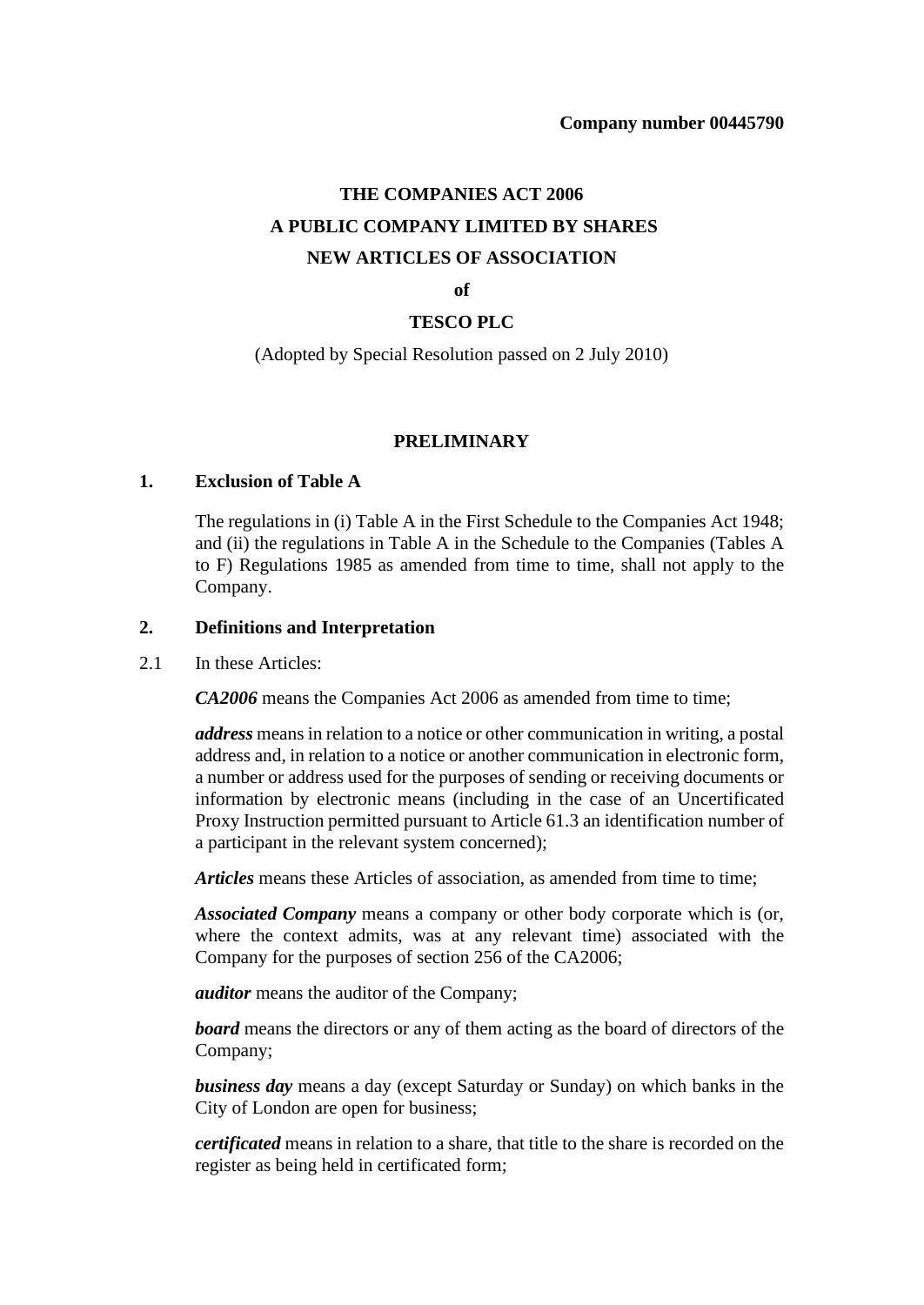# **THE COMPANIES ACT 2006 A PUBLIC COMPANY LIMITED BY SHARES NEW ARTICLES OF ASSOCIATION**

#### **of**

#### **TESCO PLC**

(Adopted by Special Resolution passed on 2 July 2010)

#### **PRELIMINARY**

#### <span id="page-6-1"></span><span id="page-6-0"></span>**1. Exclusion of Table A**

The regulations in (i) Table A in the First Schedule to the Companies Act 1948; and (ii) the regulations in Table A in the Schedule to the Companies (Tables A to F) Regulations 1985 as amended from time to time, shall not apply to the Company.

#### <span id="page-6-2"></span>**2. Definitions and Interpretation**

#### 2.1 In these Articles:

*CA2006* means the Companies Act 2006 as amended from time to time;

*address* means in relation to a notice or other communication in writing, a postal address and, in relation to a notice or another communication in electronic form, a number or address used for the purposes of sending or receiving documents or information by electronic means (including in the case of an Uncertificated Proxy Instruction permitted pursuant to Article [61.3](#page-39-1) an identification number of a participant in the relevant system concerned);

*Articles* means these Articles of association, as amended from time to time;

*Associated Company* means a company or other body corporate which is (or, where the context admits, was at any relevant time) associated with the Company for the purposes of section 256 of the CA2006;

*auditor* means the auditor of the Company;

*board* means the directors or any of them acting as the board of directors of the Company;

*business day* means a day (except Saturday or Sunday) on which banks in the City of London are open for business;

*certificated* means in relation to a share, that title to the share is recorded on the register as being held in certificated form;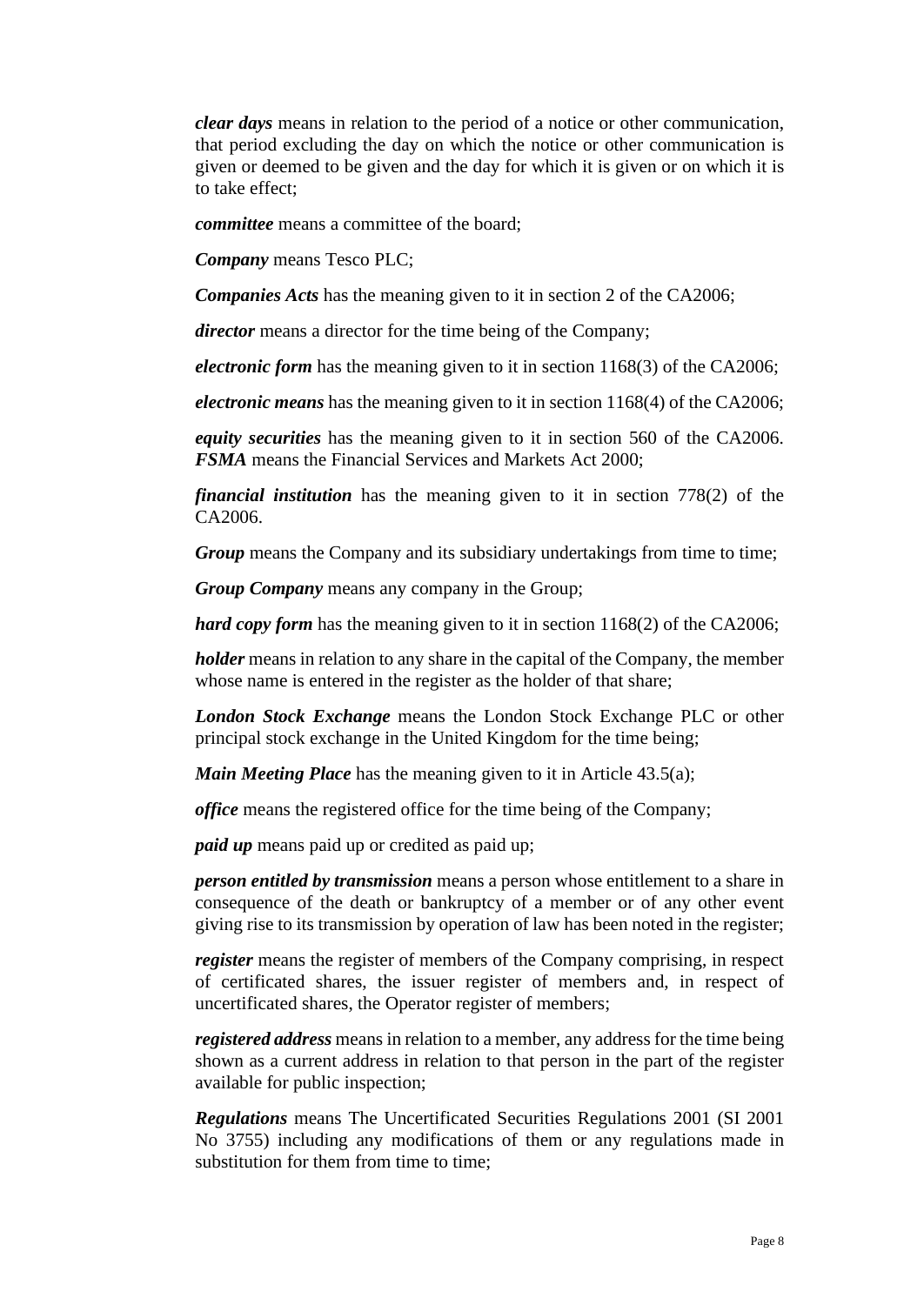*clear days* means in relation to the period of a notice or other communication, that period excluding the day on which the notice or other communication is given or deemed to be given and the day for which it is given or on which it is to take effect;

*committee* means a committee of the board;

*Company* means Tesco PLC;

*Companies Acts* has the meaning given to it in section 2 of the CA2006;

*director* means a director for the time being of the Company;

*electronic form* has the meaning given to it in section 1168(3) of the CA2006;

*electronic means* has the meaning given to it in section 1168(4) of the CA2006;

*equity securities* has the meaning given to it in section 560 of the CA2006. *FSMA* means the Financial Services and Markets Act 2000;

*financial institution* has the meaning given to it in section 778(2) of the CA2006.

*Group* means the Company and its subsidiary undertakings from time to time;

*Group Company* means any company in the Group;

*hard copy form* has the meaning given to it in section 1168(2) of the CA2006;

*holder* means in relation to any share in the capital of the Company, the member whose name is entered in the register as the holder of that share;

*London Stock Exchange* means the London Stock Exchange PLC or other principal stock exchange in the United Kingdom for the time being;

*Main Meeting Place* has the meaning given to it in Article [43.5\(a\);](#page-29-0)

*office* means the registered office for the time being of the Company;

*paid up* means paid up or credited as paid up;

*person entitled by transmission* means a person whose entitlement to a share in consequence of the death or bankruptcy of a member or of any other event giving rise to its transmission by operation of law has been noted in the register;

*register* means the register of members of the Company comprising, in respect of certificated shares, the issuer register of members and, in respect of uncertificated shares, the Operator register of members;

*registered address* means in relation to a member, any address for the time being shown as a current address in relation to that person in the part of the register available for public inspection;

*Regulations* means The Uncertificated Securities Regulations 2001 (SI 2001 No 3755) including any modifications of them or any regulations made in substitution for them from time to time;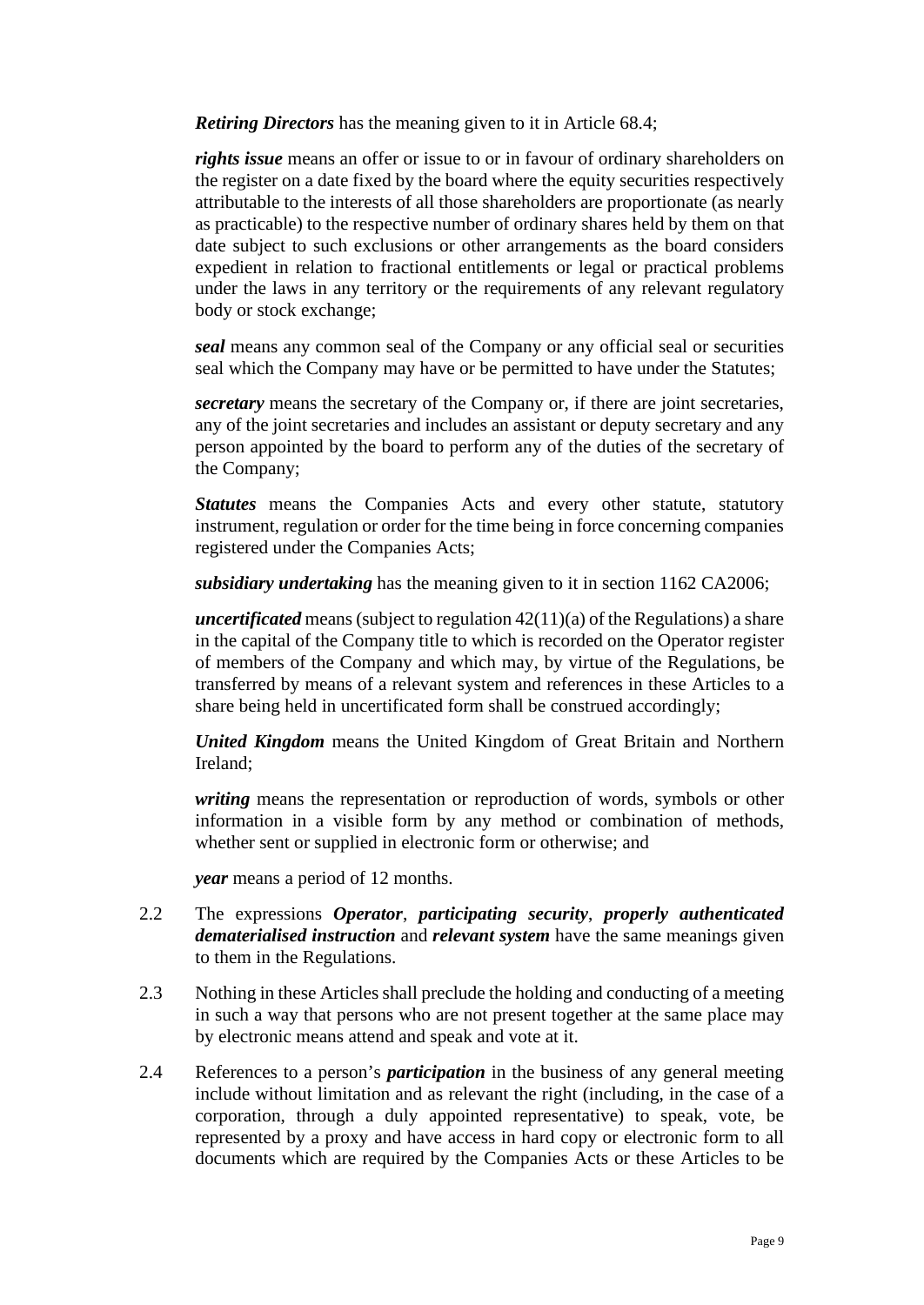*Retiring Directors* has the meaning given to it in Article [68.4;](#page-43-1)

*rights issue* means an offer or issue to or in favour of ordinary shareholders on the register on a date fixed by the board where the equity securities respectively attributable to the interests of all those shareholders are proportionate (as nearly as practicable) to the respective number of ordinary shares held by them on that date subject to such exclusions or other arrangements as the board considers expedient in relation to fractional entitlements or legal or practical problems under the laws in any territory or the requirements of any relevant regulatory body or stock exchange;

*seal* means any common seal of the Company or any official seal or securities seal which the Company may have or be permitted to have under the Statutes;

*secretary* means the secretary of the Company or, if there are joint secretaries, any of the joint secretaries and includes an assistant or deputy secretary and any person appointed by the board to perform any of the duties of the secretary of the Company;

*Statutes* means the Companies Acts and every other statute, statutory instrument, regulation or order for the time being in force concerning companies registered under the Companies Acts;

*subsidiary undertaking* has the meaning given to it in section 1162 CA2006;

*uncertificated* means (subject to regulation 42(11)(a) of the Regulations) a share in the capital of the Company title to which is recorded on the Operator register of members of the Company and which may, by virtue of the Regulations, be transferred by means of a relevant system and references in these Articles to a share being held in uncertificated form shall be construed accordingly;

*United Kingdom* means the United Kingdom of Great Britain and Northern Ireland;

*writing* means the representation or reproduction of words, symbols or other information in a visible form by any method or combination of methods, whether sent or supplied in electronic form or otherwise; and

*year* means a period of 12 months.

- 2.2 The expressions *Operator*, *participating security*, *properly authenticated dematerialised instruction* and *relevant system* have the same meanings given to them in the Regulations.
- 2.3 Nothing in these Articles shall preclude the holding and conducting of a meeting in such a way that persons who are not present together at the same place may by electronic means attend and speak and vote at it.
- 2.4 References to a person's *participation* in the business of any general meeting include without limitation and as relevant the right (including, in the case of a corporation, through a duly appointed representative) to speak, vote, be represented by a proxy and have access in hard copy or electronic form to all documents which are required by the Companies Acts or these Articles to be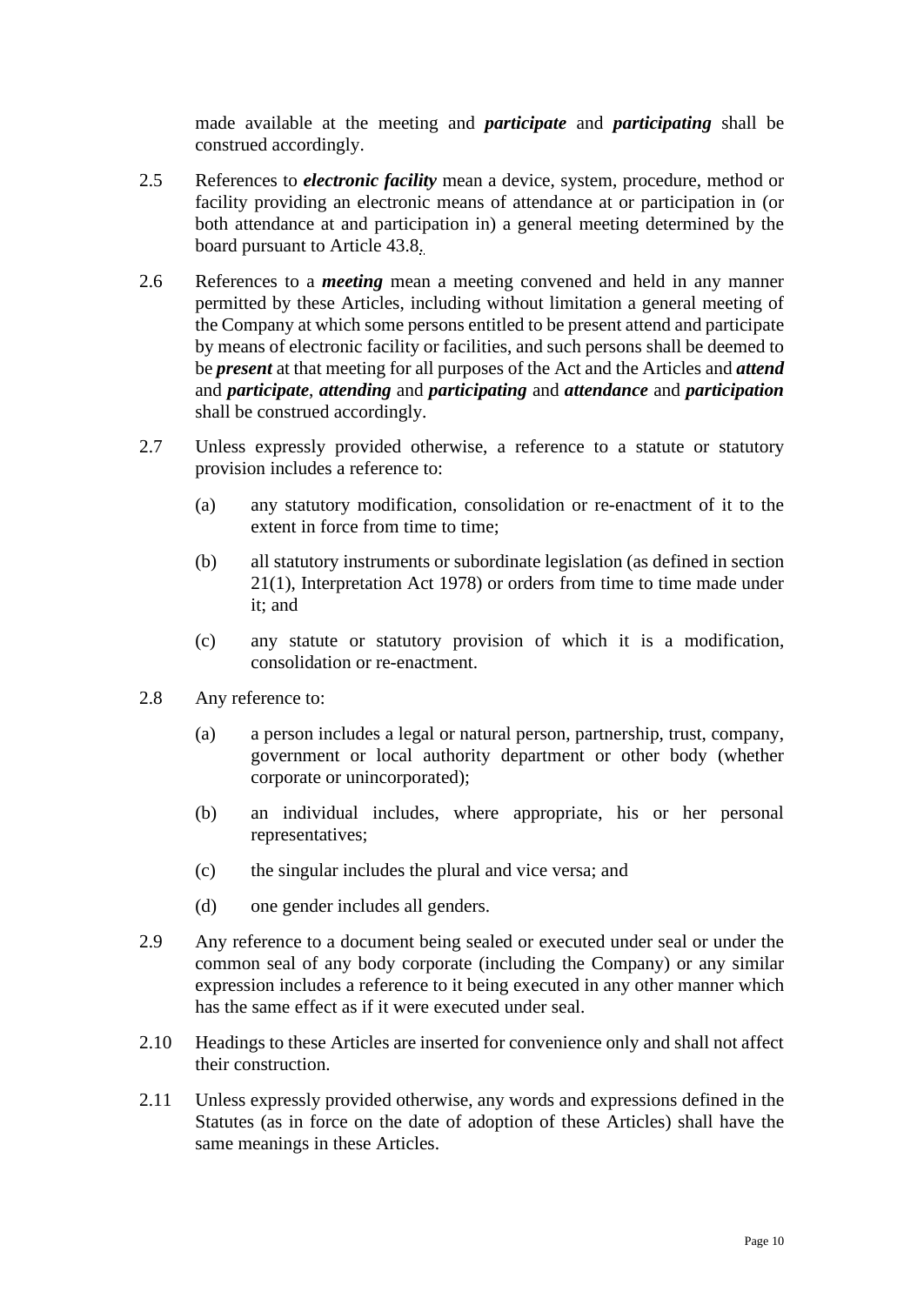made available at the meeting and *participate* and *participating* shall be construed accordingly.

- 2.5 References to *electronic facility* mean a device, system, procedure, method or facility providing an electronic means of attendance at or participation in (or both attendance at and participation in) a general meeting determined by the board pursuant to Article [43.8.](#page-30-0)
- 2.6 References to a *meeting* mean a meeting convened and held in any manner permitted by these Articles, including without limitation a general meeting of the Company at which some persons entitled to be present attend and participate by means of electronic facility or facilities, and such persons shall be deemed to be *present* at that meeting for all purposes of the Act and the Articles and *attend* and *participate*, *attending* and *participating* and *attendance* and *participation* shall be construed accordingly.
- 2.7 Unless expressly provided otherwise, a reference to a statute or statutory provision includes a reference to:
	- (a) any statutory modification, consolidation or re-enactment of it to the extent in force from time to time;
	- (b) all statutory instruments or subordinate legislation (as defined in section 21(1), Interpretation Act 1978) or orders from time to time made under it; and
	- (c) any statute or statutory provision of which it is a modification, consolidation or re-enactment.
- 2.8 Any reference to:
	- (a) a person includes a legal or natural person, partnership, trust, company, government or local authority department or other body (whether corporate or unincorporated);
	- (b) an individual includes, where appropriate, his or her personal representatives;
	- (c) the singular includes the plural and vice versa; and
	- (d) one gender includes all genders.
- 2.9 Any reference to a document being sealed or executed under seal or under the common seal of any body corporate (including the Company) or any similar expression includes a reference to it being executed in any other manner which has the same effect as if it were executed under seal.
- 2.10 Headings to these Articles are inserted for convenience only and shall not affect their construction.
- 2.11 Unless expressly provided otherwise, any words and expressions defined in the Statutes (as in force on the date of adoption of these Articles) shall have the same meanings in these Articles.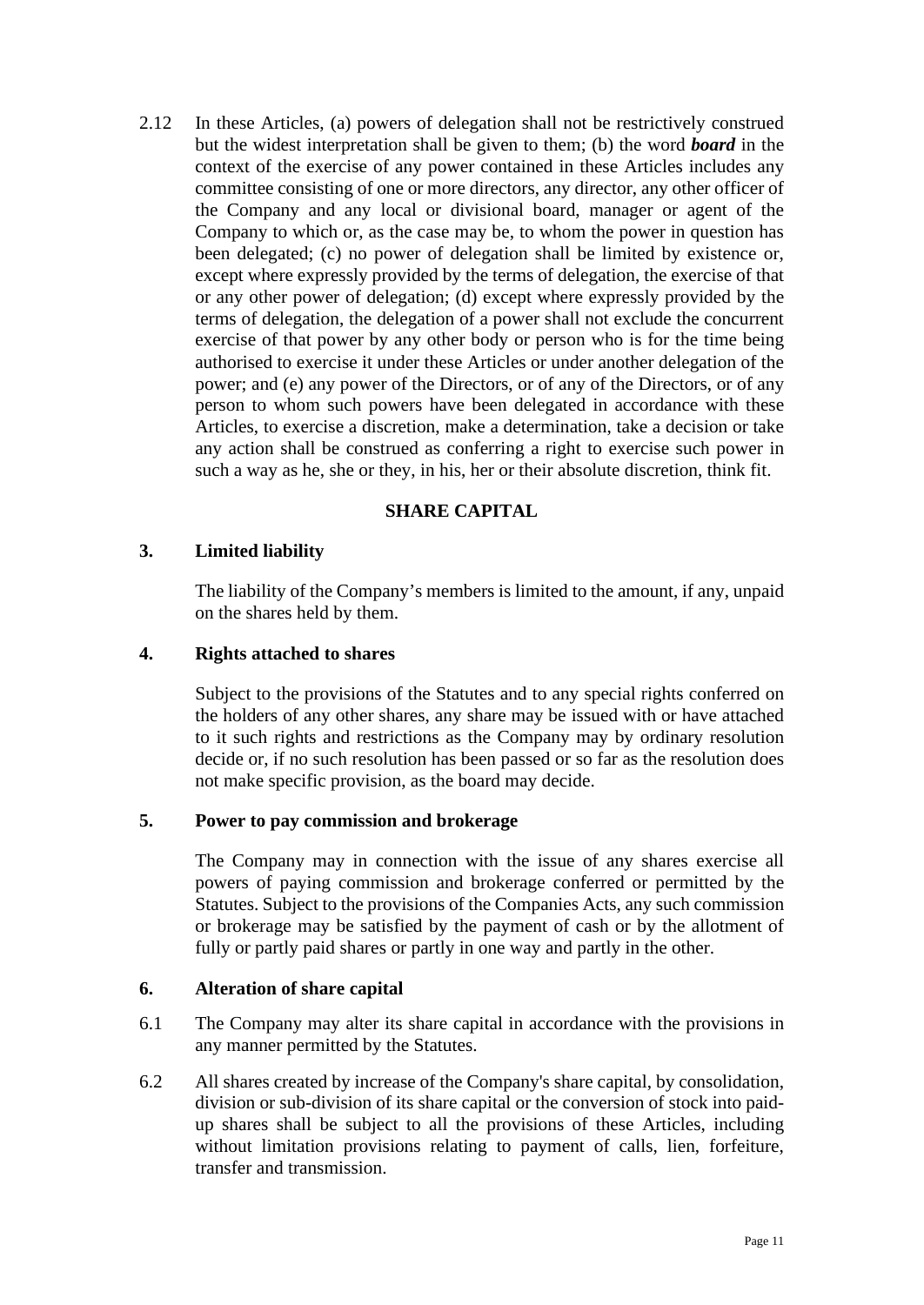2.12 In these Articles, (a) powers of delegation shall not be restrictively construed but the widest interpretation shall be given to them; (b) the word *board* in the context of the exercise of any power contained in these Articles includes any committee consisting of one or more directors, any director, any other officer of the Company and any local or divisional board, manager or agent of the Company to which or, as the case may be, to whom the power in question has been delegated; (c) no power of delegation shall be limited by existence or, except where expressly provided by the terms of delegation, the exercise of that or any other power of delegation; (d) except where expressly provided by the terms of delegation, the delegation of a power shall not exclude the concurrent exercise of that power by any other body or person who is for the time being authorised to exercise it under these Articles or under another delegation of the power; and (e) any power of the Directors, or of any of the Directors, or of any person to whom such powers have been delegated in accordance with these Articles, to exercise a discretion, make a determination, take a decision or take any action shall be construed as conferring a right to exercise such power in such a way as he, she or they, in his, her or their absolute discretion, think fit.

## **SHARE CAPITAL**

## <span id="page-10-1"></span><span id="page-10-0"></span>**3. Limited liability**

The liability of the Company's members is limited to the amount, if any, unpaid on the shares held by them.

### <span id="page-10-2"></span>**4. Rights attached to shares**

Subject to the provisions of the Statutes and to any special rights conferred on the holders of any other shares, any share may be issued with or have attached to it such rights and restrictions as the Company may by ordinary resolution decide or, if no such resolution has been passed or so far as the resolution does not make specific provision, as the board may decide.

#### <span id="page-10-3"></span>**5. Power to pay commission and brokerage**

The Company may in connection with the issue of any shares exercise all powers of paying commission and brokerage conferred or permitted by the Statutes. Subject to the provisions of the Companies Acts, any such commission or brokerage may be satisfied by the payment of cash or by the allotment of fully or partly paid shares or partly in one way and partly in the other.

#### <span id="page-10-4"></span>**6. Alteration of share capital**

- 6.1 The Company may alter its share capital in accordance with the provisions in any manner permitted by the Statutes.
- 6.2 All shares created by increase of the Company's share capital, by consolidation, division or sub-division of its share capital or the conversion of stock into paidup shares shall be subject to all the provisions of these Articles, including without limitation provisions relating to payment of calls, lien, forfeiture, transfer and transmission.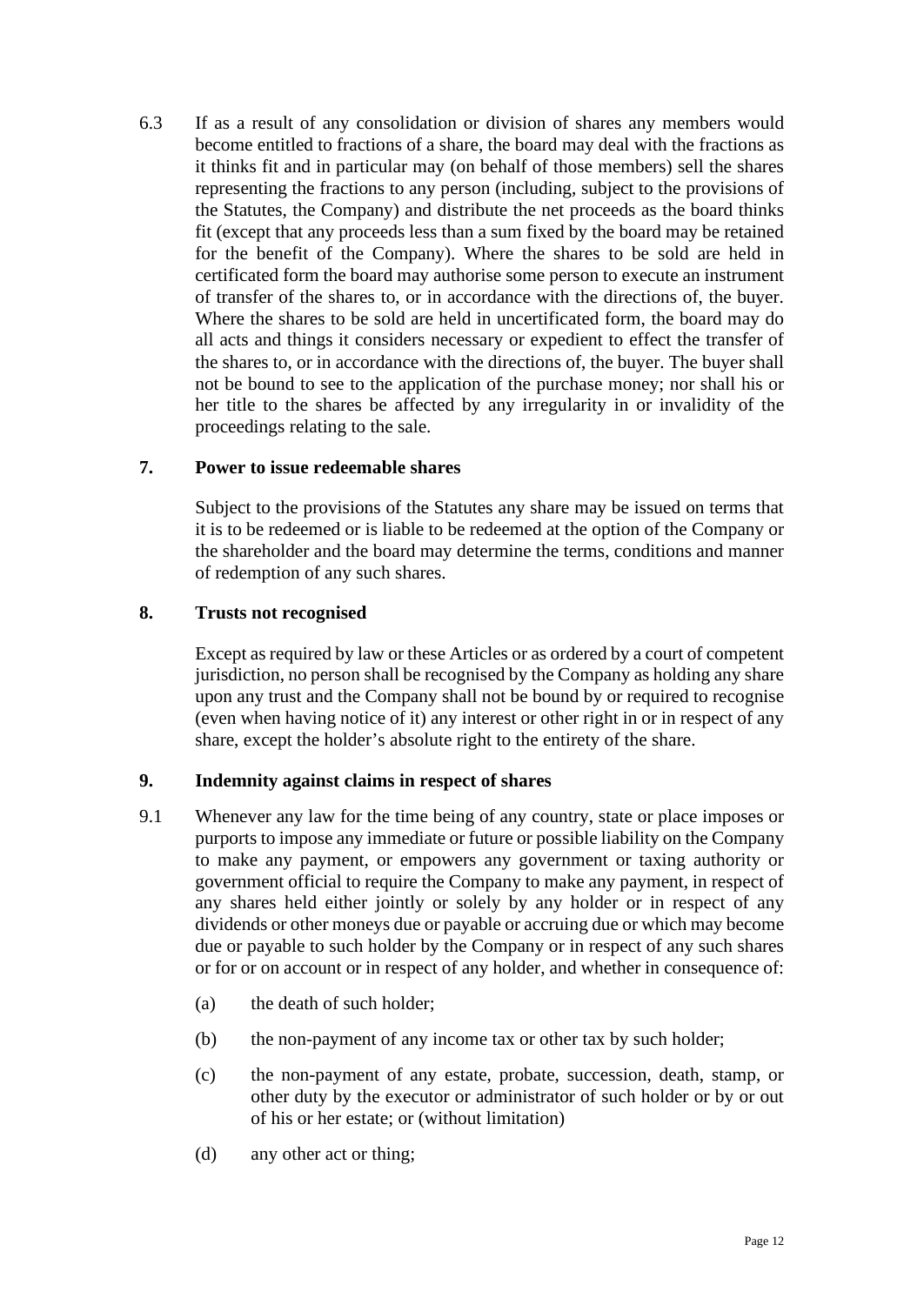6.3 If as a result of any consolidation or division of shares any members would become entitled to fractions of a share, the board may deal with the fractions as it thinks fit and in particular may (on behalf of those members) sell the shares representing the fractions to any person (including, subject to the provisions of the Statutes, the Company) and distribute the net proceeds as the board thinks fit (except that any proceeds less than a sum fixed by the board may be retained for the benefit of the Company). Where the shares to be sold are held in certificated form the board may authorise some person to execute an instrument of transfer of the shares to, or in accordance with the directions of, the buyer. Where the shares to be sold are held in uncertificated form, the board may do all acts and things it considers necessary or expedient to effect the transfer of the shares to, or in accordance with the directions of, the buyer. The buyer shall not be bound to see to the application of the purchase money; nor shall his or her title to the shares be affected by any irregularity in or invalidity of the proceedings relating to the sale.

#### <span id="page-11-0"></span>**7. Power to issue redeemable shares**

Subject to the provisions of the Statutes any share may be issued on terms that it is to be redeemed or is liable to be redeemed at the option of the Company or the shareholder and the board may determine the terms, conditions and manner of redemption of any such shares.

## <span id="page-11-1"></span>**8. Trusts not recognised**

Except as required by law or these Articles or as ordered by a court of competent jurisdiction, no person shall be recognised by the Company as holding any share upon any trust and the Company shall not be bound by or required to recognise (even when having notice of it) any interest or other right in or in respect of any share, except the holder's absolute right to the entirety of the share.

#### <span id="page-11-2"></span>**9. Indemnity against claims in respect of shares**

- 9.1 Whenever any law for the time being of any country, state or place imposes or purports to impose any immediate or future or possible liability on the Company to make any payment, or empowers any government or taxing authority or government official to require the Company to make any payment, in respect of any shares held either jointly or solely by any holder or in respect of any dividends or other moneys due or payable or accruing due or which may become due or payable to such holder by the Company or in respect of any such shares or for or on account or in respect of any holder, and whether in consequence of:
	- (a) the death of such holder;
	- (b) the non-payment of any income tax or other tax by such holder;
	- (c) the non-payment of any estate, probate, succession, death, stamp, or other duty by the executor or administrator of such holder or by or out of his or her estate; or (without limitation)
	- (d) any other act or thing;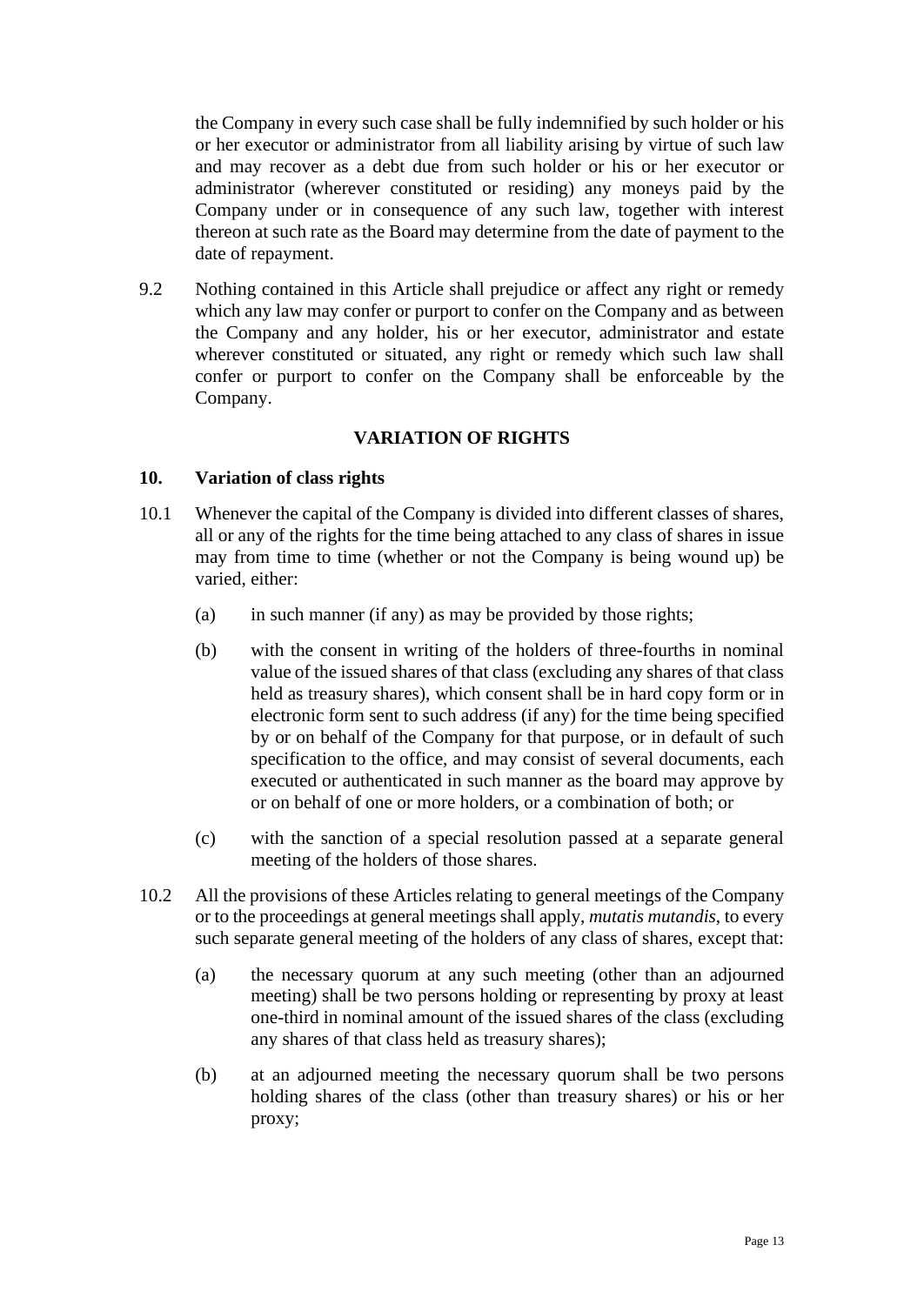the Company in every such case shall be fully indemnified by such holder or his or her executor or administrator from all liability arising by virtue of such law and may recover as a debt due from such holder or his or her executor or administrator (wherever constituted or residing) any moneys paid by the Company under or in consequence of any such law, together with interest thereon at such rate as the Board may determine from the date of payment to the date of repayment.

9.2 Nothing contained in this Article shall prejudice or affect any right or remedy which any law may confer or purport to confer on the Company and as between the Company and any holder, his or her executor, administrator and estate wherever constituted or situated, any right or remedy which such law shall confer or purport to confer on the Company shall be enforceable by the Company.

## **VARIATION OF RIGHTS**

#### <span id="page-12-1"></span><span id="page-12-0"></span>**10. Variation of class rights**

- 10.1 Whenever the capital of the Company is divided into different classes of shares, all or any of the rights for the time being attached to any class of shares in issue may from time to time (whether or not the Company is being wound up) be varied, either:
	- (a) in such manner (if any) as may be provided by those rights;
	- (b) with the consent in writing of the holders of three-fourths in nominal value of the issued shares of that class (excluding any shares of that class held as treasury shares), which consent shall be in hard copy form or in electronic form sent to such address (if any) for the time being specified by or on behalf of the Company for that purpose, or in default of such specification to the office, and may consist of several documents, each executed or authenticated in such manner as the board may approve by or on behalf of one or more holders, or a combination of both; or
	- (c) with the sanction of a special resolution passed at a separate general meeting of the holders of those shares.
- 10.2 All the provisions of these Articles relating to general meetings of the Company or to the proceedings at general meetings shall apply, *mutatis mutandis*, to every such separate general meeting of the holders of any class of shares, except that:
	- (a) the necessary quorum at any such meeting (other than an adjourned meeting) shall be two persons holding or representing by proxy at least one-third in nominal amount of the issued shares of the class (excluding any shares of that class held as treasury shares);
	- (b) at an adjourned meeting the necessary quorum shall be two persons holding shares of the class (other than treasury shares) or his or her proxy;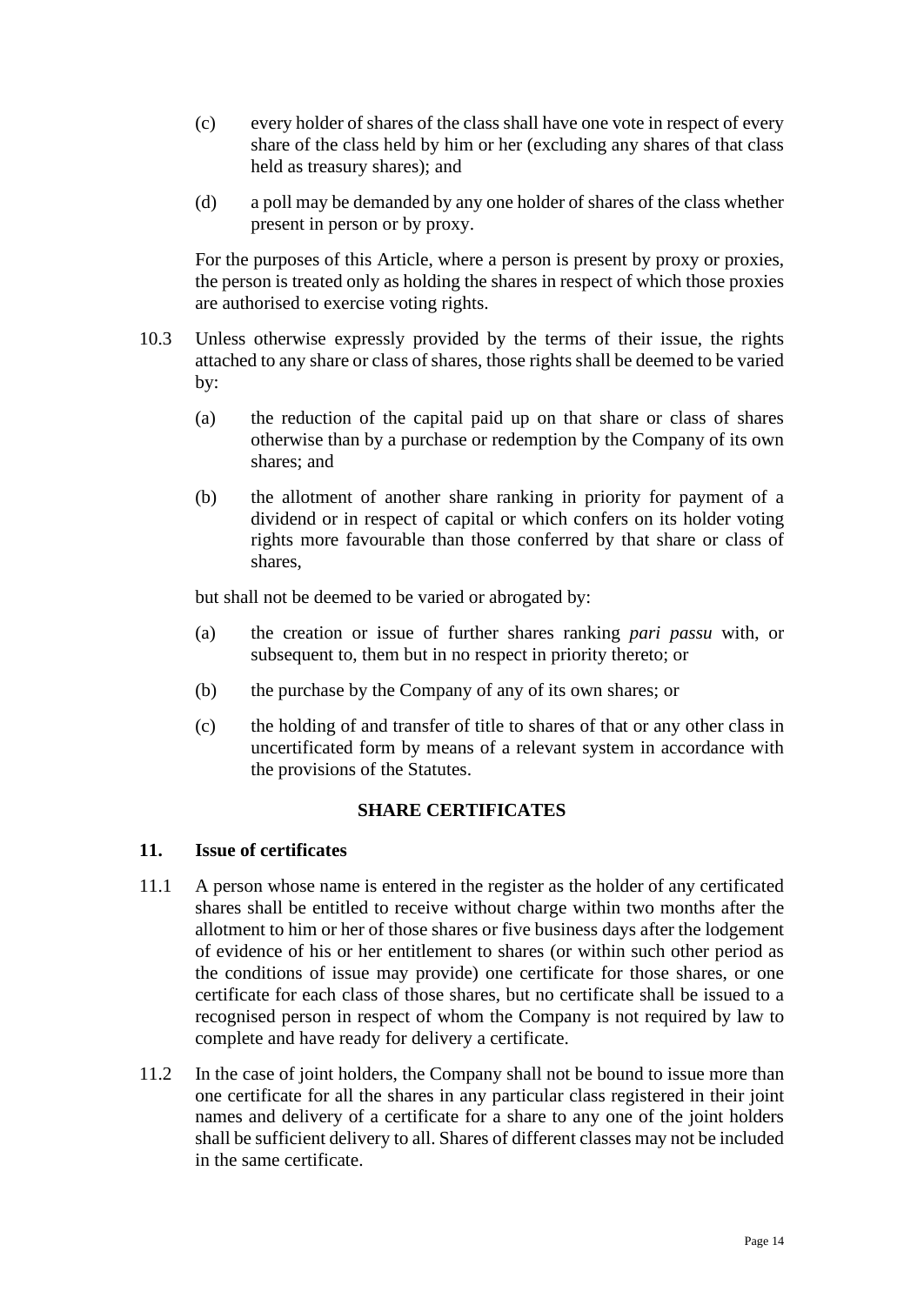- (c) every holder of shares of the class shall have one vote in respect of every share of the class held by him or her (excluding any shares of that class held as treasury shares); and
- (d) a poll may be demanded by any one holder of shares of the class whether present in person or by proxy.

For the purposes of this Article, where a person is present by proxy or proxies, the person is treated only as holding the shares in respect of which those proxies are authorised to exercise voting rights.

- 10.3 Unless otherwise expressly provided by the terms of their issue, the rights attached to any share or class of shares, those rights shall be deemed to be varied by:
	- (a) the reduction of the capital paid up on that share or class of shares otherwise than by a purchase or redemption by the Company of its own shares; and
	- (b) the allotment of another share ranking in priority for payment of a dividend or in respect of capital or which confers on its holder voting rights more favourable than those conferred by that share or class of shares,

but shall not be deemed to be varied or abrogated by:

- (a) the creation or issue of further shares ranking *pari passu* with, or subsequent to, them but in no respect in priority thereto; or
- (b) the purchase by the Company of any of its own shares; or
- (c) the holding of and transfer of title to shares of that or any other class in uncertificated form by means of a relevant system in accordance with the provisions of the Statutes.

#### **SHARE CERTIFICATES**

#### <span id="page-13-1"></span><span id="page-13-0"></span>**11. Issue of certificates**

- 11.1 A person whose name is entered in the register as the holder of any certificated shares shall be entitled to receive without charge within two months after the allotment to him or her of those shares or five business days after the lodgement of evidence of his or her entitlement to shares (or within such other period as the conditions of issue may provide) one certificate for those shares, or one certificate for each class of those shares, but no certificate shall be issued to a recognised person in respect of whom the Company is not required by law to complete and have ready for delivery a certificate.
- 11.2 In the case of joint holders, the Company shall not be bound to issue more than one certificate for all the shares in any particular class registered in their joint names and delivery of a certificate for a share to any one of the joint holders shall be sufficient delivery to all. Shares of different classes may not be included in the same certificate.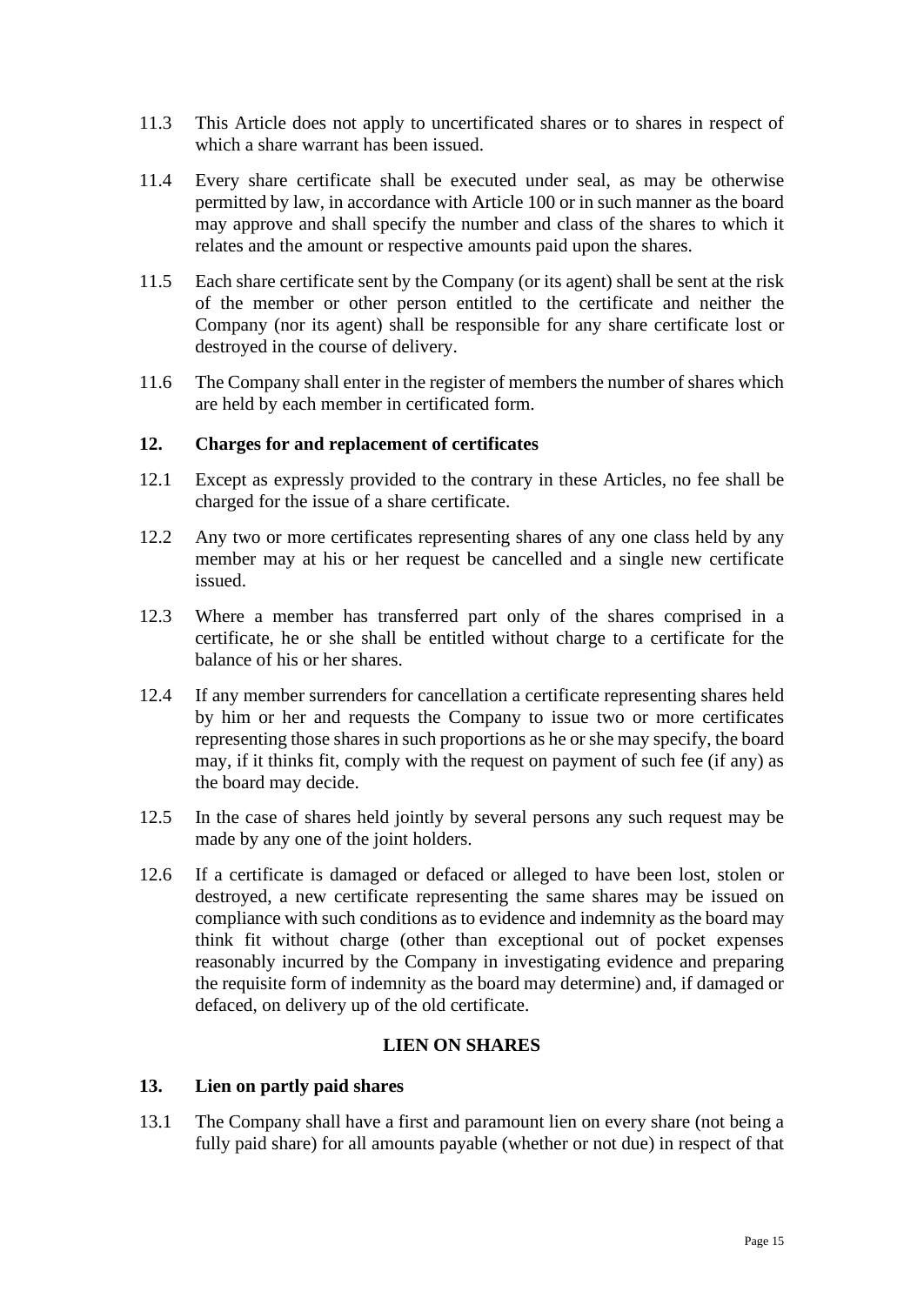- 11.3 This Article does not apply to uncertificated shares or to shares in respect of which a share warrant has been issued.
- 11.4 Every share certificate shall be executed under seal, as may be otherwise permitted by law, in accordance with Article [100](#page-58-3) or in such manner as the board may approve and shall specify the number and class of the shares to which it relates and the amount or respective amounts paid upon the shares.
- 11.5 Each share certificate sent by the Company (or its agent) shall be sent at the risk of the member or other person entitled to the certificate and neither the Company (nor its agent) shall be responsible for any share certificate lost or destroyed in the course of delivery.
- 11.6 The Company shall enter in the register of members the number of shares which are held by each member in certificated form.

#### <span id="page-14-0"></span>**12. Charges for and replacement of certificates**

- 12.1 Except as expressly provided to the contrary in these Articles, no fee shall be charged for the issue of a share certificate.
- 12.2 Any two or more certificates representing shares of any one class held by any member may at his or her request be cancelled and a single new certificate issued.
- 12.3 Where a member has transferred part only of the shares comprised in a certificate, he or she shall be entitled without charge to a certificate for the balance of his or her shares.
- 12.4 If any member surrenders for cancellation a certificate representing shares held by him or her and requests the Company to issue two or more certificates representing those shares in such proportions as he or she may specify, the board may, if it thinks fit, comply with the request on payment of such fee (if any) as the board may decide.
- 12.5 In the case of shares held jointly by several persons any such request may be made by any one of the joint holders.
- 12.6 If a certificate is damaged or defaced or alleged to have been lost, stolen or destroyed, a new certificate representing the same shares may be issued on compliance with such conditions as to evidence and indemnity as the board may think fit without charge (other than exceptional out of pocket expenses reasonably incurred by the Company in investigating evidence and preparing the requisite form of indemnity as the board may determine) and, if damaged or defaced, on delivery up of the old certificate.

## **LIEN ON SHARES**

#### <span id="page-14-2"></span><span id="page-14-1"></span>**13. Lien on partly paid shares**

13.1 The Company shall have a first and paramount lien on every share (not being a fully paid share) for all amounts payable (whether or not due) in respect of that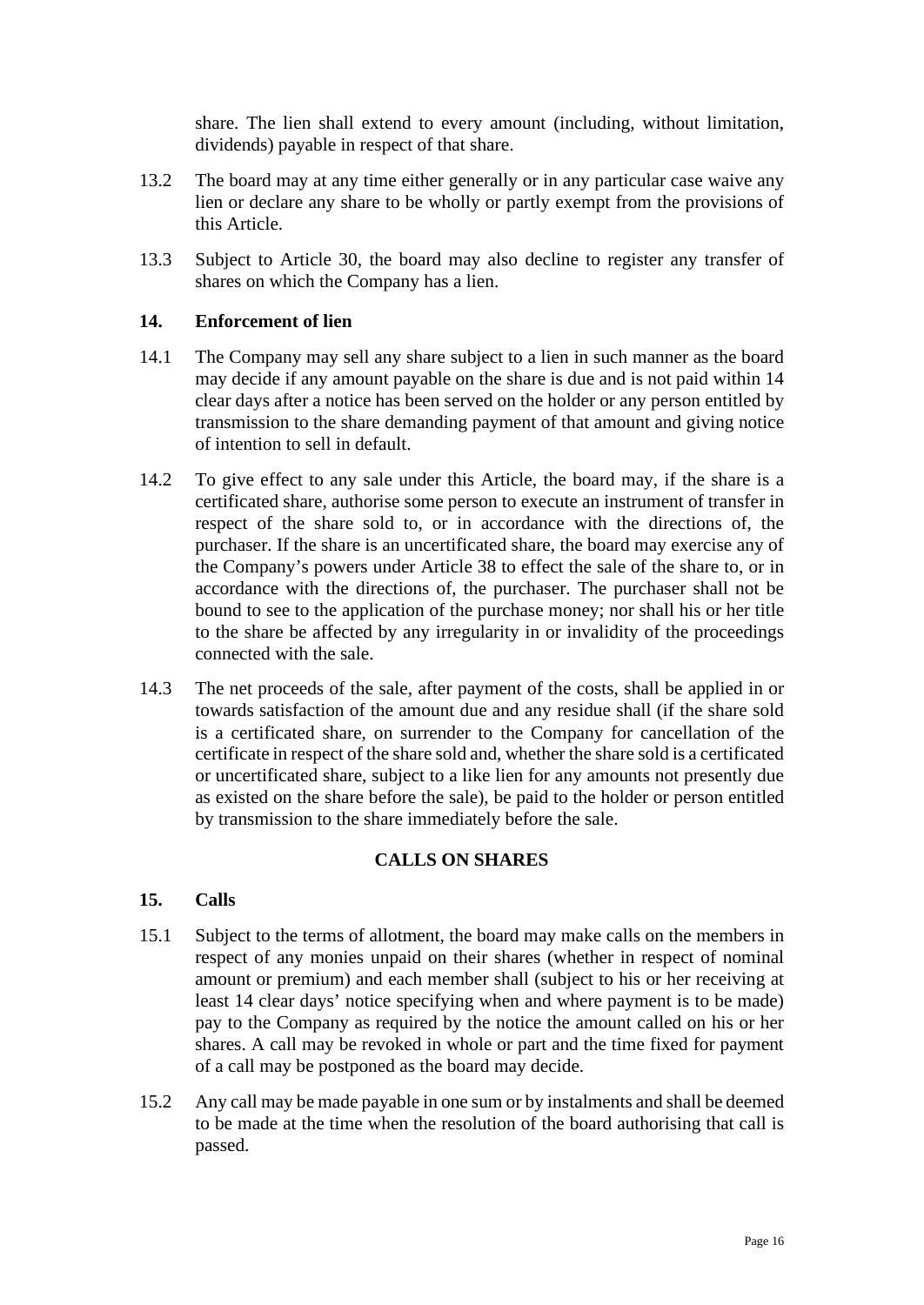share. The lien shall extend to every amount (including, without limitation, dividends) payable in respect of that share.

- 13.2 The board may at any time either generally or in any particular case waive any lien or declare any share to be wholly or partly exempt from the provisions of this Article.
- 13.3 Subject to Article [30,](#page-20-4) the board may also decline to register any transfer of shares on which the Company has a lien.

## <span id="page-15-0"></span>**14. Enforcement of lien**

- 14.1 The Company may sell any share subject to a lien in such manner as the board may decide if any amount payable on the share is due and is not paid within 14 clear days after a notice has been served on the holder or any person entitled by transmission to the share demanding payment of that amount and giving notice of intention to sell in default.
- 14.2 To give effect to any sale under this Article, the board may, if the share is a certificated share, authorise some person to execute an instrument of transfer in respect of the share sold to, or in accordance with the directions of, the purchaser. If the share is an uncertificated share, the board may exercise any of the Company's powers under Article [38](#page-23-1) to effect the sale of the share to, or in accordance with the directions of, the purchaser. The purchaser shall not be bound to see to the application of the purchase money; nor shall his or her title to the share be affected by any irregularity in or invalidity of the proceedings connected with the sale.
- 14.3 The net proceeds of the sale, after payment of the costs, shall be applied in or towards satisfaction of the amount due and any residue shall (if the share sold is a certificated share, on surrender to the Company for cancellation of the certificate in respect of the share sold and, whether the share sold is a certificated or uncertificated share, subject to a like lien for any amounts not presently due as existed on the share before the sale), be paid to the holder or person entitled by transmission to the share immediately before the sale.

#### **CALLS ON SHARES**

#### <span id="page-15-2"></span><span id="page-15-1"></span>**15. Calls**

- 15.1 Subject to the terms of allotment, the board may make calls on the members in respect of any monies unpaid on their shares (whether in respect of nominal amount or premium) and each member shall (subject to his or her receiving at least 14 clear days' notice specifying when and where payment is to be made) pay to the Company as required by the notice the amount called on his or her shares. A call may be revoked in whole or part and the time fixed for payment of a call may be postponed as the board may decide.
- 15.2 Any call may be made payable in one sum or by instalments and shall be deemed to be made at the time when the resolution of the board authorising that call is passed.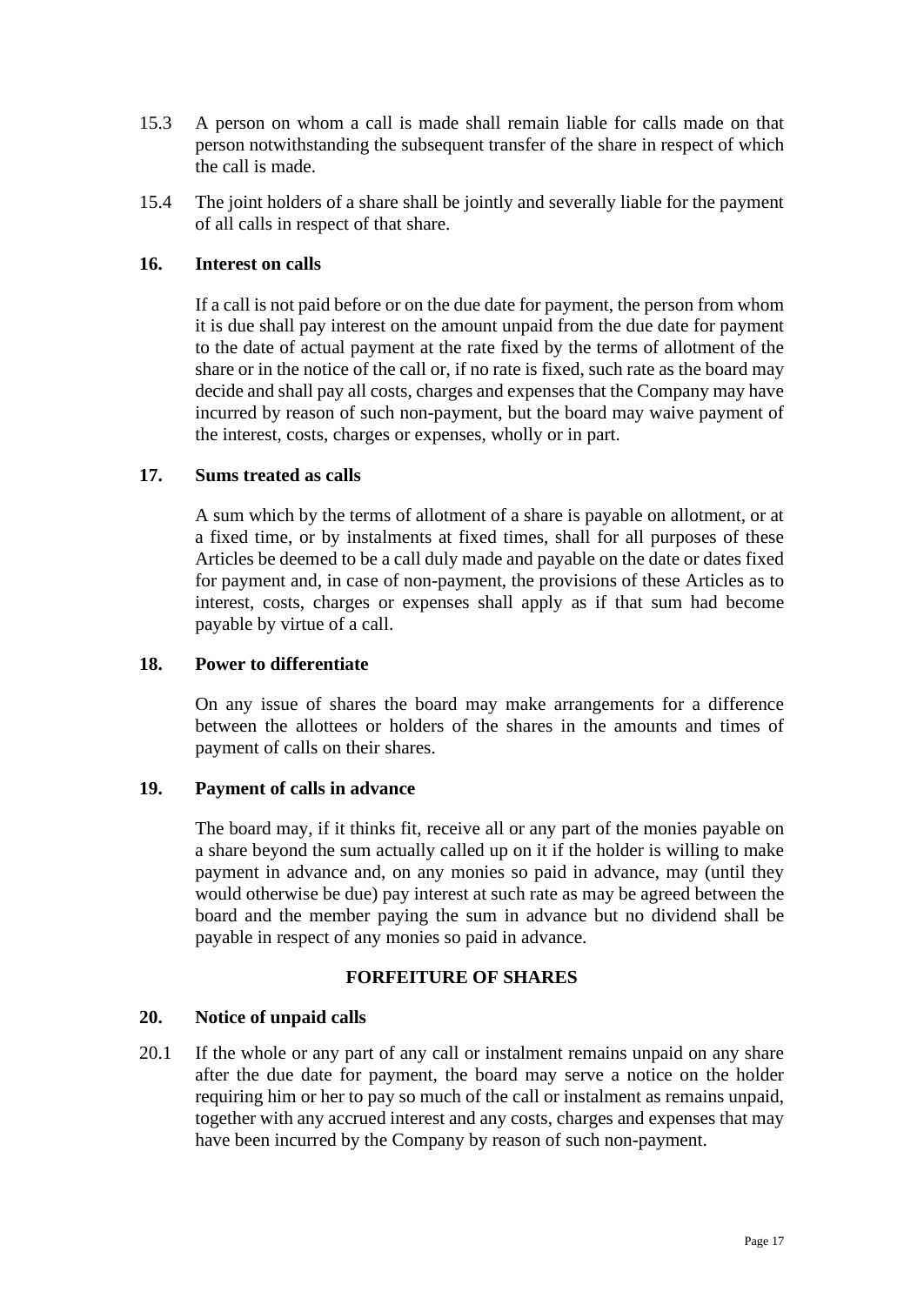- 15.3 A person on whom a call is made shall remain liable for calls made on that person notwithstanding the subsequent transfer of the share in respect of which the call is made.
- 15.4 The joint holders of a share shall be jointly and severally liable for the payment of all calls in respect of that share.

## <span id="page-16-0"></span>**16. Interest on calls**

If a call is not paid before or on the due date for payment, the person from whom it is due shall pay interest on the amount unpaid from the due date for payment to the date of actual payment at the rate fixed by the terms of allotment of the share or in the notice of the call or, if no rate is fixed, such rate as the board may decide and shall pay all costs, charges and expenses that the Company may have incurred by reason of such non-payment, but the board may waive payment of the interest, costs, charges or expenses, wholly or in part.

## <span id="page-16-1"></span>**17. Sums treated as calls**

A sum which by the terms of allotment of a share is payable on allotment, or at a fixed time, or by instalments at fixed times, shall for all purposes of these Articles be deemed to be a call duly made and payable on the date or dates fixed for payment and, in case of non-payment, the provisions of these Articles as to interest, costs, charges or expenses shall apply as if that sum had become payable by virtue of a call.

## <span id="page-16-2"></span>**18. Power to differentiate**

On any issue of shares the board may make arrangements for a difference between the allottees or holders of the shares in the amounts and times of payment of calls on their shares.

#### <span id="page-16-3"></span>**19. Payment of calls in advance**

The board may, if it thinks fit, receive all or any part of the monies payable on a share beyond the sum actually called up on it if the holder is willing to make payment in advance and, on any monies so paid in advance, may (until they would otherwise be due) pay interest at such rate as may be agreed between the board and the member paying the sum in advance but no dividend shall be payable in respect of any monies so paid in advance.

## **FORFEITURE OF SHARES**

#### <span id="page-16-5"></span><span id="page-16-4"></span>**20. Notice of unpaid calls**

20.1 If the whole or any part of any call or instalment remains unpaid on any share after the due date for payment, the board may serve a notice on the holder requiring him or her to pay so much of the call or instalment as remains unpaid, together with any accrued interest and any costs, charges and expenses that may have been incurred by the Company by reason of such non-payment.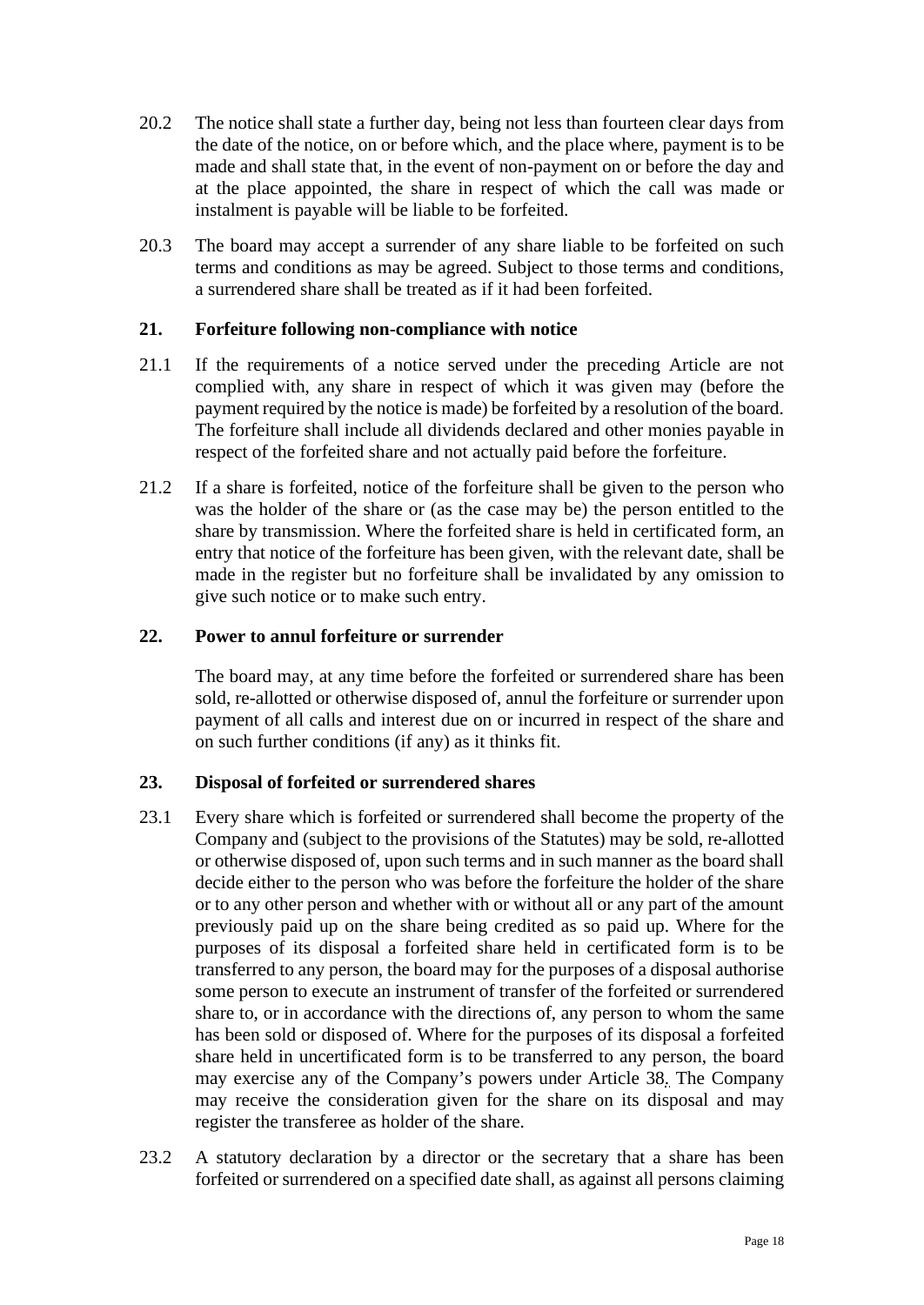- 20.2 The notice shall state a further day, being not less than fourteen clear days from the date of the notice, on or before which, and the place where, payment is to be made and shall state that, in the event of non-payment on or before the day and at the place appointed, the share in respect of which the call was made or instalment is payable will be liable to be forfeited.
- 20.3 The board may accept a surrender of any share liable to be forfeited on such terms and conditions as may be agreed. Subject to those terms and conditions, a surrendered share shall be treated as if it had been forfeited.

## <span id="page-17-0"></span>**21. Forfeiture following non-compliance with notice**

- 21.1 If the requirements of a notice served under the preceding Article are not complied with, any share in respect of which it was given may (before the payment required by the notice is made) be forfeited by a resolution of the board. The forfeiture shall include all dividends declared and other monies payable in respect of the forfeited share and not actually paid before the forfeiture.
- 21.2 If a share is forfeited, notice of the forfeiture shall be given to the person who was the holder of the share or (as the case may be) the person entitled to the share by transmission. Where the forfeited share is held in certificated form, an entry that notice of the forfeiture has been given, with the relevant date, shall be made in the register but no forfeiture shall be invalidated by any omission to give such notice or to make such entry.

#### <span id="page-17-1"></span>**22. Power to annul forfeiture or surrender**

The board may, at any time before the forfeited or surrendered share has been sold, re-allotted or otherwise disposed of, annul the forfeiture or surrender upon payment of all calls and interest due on or incurred in respect of the share and on such further conditions (if any) as it thinks fit.

#### <span id="page-17-2"></span>**23. Disposal of forfeited or surrendered shares**

- 23.1 Every share which is forfeited or surrendered shall become the property of the Company and (subject to the provisions of the Statutes) may be sold, re-allotted or otherwise disposed of, upon such terms and in such manner as the board shall decide either to the person who was before the forfeiture the holder of the share or to any other person and whether with or without all or any part of the amount previously paid up on the share being credited as so paid up. Where for the purposes of its disposal a forfeited share held in certificated form is to be transferred to any person, the board may for the purposes of a disposal authorise some person to execute an instrument of transfer of the forfeited or surrendered share to, or in accordance with the directions of, any person to whom the same has been sold or disposed of. Where for the purposes of its disposal a forfeited share held in uncertificated form is to be transferred to any person, the board may exercise any of the Company's powers under Article [38.](#page-23-1) The Company may receive the consideration given for the share on its disposal and may register the transferee as holder of the share.
- 23.2 A statutory declaration by a director or the secretary that a share has been forfeited or surrendered on a specified date shall, as against all persons claiming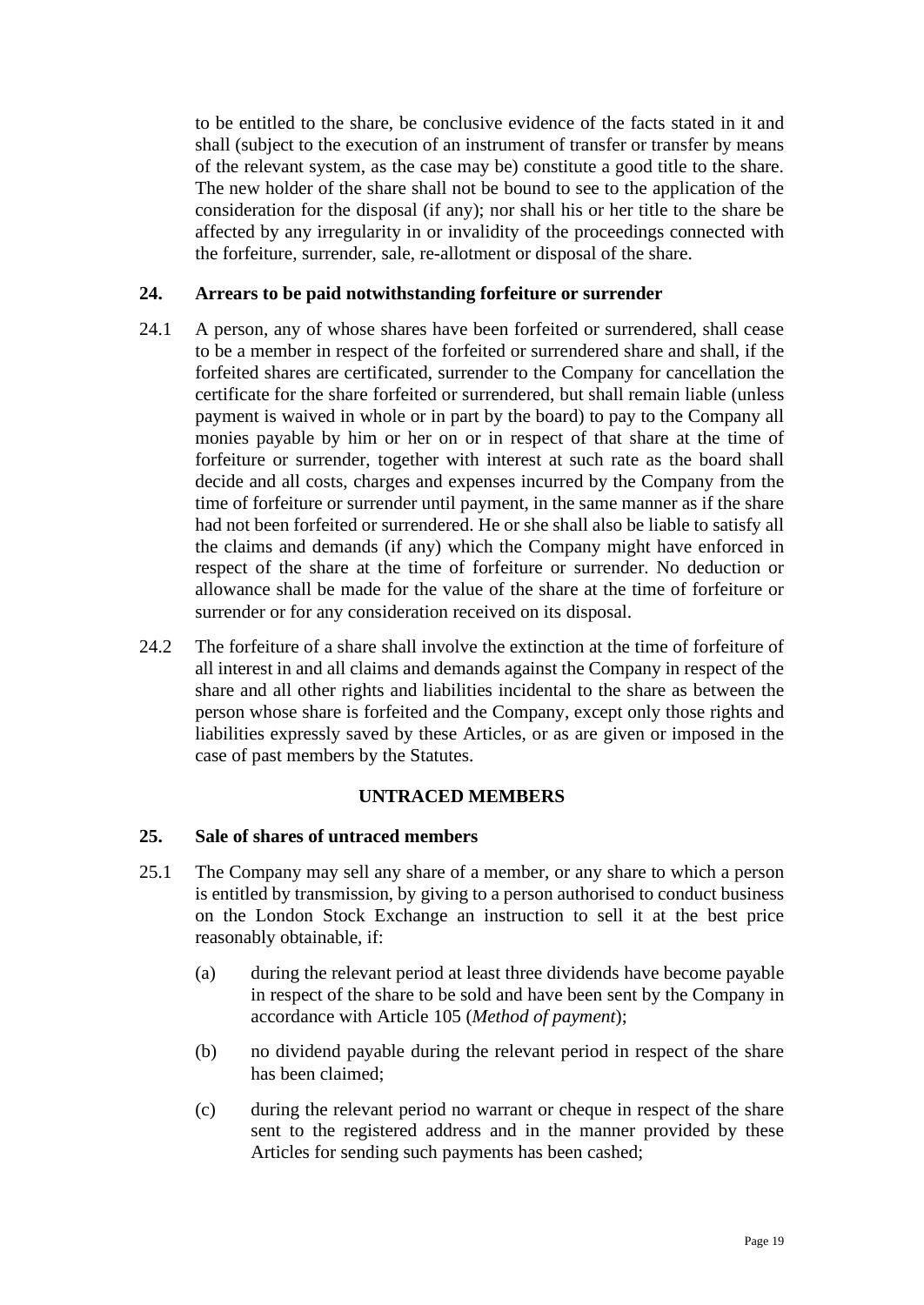to be entitled to the share, be conclusive evidence of the facts stated in it and shall (subject to the execution of an instrument of transfer or transfer by means of the relevant system, as the case may be) constitute a good title to the share. The new holder of the share shall not be bound to see to the application of the consideration for the disposal (if any); nor shall his or her title to the share be affected by any irregularity in or invalidity of the proceedings connected with the forfeiture, surrender, sale, re-allotment or disposal of the share.

### <span id="page-18-0"></span>**24. Arrears to be paid notwithstanding forfeiture or surrender**

- 24.1 A person, any of whose shares have been forfeited or surrendered, shall cease to be a member in respect of the forfeited or surrendered share and shall, if the forfeited shares are certificated, surrender to the Company for cancellation the certificate for the share forfeited or surrendered, but shall remain liable (unless payment is waived in whole or in part by the board) to pay to the Company all monies payable by him or her on or in respect of that share at the time of forfeiture or surrender, together with interest at such rate as the board shall decide and all costs, charges and expenses incurred by the Company from the time of forfeiture or surrender until payment, in the same manner as if the share had not been forfeited or surrendered. He or she shall also be liable to satisfy all the claims and demands (if any) which the Company might have enforced in respect of the share at the time of forfeiture or surrender. No deduction or allowance shall be made for the value of the share at the time of forfeiture or surrender or for any consideration received on its disposal.
- 24.2 The forfeiture of a share shall involve the extinction at the time of forfeiture of all interest in and all claims and demands against the Company in respect of the share and all other rights and liabilities incidental to the share as between the person whose share is forfeited and the Company, except only those rights and liabilities expressly saved by these Articles, or as are given or imposed in the case of past members by the Statutes.

#### **UNTRACED MEMBERS**

#### <span id="page-18-2"></span><span id="page-18-1"></span>**25. Sale of shares of untraced members**

- <span id="page-18-4"></span><span id="page-18-3"></span>25.1 The Company may sell any share of a member, or any share to which a person is entitled by transmission, by giving to a person authorised to conduct business on the London Stock Exchange an instruction to sell it at the best price reasonably obtainable, if:
	- (a) during the relevant period at least three dividends have become payable in respect of the share to be sold and have been sent by the Company in accordance with Article [105](#page-60-0) (*Method of payment*);
	- (b) no dividend payable during the relevant period in respect of the share has been claimed;
	- (c) during the relevant period no warrant or cheque in respect of the share sent to the registered address and in the manner provided by these Articles for sending such payments has been cashed;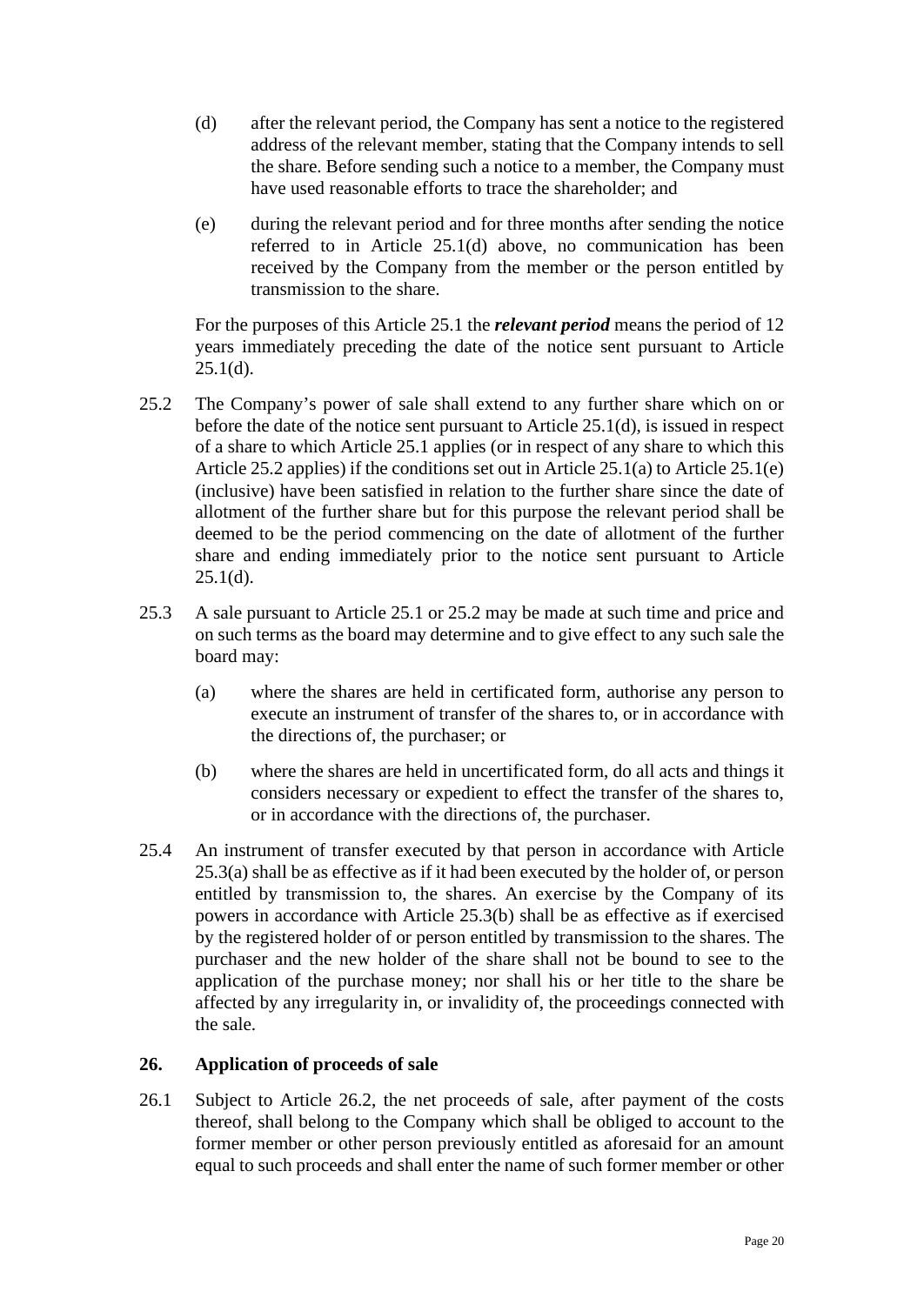- <span id="page-19-1"></span>(d) after the relevant period, the Company has sent a notice to the registered address of the relevant member, stating that the Company intends to sell the share. Before sending such a notice to a member, the Company must have used reasonable efforts to trace the shareholder; and
- <span id="page-19-3"></span>(e) during the relevant period and for three months after sending the notice referred to in Article [25.1\(d\)](#page-19-1) above, no communication has been received by the Company from the member or the person entitled by transmission to the share.

For the purposes of this Article [25.1](#page-18-3) the *relevant period* means the period of 12 years immediately preceding the date of the notice sent pursuant to Article  $25.1(d)$ .

- <span id="page-19-2"></span>25.2 The Company's power of sale shall extend to any further share which on or before the date of the notice sent pursuant to Article [25.1\(d\),](#page-19-1) is issued in respect of a share to which Article [25.1](#page-18-3) applies (or in respect of any share to which this Article [25.2](#page-19-2) applies) if the conditions set out in Article [25.1\(a\)](#page-18-4) to Article [25.1\(e\)](#page-19-3) (inclusive) have been satisfied in relation to the further share since the date of allotment of the further share but for this purpose the relevant period shall be deemed to be the period commencing on the date of allotment of the further share and ending immediately prior to the notice sent pursuant to Article  $25.1(d)$ .
- <span id="page-19-5"></span><span id="page-19-4"></span>25.3 A sale pursuant to Article [25.1](#page-18-3) or [25.2](#page-19-4) may be made at such time and price and on such terms as the board may determine and to give effect to any such sale the board may:
	- (a) where the shares are held in certificated form, authorise any person to execute an instrument of transfer of the shares to, or in accordance with the directions of, the purchaser; or
	- (b) where the shares are held in uncertificated form, do all acts and things it considers necessary or expedient to effect the transfer of the shares to, or in accordance with the directions of, the purchaser.
- <span id="page-19-6"></span>25.4 An instrument of transfer executed by that person in accordance with Article [25.3\(a\)](#page-19-5) shall be as effective as if it had been executed by the holder of, or person entitled by transmission to, the shares. An exercise by the Company of its powers in accordance with Article [25.3\(b\)](#page-19-6) shall be as effective as if exercised by the registered holder of or person entitled by transmission to the shares. The purchaser and the new holder of the share shall not be bound to see to the application of the purchase money; nor shall his or her title to the share be affected by any irregularity in, or invalidity of, the proceedings connected with the sale.

#### <span id="page-19-0"></span>**26. Application of proceeds of sale**

26.1 Subject to Article [26.2,](#page-20-5) the net proceeds of sale, after payment of the costs thereof, shall belong to the Company which shall be obliged to account to the former member or other person previously entitled as aforesaid for an amount equal to such proceeds and shall enter the name of such former member or other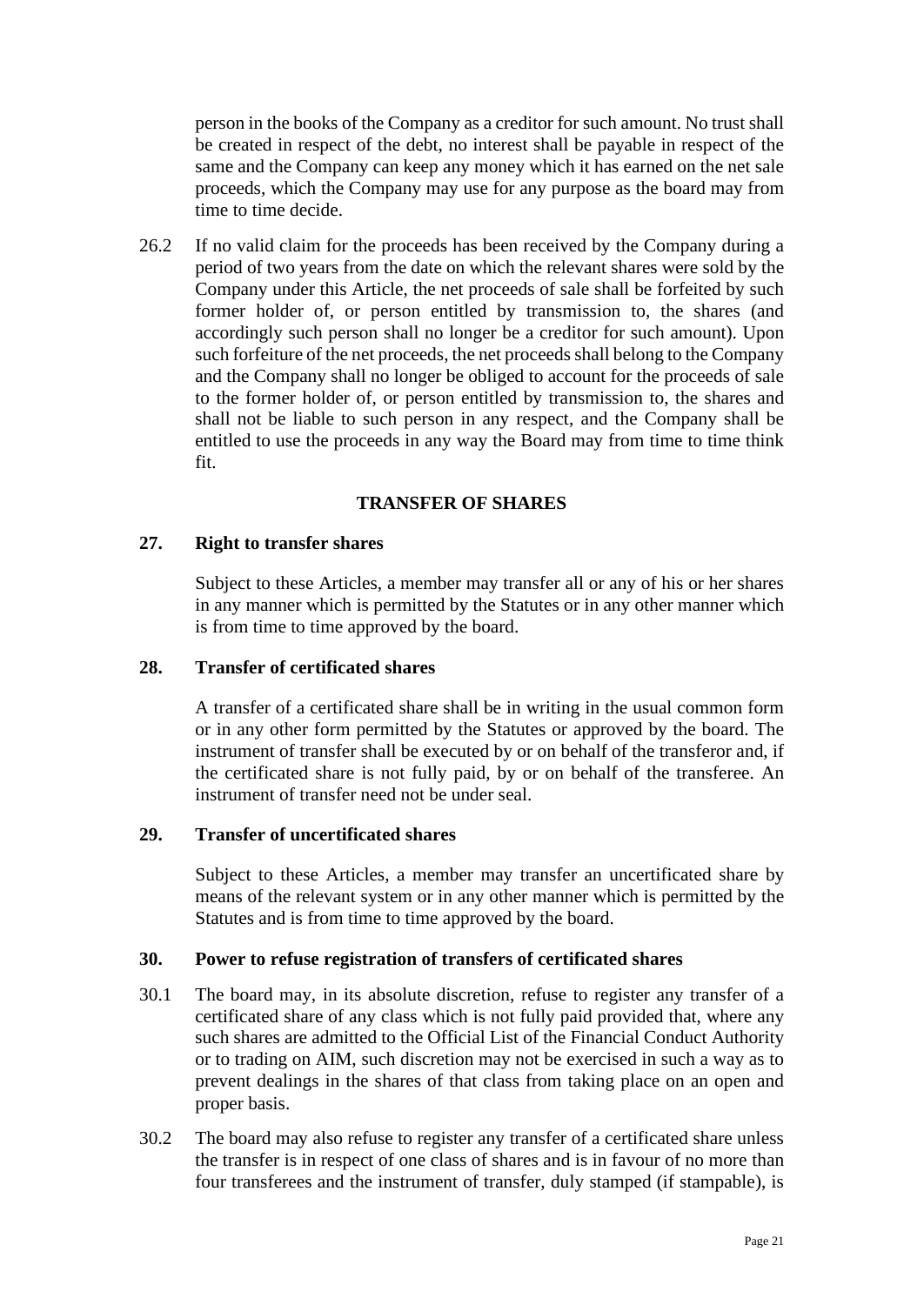person in the books of the Company as a creditor for such amount. No trust shall be created in respect of the debt, no interest shall be payable in respect of the same and the Company can keep any money which it has earned on the net sale proceeds, which the Company may use for any purpose as the board may from time to time decide.

<span id="page-20-5"></span>26.2 If no valid claim for the proceeds has been received by the Company during a period of two years from the date on which the relevant shares were sold by the Company under this Article, the net proceeds of sale shall be forfeited by such former holder of, or person entitled by transmission to, the shares (and accordingly such person shall no longer be a creditor for such amount). Upon such forfeiture of the net proceeds, the net proceeds shall belong to the Company and the Company shall no longer be obliged to account for the proceeds of sale to the former holder of, or person entitled by transmission to, the shares and shall not be liable to such person in any respect, and the Company shall be entitled to use the proceeds in any way the Board may from time to time think fit.

## **TRANSFER OF SHARES**

#### <span id="page-20-1"></span><span id="page-20-0"></span>**27. Right to transfer shares**

Subject to these Articles, a member may transfer all or any of his or her shares in any manner which is permitted by the Statutes or in any other manner which is from time to time approved by the board.

#### <span id="page-20-2"></span>**28. Transfer of certificated shares**

A transfer of a certificated share shall be in writing in the usual common form or in any other form permitted by the Statutes or approved by the board. The instrument of transfer shall be executed by or on behalf of the transferor and, if the certificated share is not fully paid, by or on behalf of the transferee. An instrument of transfer need not be under seal.

#### <span id="page-20-3"></span>**29. Transfer of uncertificated shares**

Subject to these Articles, a member may transfer an uncertificated share by means of the relevant system or in any other manner which is permitted by the Statutes and is from time to time approved by the board.

#### <span id="page-20-4"></span>**30. Power to refuse registration of transfers of certificated shares**

- 30.1 The board may, in its absolute discretion, refuse to register any transfer of a certificated share of any class which is not fully paid provided that, where any such shares are admitted to the Official List of the Financial Conduct Authority or to trading on AIM, such discretion may not be exercised in such a way as to prevent dealings in the shares of that class from taking place on an open and proper basis.
- 30.2 The board may also refuse to register any transfer of a certificated share unless the transfer is in respect of one class of shares and is in favour of no more than four transferees and the instrument of transfer, duly stamped (if stampable), is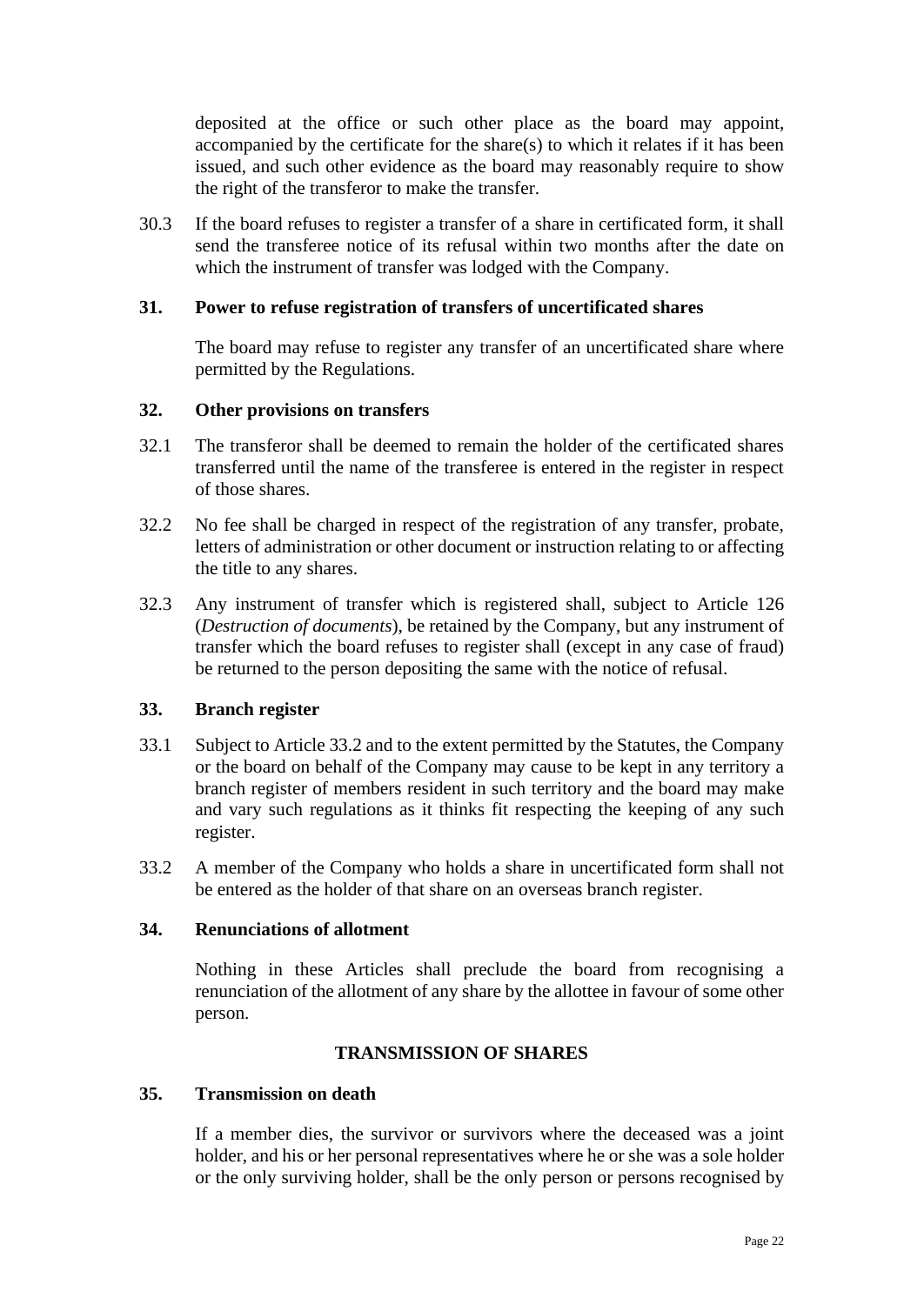deposited at the office or such other place as the board may appoint, accompanied by the certificate for the share(s) to which it relates if it has been issued, and such other evidence as the board may reasonably require to show the right of the transferor to make the transfer.

30.3 If the board refuses to register a transfer of a share in certificated form, it shall send the transferee notice of its refusal within two months after the date on which the instrument of transfer was lodged with the Company.

#### <span id="page-21-0"></span>**31. Power to refuse registration of transfers of uncertificated shares**

The board may refuse to register any transfer of an uncertificated share where permitted by the Regulations.

#### <span id="page-21-1"></span>**32. Other provisions on transfers**

- 32.1 The transferor shall be deemed to remain the holder of the certificated shares transferred until the name of the transferee is entered in the register in respect of those shares.
- 32.2 No fee shall be charged in respect of the registration of any transfer, probate, letters of administration or other document or instruction relating to or affecting the title to any shares.
- 32.3 Any instrument of transfer which is registered shall, subject to Article [126](#page-71-1) (*Destruction of documents*), be retained by the Company, but any instrument of transfer which the board refuses to register shall (except in any case of fraud) be returned to the person depositing the same with the notice of refusal.

#### <span id="page-21-2"></span>**33. Branch register**

- 33.1 Subject to Article [33.2](#page-21-6) and to the extent permitted by the Statutes, the Company or the board on behalf of the Company may cause to be kept in any territory a branch register of members resident in such territory and the board may make and vary such regulations as it thinks fit respecting the keeping of any such register.
- <span id="page-21-6"></span>33.2 A member of the Company who holds a share in uncertificated form shall not be entered as the holder of that share on an overseas branch register.

#### <span id="page-21-3"></span>**34. Renunciations of allotment**

Nothing in these Articles shall preclude the board from recognising a renunciation of the allotment of any share by the allottee in favour of some other person.

#### **TRANSMISSION OF SHARES**

#### <span id="page-21-5"></span><span id="page-21-4"></span>**35. Transmission on death**

If a member dies, the survivor or survivors where the deceased was a joint holder, and his or her personal representatives where he or she was a sole holder or the only surviving holder, shall be the only person or persons recognised by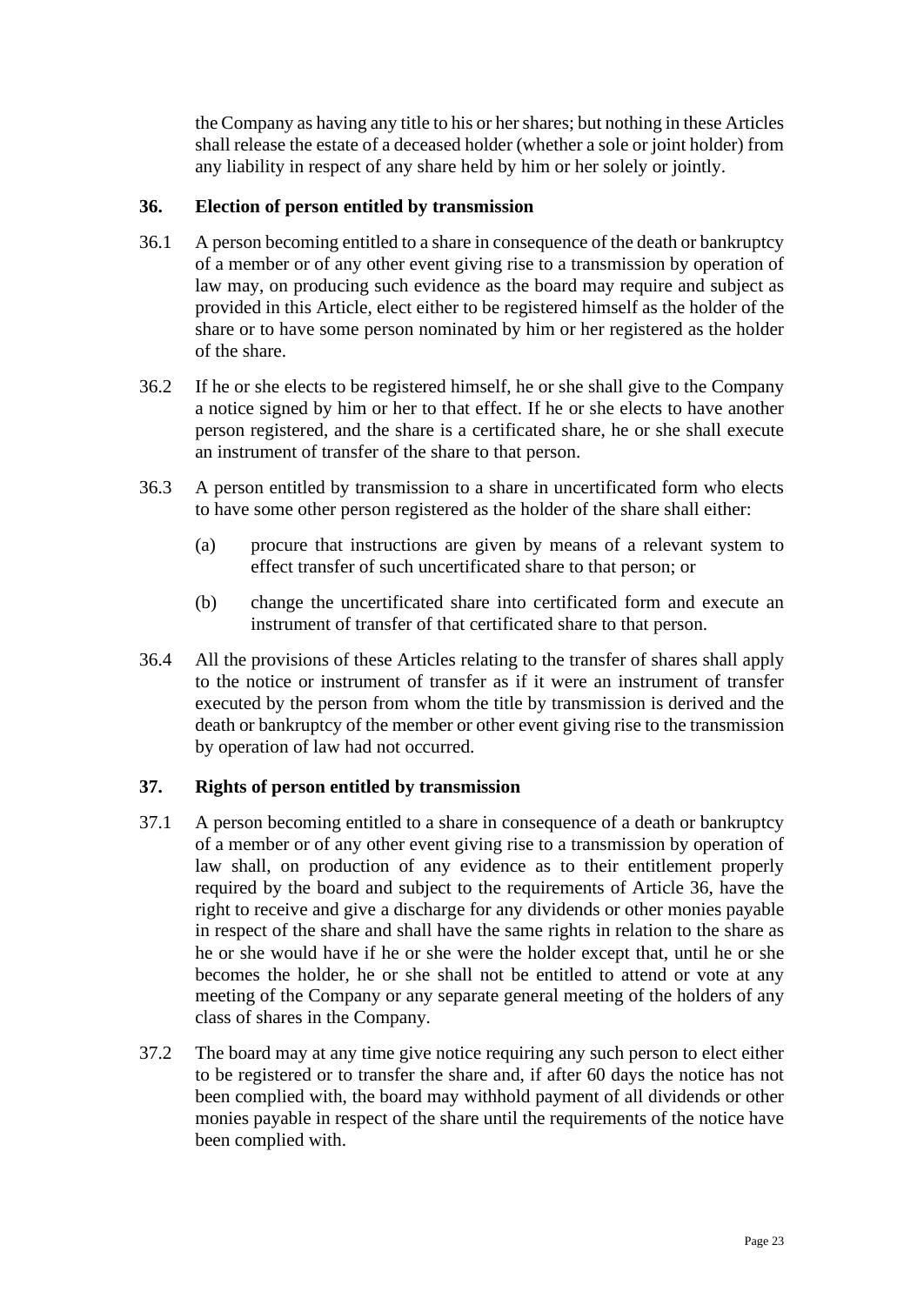the Company as having any title to his or hershares; but nothing in these Articles shall release the estate of a deceased holder (whether a sole or joint holder) from any liability in respect of any share held by him or her solely or jointly.

## <span id="page-22-0"></span>**36. Election of person entitled by transmission**

- 36.1 A person becoming entitled to a share in consequence of the death or bankruptcy of a member or of any other event giving rise to a transmission by operation of law may, on producing such evidence as the board may require and subject as provided in this Article, elect either to be registered himself as the holder of the share or to have some person nominated by him or her registered as the holder of the share.
- 36.2 If he or she elects to be registered himself, he or she shall give to the Company a notice signed by him or her to that effect. If he or she elects to have another person registered, and the share is a certificated share, he or she shall execute an instrument of transfer of the share to that person.
- 36.3 A person entitled by transmission to a share in uncertificated form who elects to have some other person registered as the holder of the share shall either:
	- (a) procure that instructions are given by means of a relevant system to effect transfer of such uncertificated share to that person; or
	- (b) change the uncertificated share into certificated form and execute an instrument of transfer of that certificated share to that person.
- 36.4 All the provisions of these Articles relating to the transfer of shares shall apply to the notice or instrument of transfer as if it were an instrument of transfer executed by the person from whom the title by transmission is derived and the death or bankruptcy of the member or other event giving rise to the transmission by operation of law had not occurred.

## <span id="page-22-1"></span>**37. Rights of person entitled by transmission**

- 37.1 A person becoming entitled to a share in consequence of a death or bankruptcy of a member or of any other event giving rise to a transmission by operation of law shall, on production of any evidence as to their entitlement properly required by the board and subject to the requirements of Article [36,](#page-22-0) have the right to receive and give a discharge for any dividends or other monies payable in respect of the share and shall have the same rights in relation to the share as he or she would have if he or she were the holder except that, until he or she becomes the holder, he or she shall not be entitled to attend or vote at any meeting of the Company or any separate general meeting of the holders of any class of shares in the Company.
- 37.2 The board may at any time give notice requiring any such person to elect either to be registered or to transfer the share and, if after 60 days the notice has not been complied with, the board may withhold payment of all dividends or other monies payable in respect of the share until the requirements of the notice have been complied with.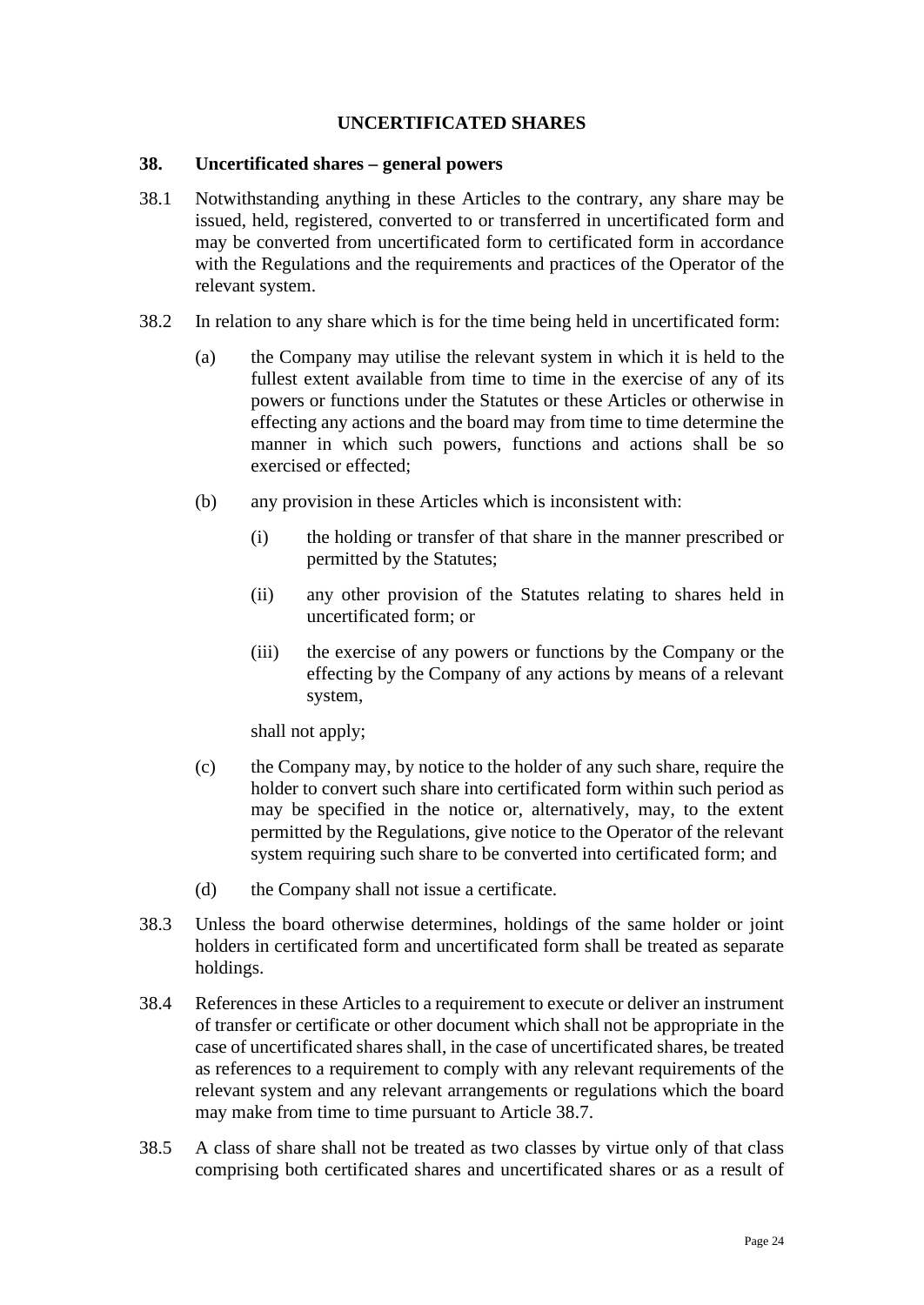## **UNCERTIFICATED SHARES**

#### <span id="page-23-1"></span><span id="page-23-0"></span>**38. Uncertificated shares – general powers**

- 38.1 Notwithstanding anything in these Articles to the contrary, any share may be issued, held, registered, converted to or transferred in uncertificated form and may be converted from uncertificated form to certificated form in accordance with the Regulations and the requirements and practices of the Operator of the relevant system.
- 38.2 In relation to any share which is for the time being held in uncertificated form:
	- (a) the Company may utilise the relevant system in which it is held to the fullest extent available from time to time in the exercise of any of its powers or functions under the Statutes or these Articles or otherwise in effecting any actions and the board may from time to time determine the manner in which such powers, functions and actions shall be so exercised or effected;
	- (b) any provision in these Articles which is inconsistent with:
		- (i) the holding or transfer of that share in the manner prescribed or permitted by the Statutes;
		- (ii) any other provision of the Statutes relating to shares held in uncertificated form; or
		- (iii) the exercise of any powers or functions by the Company or the effecting by the Company of any actions by means of a relevant system,

shall not apply;

- (c) the Company may, by notice to the holder of any such share, require the holder to convert such share into certificated form within such period as may be specified in the notice or, alternatively, may, to the extent permitted by the Regulations, give notice to the Operator of the relevant system requiring such share to be converted into certificated form; and
- (d) the Company shall not issue a certificate.
- 38.3 Unless the board otherwise determines, holdings of the same holder or joint holders in certificated form and uncertificated form shall be treated as separate holdings.
- 38.4 References in these Articles to a requirement to execute or deliver an instrument of transfer or certificate or other document which shall not be appropriate in the case of uncertificated shares shall, in the case of uncertificated shares, be treated as references to a requirement to comply with any relevant requirements of the relevant system and any relevant arrangements or regulations which the board may make from time to time pursuant to Article [38.7.](#page-24-0)
- 38.5 A class of share shall not be treated as two classes by virtue only of that class comprising both certificated shares and uncertificated shares or as a result of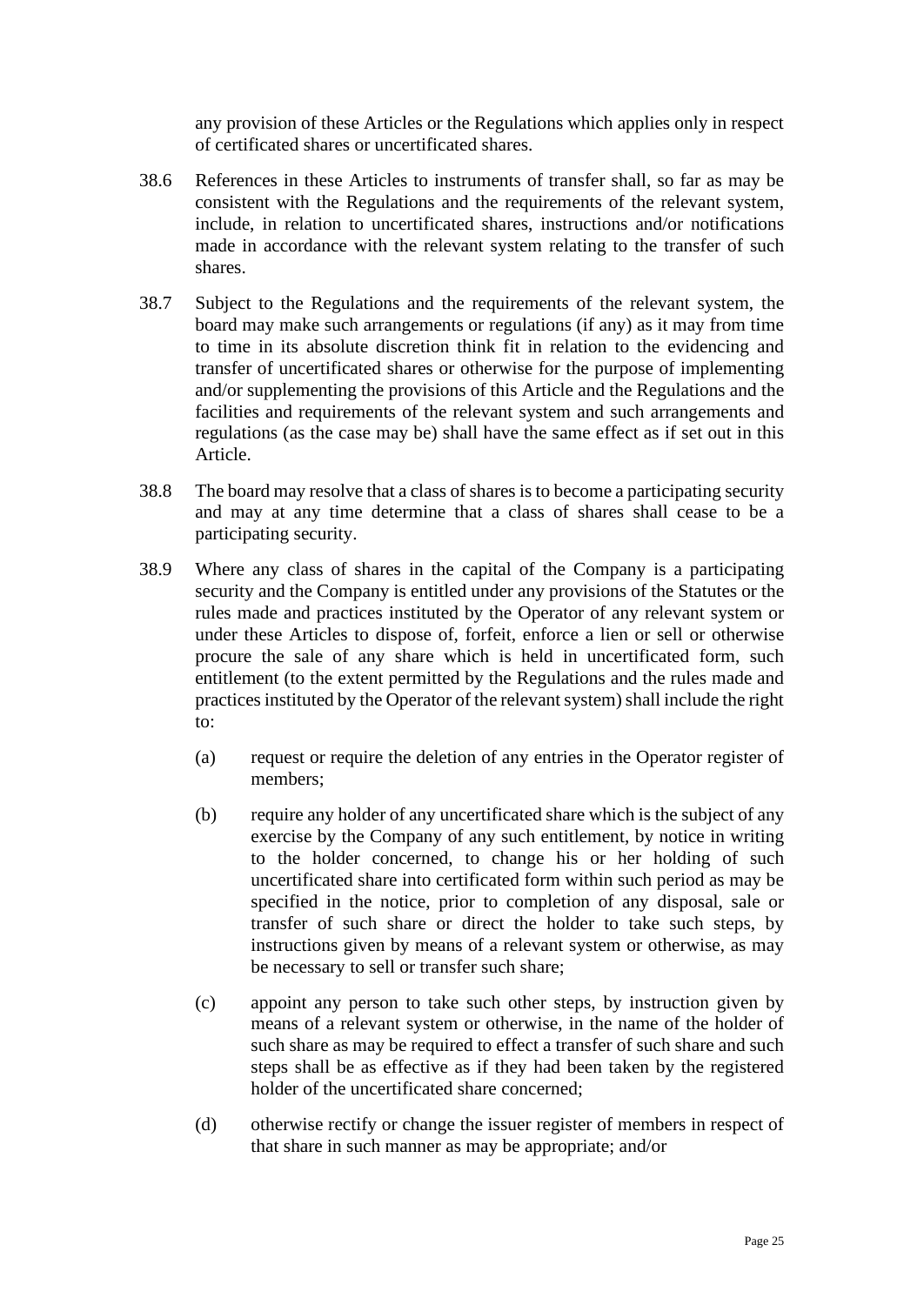any provision of these Articles or the Regulations which applies only in respect of certificated shares or uncertificated shares.

- 38.6 References in these Articles to instruments of transfer shall, so far as may be consistent with the Regulations and the requirements of the relevant system, include, in relation to uncertificated shares, instructions and/or notifications made in accordance with the relevant system relating to the transfer of such shares.
- <span id="page-24-0"></span>38.7 Subject to the Regulations and the requirements of the relevant system, the board may make such arrangements or regulations (if any) as it may from time to time in its absolute discretion think fit in relation to the evidencing and transfer of uncertificated shares or otherwise for the purpose of implementing and/or supplementing the provisions of this Article and the Regulations and the facilities and requirements of the relevant system and such arrangements and regulations (as the case may be) shall have the same effect as if set out in this Article.
- 38.8 The board may resolve that a class of shares is to become a participating security and may at any time determine that a class of shares shall cease to be a participating security.
- 38.9 Where any class of shares in the capital of the Company is a participating security and the Company is entitled under any provisions of the Statutes or the rules made and practices instituted by the Operator of any relevant system or under these Articles to dispose of, forfeit, enforce a lien or sell or otherwise procure the sale of any share which is held in uncertificated form, such entitlement (to the extent permitted by the Regulations and the rules made and practices instituted by the Operator of the relevant system) shall include the right to:
	- (a) request or require the deletion of any entries in the Operator register of members;
	- (b) require any holder of any uncertificated share which is the subject of any exercise by the Company of any such entitlement, by notice in writing to the holder concerned, to change his or her holding of such uncertificated share into certificated form within such period as may be specified in the notice, prior to completion of any disposal, sale or transfer of such share or direct the holder to take such steps, by instructions given by means of a relevant system or otherwise, as may be necessary to sell or transfer such share;
	- (c) appoint any person to take such other steps, by instruction given by means of a relevant system or otherwise, in the name of the holder of such share as may be required to effect a transfer of such share and such steps shall be as effective as if they had been taken by the registered holder of the uncertificated share concerned;
	- (d) otherwise rectify or change the issuer register of members in respect of that share in such manner as may be appropriate; and/or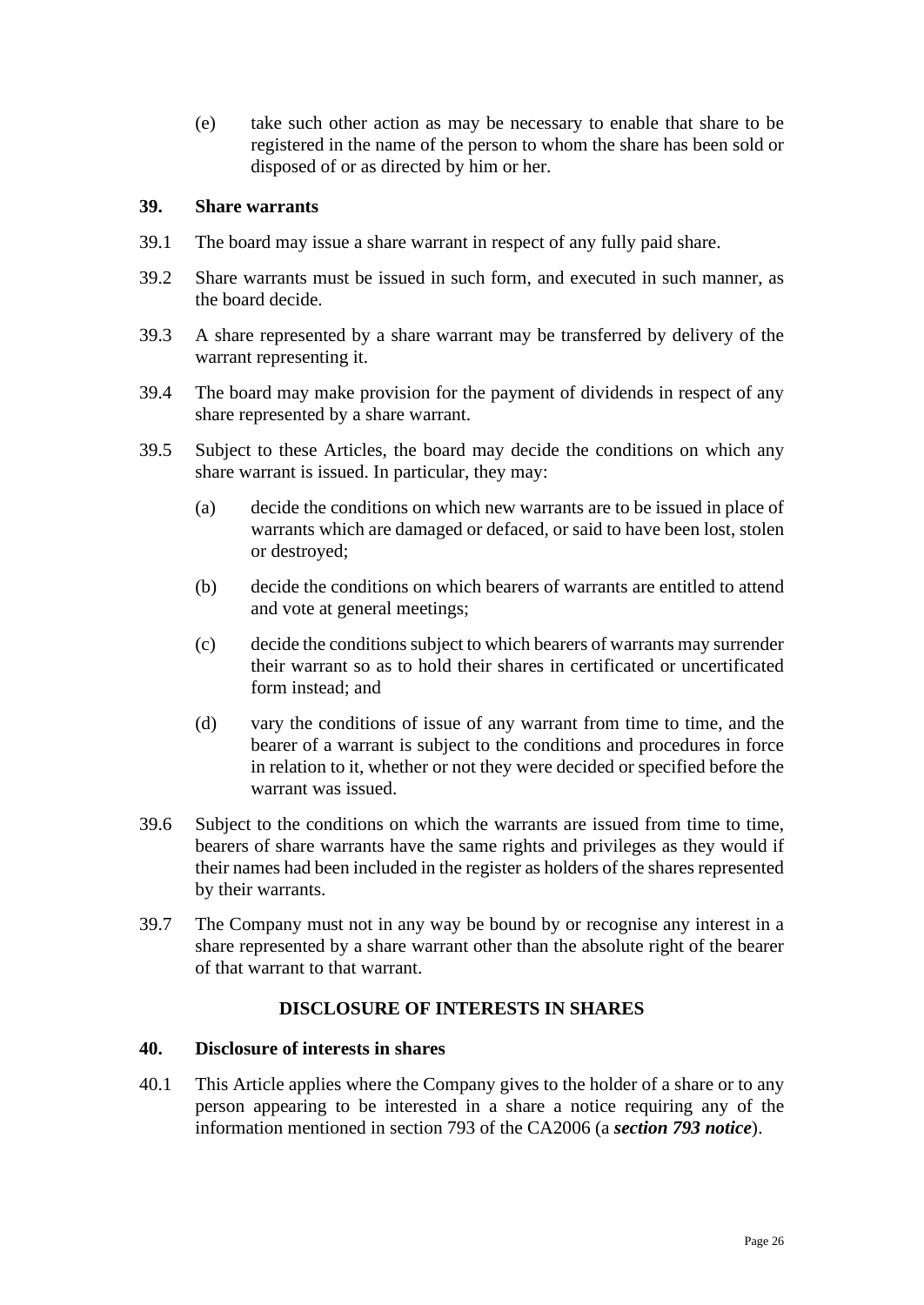(e) take such other action as may be necessary to enable that share to be registered in the name of the person to whom the share has been sold or disposed of or as directed by him or her.

#### <span id="page-25-0"></span>**39. Share warrants**

- 39.1 The board may issue a share warrant in respect of any fully paid share.
- 39.2 Share warrants must be issued in such form, and executed in such manner, as the board decide.
- 39.3 A share represented by a share warrant may be transferred by delivery of the warrant representing it.
- 39.4 The board may make provision for the payment of dividends in respect of any share represented by a share warrant.
- 39.5 Subject to these Articles, the board may decide the conditions on which any share warrant is issued. In particular, they may:
	- (a) decide the conditions on which new warrants are to be issued in place of warrants which are damaged or defaced, or said to have been lost, stolen or destroyed;
	- (b) decide the conditions on which bearers of warrants are entitled to attend and vote at general meetings;
	- (c) decide the conditions subject to which bearers of warrants may surrender their warrant so as to hold their shares in certificated or uncertificated form instead; and
	- (d) vary the conditions of issue of any warrant from time to time, and the bearer of a warrant is subject to the conditions and procedures in force in relation to it, whether or not they were decided or specified before the warrant was issued.
- 39.6 Subject to the conditions on which the warrants are issued from time to time, bearers of share warrants have the same rights and privileges as they would if their names had been included in the register as holders of the shares represented by their warrants.
- 39.7 The Company must not in any way be bound by or recognise any interest in a share represented by a share warrant other than the absolute right of the bearer of that warrant to that warrant.

#### **DISCLOSURE OF INTERESTS IN SHARES**

#### <span id="page-25-2"></span><span id="page-25-1"></span>**40. Disclosure of interests in shares**

40.1 This Article applies where the Company gives to the holder of a share or to any person appearing to be interested in a share a notice requiring any of the information mentioned in section 793 of the CA2006 (a *section 793 notice*).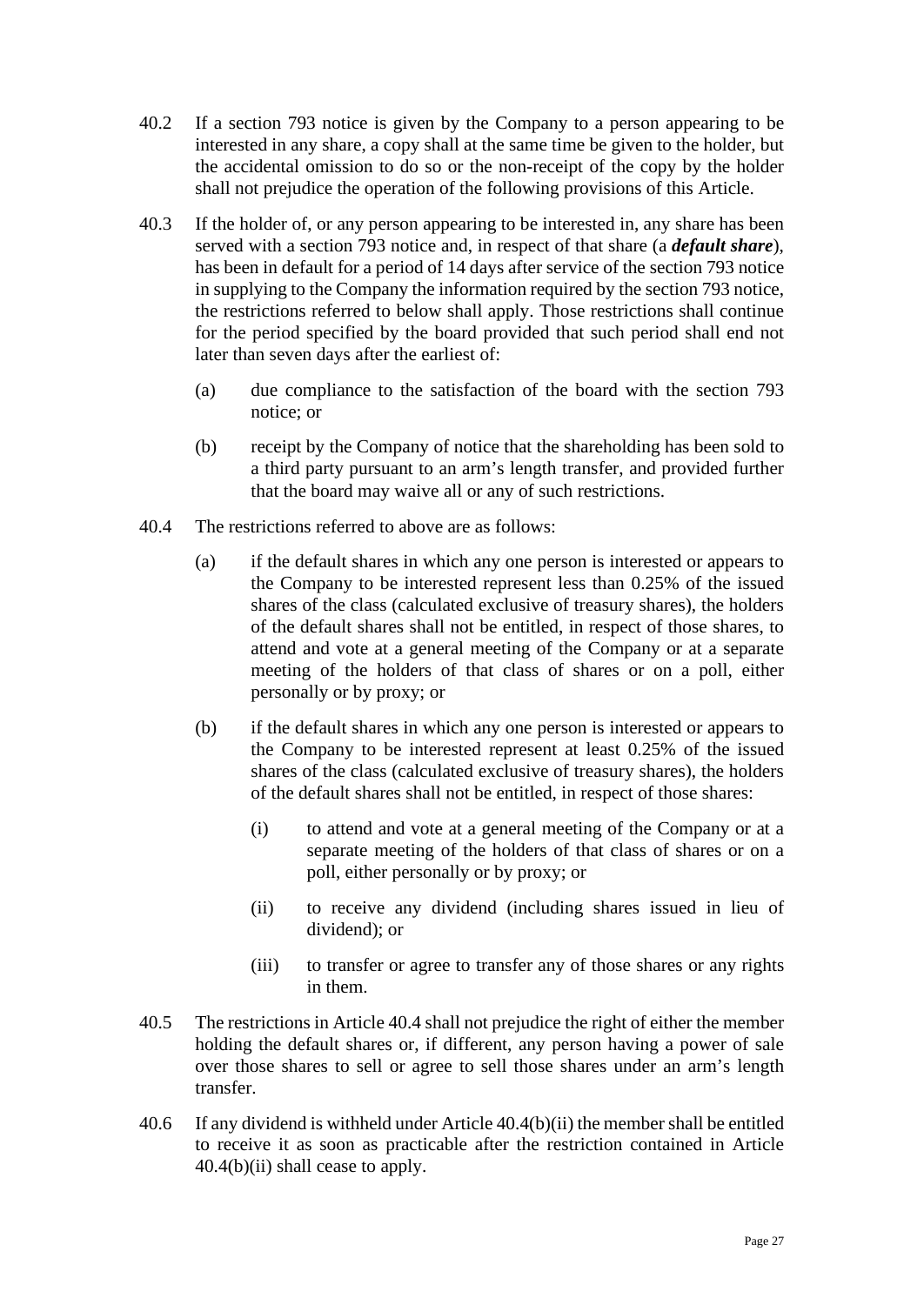- 40.2 If a section 793 notice is given by the Company to a person appearing to be interested in any share, a copy shall at the same time be given to the holder, but the accidental omission to do so or the non-receipt of the copy by the holder shall not prejudice the operation of the following provisions of this Article.
- 40.3 If the holder of, or any person appearing to be interested in, any share has been served with a section 793 notice and, in respect of that share (a *default share*), has been in default for a period of 14 days after service of the section 793 notice in supplying to the Company the information required by the section 793 notice, the restrictions referred to below shall apply. Those restrictions shall continue for the period specified by the board provided that such period shall end not later than seven days after the earliest of:
	- (a) due compliance to the satisfaction of the board with the section 793 notice; or
	- (b) receipt by the Company of notice that the shareholding has been sold to a third party pursuant to an arm's length transfer, and provided further that the board may waive all or any of such restrictions.
- <span id="page-26-0"></span>40.4 The restrictions referred to above are as follows:
	- (a) if the default shares in which any one person is interested or appears to the Company to be interested represent less than 0.25% of the issued shares of the class (calculated exclusive of treasury shares), the holders of the default shares shall not be entitled, in respect of those shares, to attend and vote at a general meeting of the Company or at a separate meeting of the holders of that class of shares or on a poll, either personally or by proxy; or
	- (b) if the default shares in which any one person is interested or appears to the Company to be interested represent at least 0.25% of the issued shares of the class (calculated exclusive of treasury shares), the holders of the default shares shall not be entitled, in respect of those shares:
		- (i) to attend and vote at a general meeting of the Company or at a separate meeting of the holders of that class of shares or on a poll, either personally or by proxy; or
		- (ii) to receive any dividend (including shares issued in lieu of dividend); or
		- (iii) to transfer or agree to transfer any of those shares or any rights in them.
- <span id="page-26-1"></span>40.5 The restrictions in Article [40.4](#page-26-0) shall not prejudice the right of either the member holding the default shares or, if different, any person having a power of sale over those shares to sell or agree to sell those shares under an arm's length transfer.
- 40.6 If any dividend is withheld under Article [40.4\(b\)\(ii\)](#page-26-1) the member shall be entitled to receive it as soon as practicable after the restriction contained in Article [40.4\(b\)\(ii\)](#page-26-1) shall cease to apply.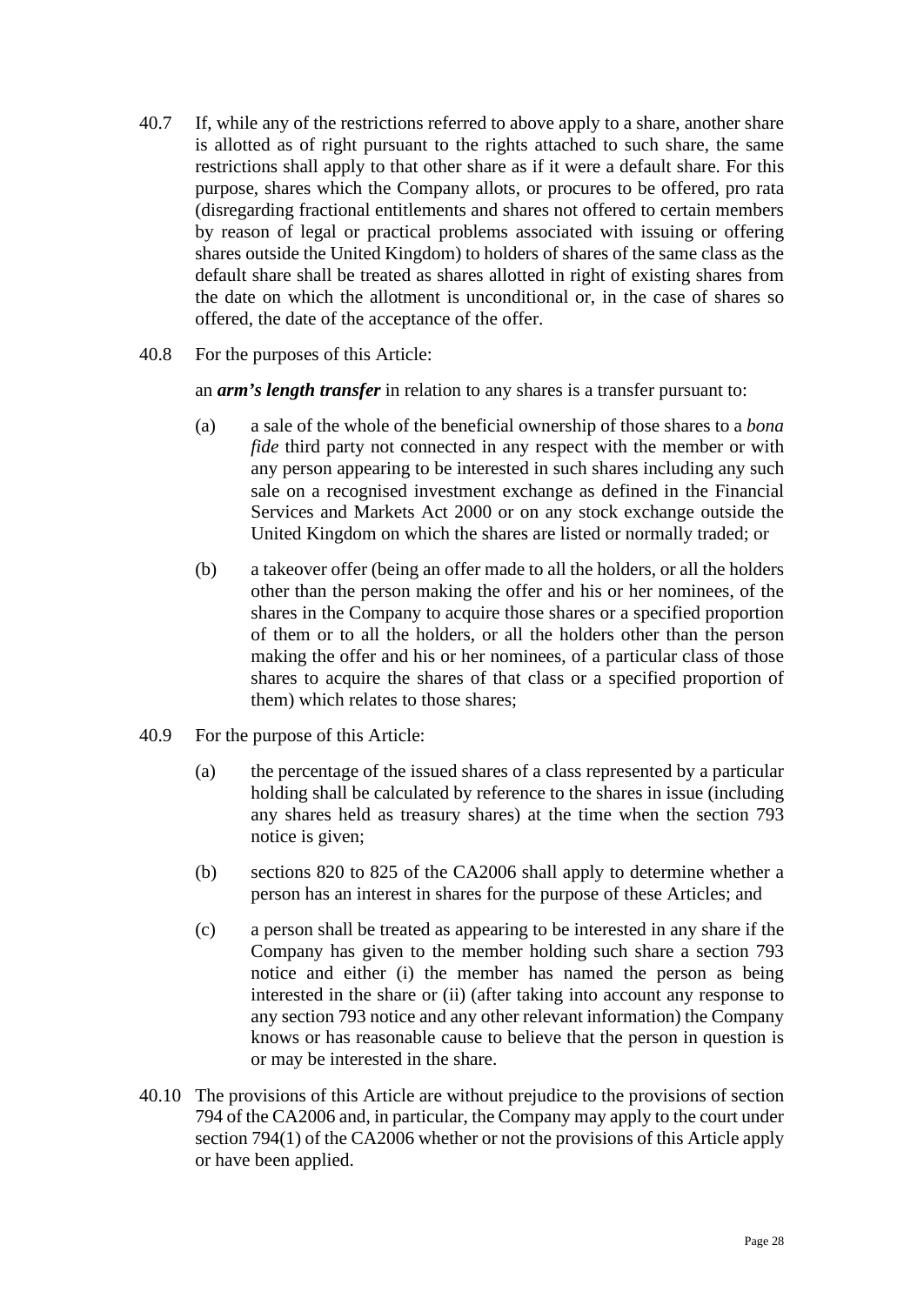- 40.7 If, while any of the restrictions referred to above apply to a share, another share is allotted as of right pursuant to the rights attached to such share, the same restrictions shall apply to that other share as if it were a default share. For this purpose, shares which the Company allots, or procures to be offered, pro rata (disregarding fractional entitlements and shares not offered to certain members by reason of legal or practical problems associated with issuing or offering shares outside the United Kingdom) to holders of shares of the same class as the default share shall be treated as shares allotted in right of existing shares from the date on which the allotment is unconditional or, in the case of shares so offered, the date of the acceptance of the offer.
- 40.8 For the purposes of this Article:

an *arm's length transfer* in relation to any shares is a transfer pursuant to:

- (a) a sale of the whole of the beneficial ownership of those shares to a *bona fide* third party not connected in any respect with the member or with any person appearing to be interested in such shares including any such sale on a recognised investment exchange as defined in the Financial Services and Markets Act 2000 or on any stock exchange outside the United Kingdom on which the shares are listed or normally traded; or
- (b) a takeover offer (being an offer made to all the holders, or all the holders other than the person making the offer and his or her nominees, of the shares in the Company to acquire those shares or a specified proportion of them or to all the holders, or all the holders other than the person making the offer and his or her nominees, of a particular class of those shares to acquire the shares of that class or a specified proportion of them) which relates to those shares;
- 40.9 For the purpose of this Article:
	- (a) the percentage of the issued shares of a class represented by a particular holding shall be calculated by reference to the shares in issue (including any shares held as treasury shares) at the time when the section 793 notice is given;
	- (b) sections 820 to 825 of the CA2006 shall apply to determine whether a person has an interest in shares for the purpose of these Articles; and
	- (c) a person shall be treated as appearing to be interested in any share if the Company has given to the member holding such share a section 793 notice and either (i) the member has named the person as being interested in the share or (ii) (after taking into account any response to any section 793 notice and any other relevant information) the Company knows or has reasonable cause to believe that the person in question is or may be interested in the share.
- 40.10 The provisions of this Article are without prejudice to the provisions of section 794 of the CA2006 and, in particular, the Company may apply to the court under section 794(1) of the CA2006 whether or not the provisions of this Article apply or have been applied.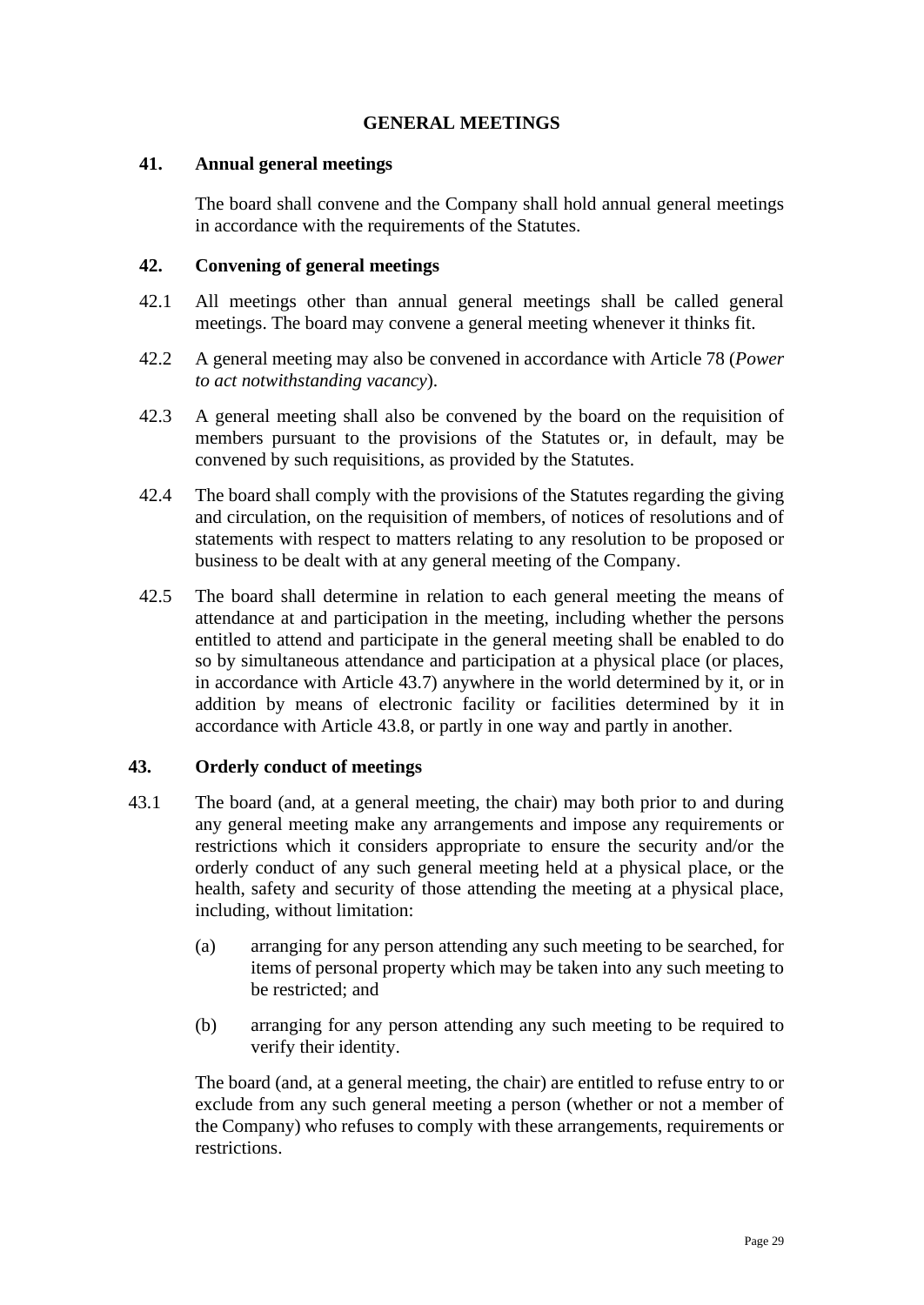## **GENERAL MEETINGS**

#### <span id="page-28-1"></span><span id="page-28-0"></span>**41. Annual general meetings**

The board shall convene and the Company shall hold annual general meetings in accordance with the requirements of the Statutes.

#### <span id="page-28-2"></span>**42. Convening of general meetings**

- 42.1 All meetings other than annual general meetings shall be called general meetings. The board may convene a general meeting whenever it thinks fit.
- 42.2 A general meeting may also be convened in accordance with Article [78](#page-47-3) (*Power to act notwithstanding vacancy*).
- 42.3 A general meeting shall also be convened by the board on the requisition of members pursuant to the provisions of the Statutes or, in default, may be convened by such requisitions, as provided by the Statutes.
- 42.4 The board shall comply with the provisions of the Statutes regarding the giving and circulation, on the requisition of members, of notices of resolutions and of statements with respect to matters relating to any resolution to be proposed or business to be dealt with at any general meeting of the Company.
- 42.5 The board shall determine in relation to each general meeting the means of attendance at and participation in the meeting, including whether the persons entitled to attend and participate in the general meeting shall be enabled to do so by simultaneous attendance and participation at a physical place (or places, in accordance with Article [43.7\)](#page-29-1) anywhere in the world determined by it, or in addition by means of electronic facility or facilities determined by it in accordance with Article [43.8,](#page-30-0) or partly in one way and partly in another.

#### <span id="page-28-3"></span>**43. Orderly conduct of meetings**

- 43.1 The board (and, at a general meeting, the chair) may both prior to and during any general meeting make any arrangements and impose any requirements or restrictions which it considers appropriate to ensure the security and/or the orderly conduct of any such general meeting held at a physical place, or the health, safety and security of those attending the meeting at a physical place, including, without limitation:
	- (a) arranging for any person attending any such meeting to be searched, for items of personal property which may be taken into any such meeting to be restricted; and
	- (b) arranging for any person attending any such meeting to be required to verify their identity.

The board (and, at a general meeting, the chair) are entitled to refuse entry to or exclude from any such general meeting a person (whether or not a member of the Company) who refuses to comply with these arrangements, requirements or restrictions.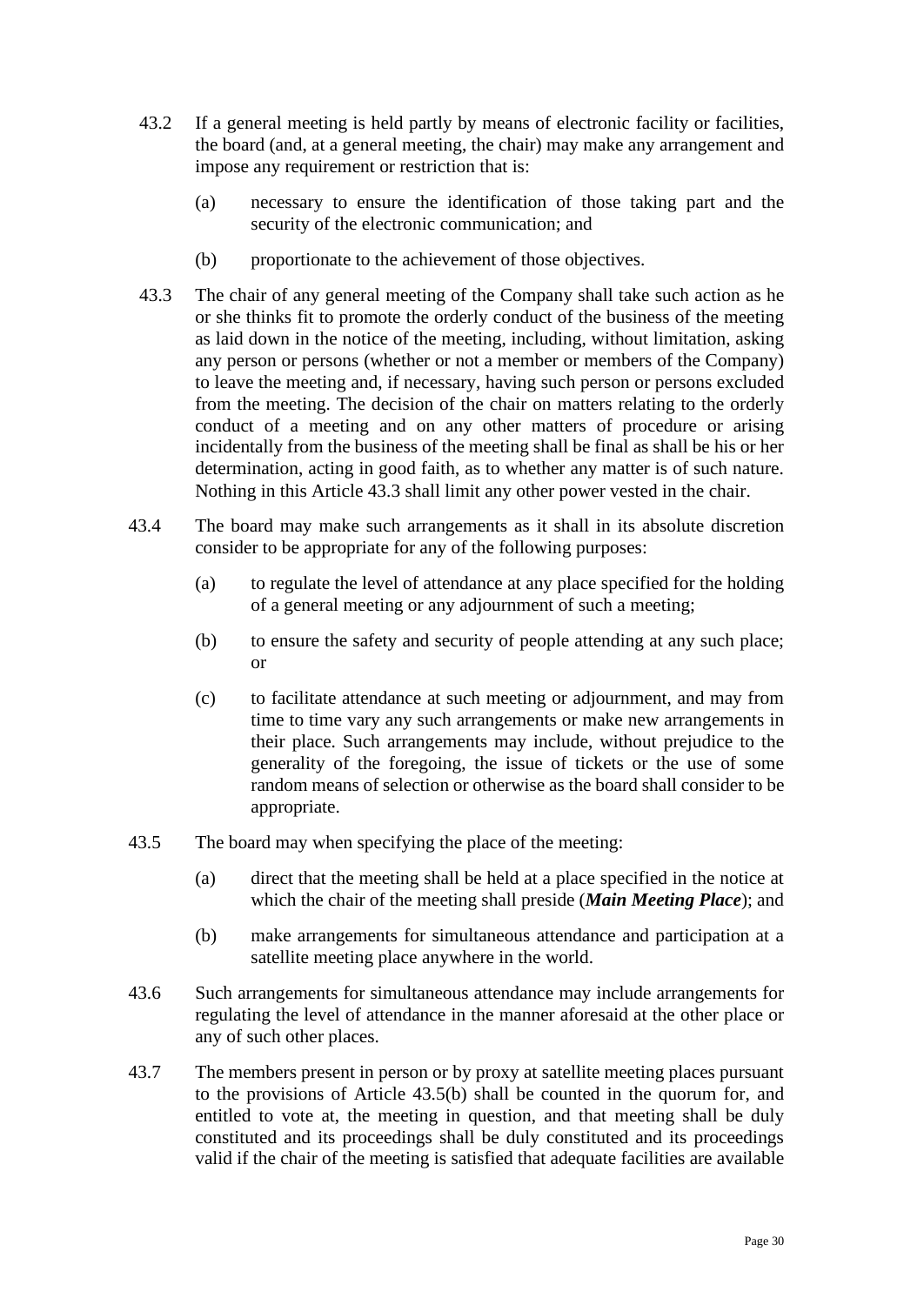- <span id="page-29-3"></span>43.2 If a general meeting is held partly by means of electronic facility or facilities, the board (and, at a general meeting, the chair) may make any arrangement and impose any requirement or restriction that is:
	- (a) necessary to ensure the identification of those taking part and the security of the electronic communication; and
	- (b) proportionate to the achievement of those objectives.
- 43.3 The chair of any general meeting of the Company shall take such action as he or she thinks fit to promote the orderly conduct of the business of the meeting as laid down in the notice of the meeting, including, without limitation, asking any person or persons (whether or not a member or members of the Company) to leave the meeting and, if necessary, having such person or persons excluded from the meeting. The decision of the chair on matters relating to the orderly conduct of a meeting and on any other matters of procedure or arising incidentally from the business of the meeting shall be final as shall be his or her determination, acting in good faith, as to whether any matter is of such nature. Nothing in this Article 43.3 shall limit any other power vested in the chair.
- 43.4 The board may make such arrangements as it shall in its absolute discretion consider to be appropriate for any of the following purposes:
	- (a) to regulate the level of attendance at any place specified for the holding of a general meeting or any adjournment of such a meeting;
	- (b) to ensure the safety and security of people attending at any such place; or
	- (c) to facilitate attendance at such meeting or adjournment, and may from time to time vary any such arrangements or make new arrangements in their place. Such arrangements may include, without prejudice to the generality of the foregoing, the issue of tickets or the use of some random means of selection or otherwise as the board shall consider to be appropriate.
- <span id="page-29-0"></span>43.5 The board may when specifying the place of the meeting:
	- (a) direct that the meeting shall be held at a place specified in the notice at which the chair of the meeting shall preside (*Main Meeting Place*); and
	- (b) make arrangements for simultaneous attendance and participation at a satellite meeting place anywhere in the world.
- <span id="page-29-2"></span>43.6 Such arrangements for simultaneous attendance may include arrangements for regulating the level of attendance in the manner aforesaid at the other place or any of such other places.
- <span id="page-29-1"></span>43.7 The members present in person or by proxy at satellite meeting places pursuant to the provisions of Article [43.5\(b\)](#page-29-2) shall be counted in the quorum for, and entitled to vote at, the meeting in question, and that meeting shall be duly constituted and its proceedings shall be duly constituted and its proceedings valid if the chair of the meeting is satisfied that adequate facilities are available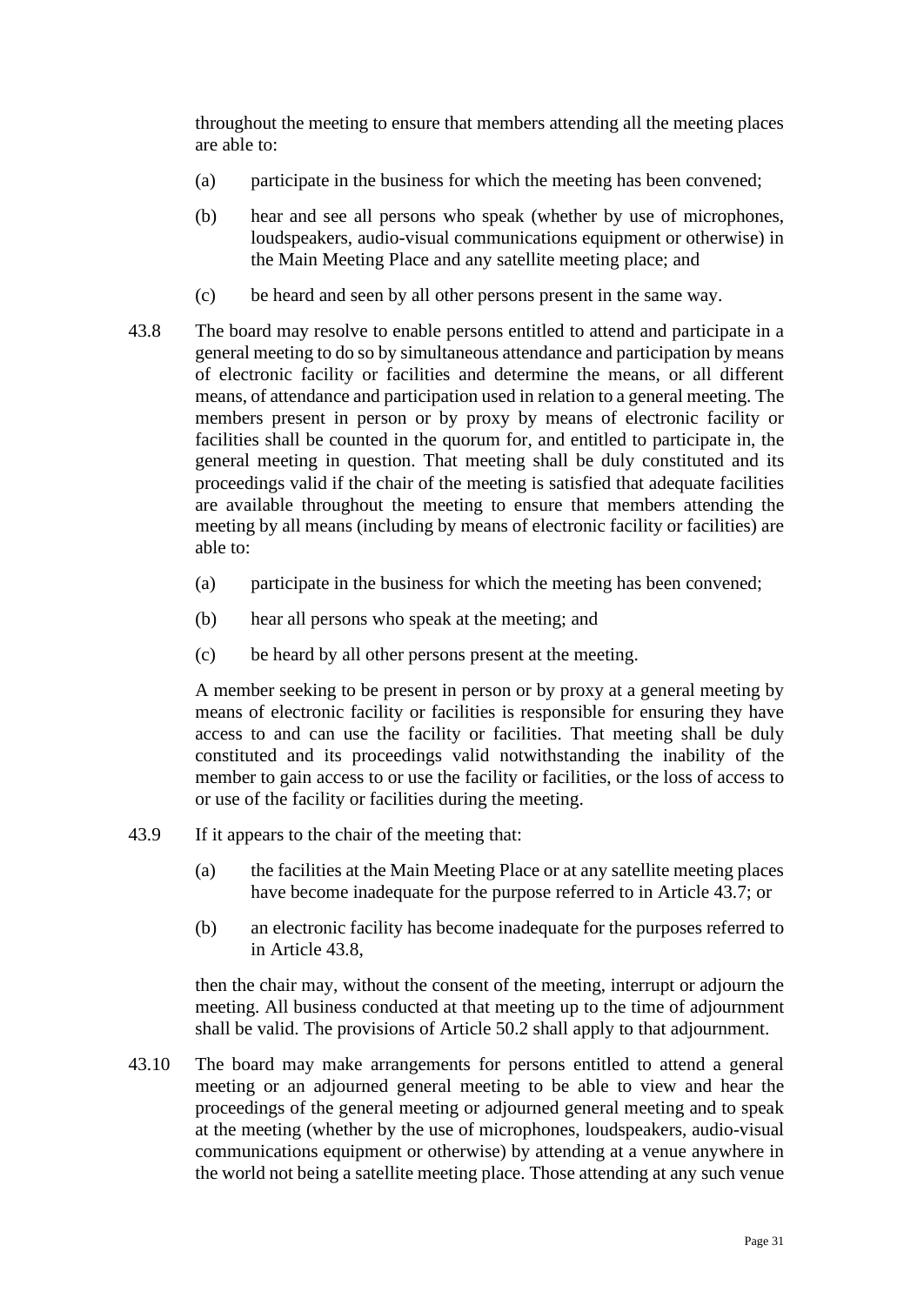throughout the meeting to ensure that members attending all the meeting places are able to:

- (a) participate in the business for which the meeting has been convened;
- (b) hear and see all persons who speak (whether by use of microphones, loudspeakers, audio-visual communications equipment or otherwise) in the Main Meeting Place and any satellite meeting place; and
- (c) be heard and seen by all other persons present in the same way.
- <span id="page-30-0"></span>43.8 The board may resolve to enable persons entitled to attend and participate in a general meeting to do so by simultaneous attendance and participation by means of electronic facility or facilities and determine the means, or all different means, of attendance and participation used in relation to a general meeting. The members present in person or by proxy by means of electronic facility or facilities shall be counted in the quorum for, and entitled to participate in, the general meeting in question. That meeting shall be duly constituted and its proceedings valid if the chair of the meeting is satisfied that adequate facilities are available throughout the meeting to ensure that members attending the meeting by all means (including by means of electronic facility or facilities) are able to:
	- (a) participate in the business for which the meeting has been convened;
	- (b) hear all persons who speak at the meeting; and
	- (c) be heard by all other persons present at the meeting.

A member seeking to be present in person or by proxy at a general meeting by means of electronic facility or facilities is responsible for ensuring they have access to and can use the facility or facilities. That meeting shall be duly constituted and its proceedings valid notwithstanding the inability of the member to gain access to or use the facility or facilities, or the loss of access to or use of the facility or facilities during the meeting.

- 43.9 If it appears to the chair of the meeting that:
	- (a) the facilities at the Main Meeting Place or at any satellite meeting places have become inadequate for the purpose referred to in Article [43.7;](#page-29-1) or
	- (b) an electronic facility has become inadequate for the purposes referred to in Article [43.8,](#page-30-0)

then the chair may, without the consent of the meeting, interrupt or adjourn the meeting. All business conducted at that meeting up to the time of adjournment shall be valid. The provisions of Article [50.2](#page-34-3) shall apply to that adjournment.

<span id="page-30-1"></span>43.10 The board may make arrangements for persons entitled to attend a general meeting or an adjourned general meeting to be able to view and hear the proceedings of the general meeting or adjourned general meeting and to speak at the meeting (whether by the use of microphones, loudspeakers, audio-visual communications equipment or otherwise) by attending at a venue anywhere in the world not being a satellite meeting place. Those attending at any such venue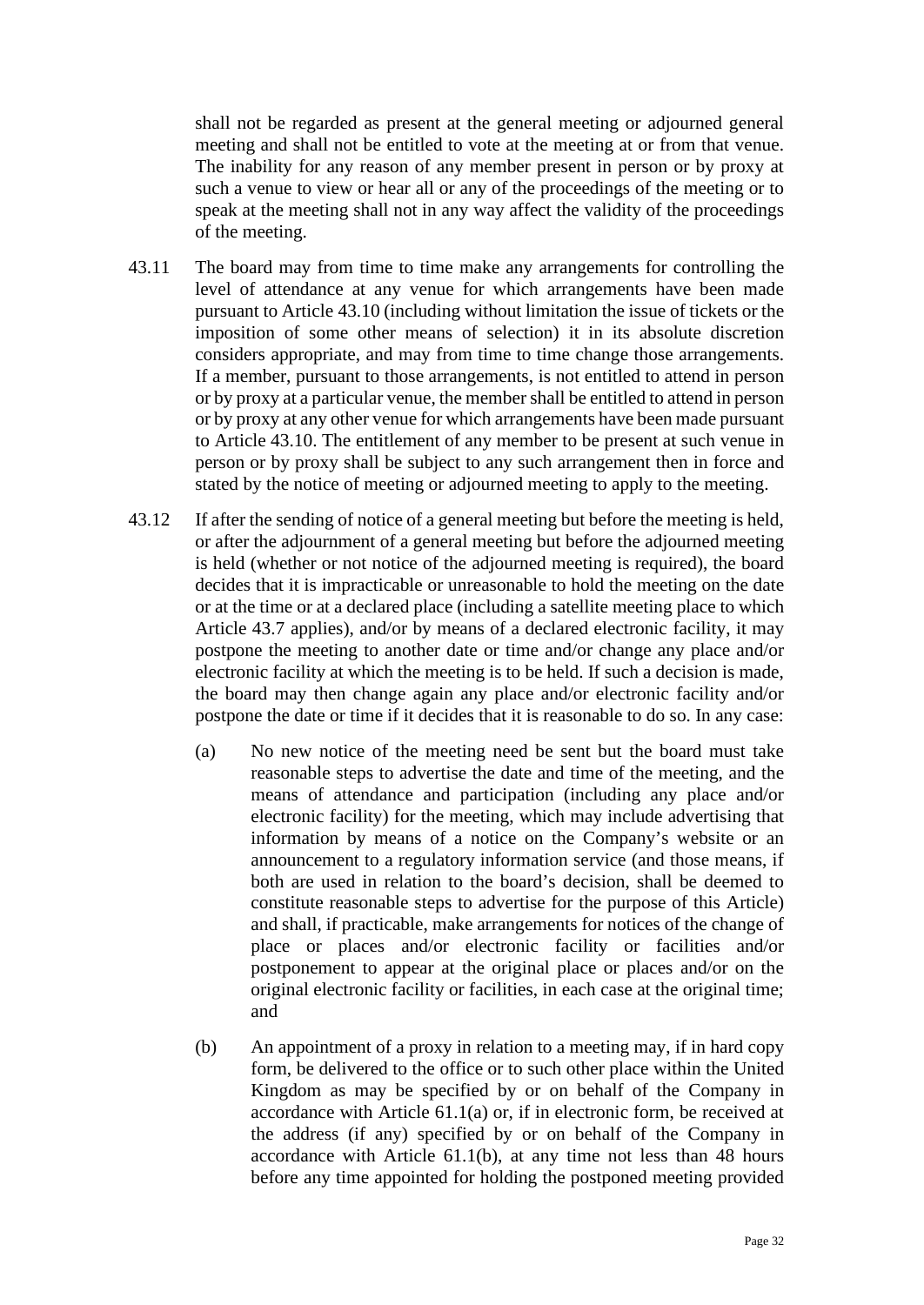shall not be regarded as present at the general meeting or adjourned general meeting and shall not be entitled to vote at the meeting at or from that venue. The inability for any reason of any member present in person or by proxy at such a venue to view or hear all or any of the proceedings of the meeting or to speak at the meeting shall not in any way affect the validity of the proceedings of the meeting.

- 43.11 The board may from time to time make any arrangements for controlling the level of attendance at any venue for which arrangements have been made pursuant to Article [43.10](#page-30-1) (including without limitation the issue of tickets or the imposition of some other means of selection) it in its absolute discretion considers appropriate, and may from time to time change those arrangements. If a member, pursuant to those arrangements, is not entitled to attend in person or by proxy at a particular venue, the member shall be entitled to attend in person or by proxy at any other venue for which arrangements have been made pursuant to Article [43.10.](#page-30-1) The entitlement of any member to be present at such venue in person or by proxy shall be subject to any such arrangement then in force and stated by the notice of meeting or adjourned meeting to apply to the meeting.
- 43.12 If after the sending of notice of a general meeting but before the meeting is held, or after the adjournment of a general meeting but before the adjourned meeting is held (whether or not notice of the adjourned meeting is required), the board decides that it is impracticable or unreasonable to hold the meeting on the date or at the time or at a declared place (including a satellite meeting place to which Article [43.7](#page-29-1) applies), and/or by means of a declared electronic facility, it may postpone the meeting to another date or time and/or change any place and/or electronic facility at which the meeting is to be held. If such a decision is made, the board may then change again any place and/or electronic facility and/or postpone the date or time if it decides that it is reasonable to do so. In any case:
	- (a) No new notice of the meeting need be sent but the board must take reasonable steps to advertise the date and time of the meeting, and the means of attendance and participation (including any place and/or electronic facility) for the meeting, which may include advertising that information by means of a notice on the Company's website or an announcement to a regulatory information service (and those means, if both are used in relation to the board's decision, shall be deemed to constitute reasonable steps to advertise for the purpose of this Article) and shall, if practicable, make arrangements for notices of the change of place or places and/or electronic facility or facilities and/or postponement to appear at the original place or places and/or on the original electronic facility or facilities, in each case at the original time; and
	- (b) An appointment of a proxy in relation to a meeting may, if in hard copy form, be delivered to the office or to such other place within the United Kingdom as may be specified by or on behalf of the Company in accordance with Article [61.1\(a\)](#page-39-2) or, if in electronic form, be received at the address (if any) specified by or on behalf of the Company in accordance with Article [61.1\(b\),](#page-39-3) at any time not less than 48 hours before any time appointed for holding the postponed meeting provided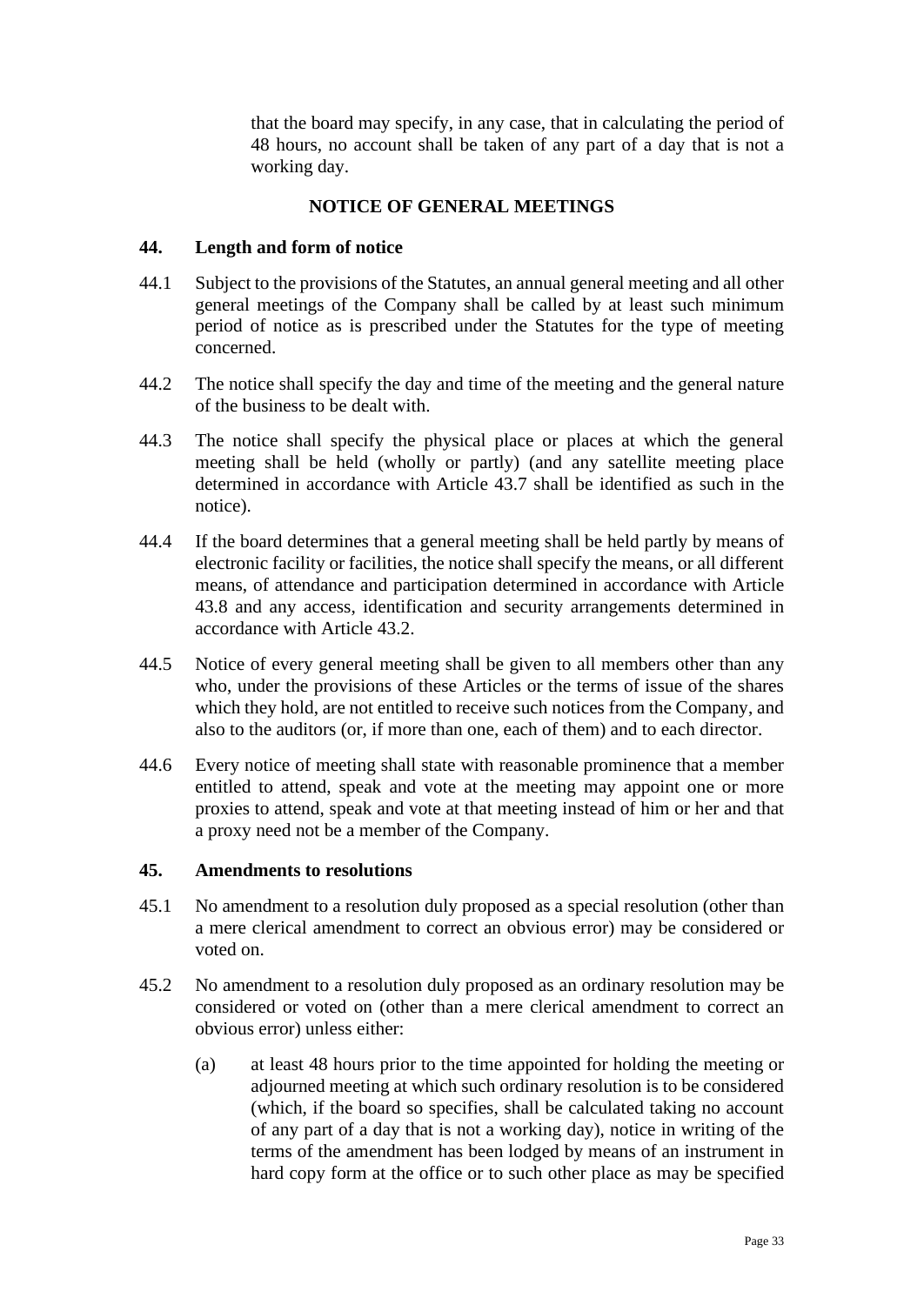that the board may specify, in any case, that in calculating the period of 48 hours, no account shall be taken of any part of a day that is not a working day.

#### **NOTICE OF GENERAL MEETINGS**

#### <span id="page-32-1"></span><span id="page-32-0"></span>**44. Length and form of notice**

- 44.1 Subject to the provisions of the Statutes, an annual general meeting and all other general meetings of the Company shall be called by at least such minimum period of notice as is prescribed under the Statutes for the type of meeting concerned.
- 44.2 The notice shall specify the day and time of the meeting and the general nature of the business to be dealt with.
- 44.3 The notice shall specify the physical place or places at which the general meeting shall be held (wholly or partly) (and any satellite meeting place determined in accordance with Article [43.7](#page-29-1) shall be identified as such in the notice).
- 44.4 If the board determines that a general meeting shall be held partly by means of electronic facility or facilities, the notice shall specify the means, or all different means, of attendance and participation determined in accordance with Article [43.8](#page-30-0) and any access, identification and security arrangements determined in accordance with Article [43.2.](#page-29-3)
- 44.5 Notice of every general meeting shall be given to all members other than any who, under the provisions of these Articles or the terms of issue of the shares which they hold, are not entitled to receive such notices from the Company, and also to the auditors (or, if more than one, each of them) and to each director.
- 44.6 Every notice of meeting shall state with reasonable prominence that a member entitled to attend, speak and vote at the meeting may appoint one or more proxies to attend, speak and vote at that meeting instead of him or her and that a proxy need not be a member of the Company.

#### <span id="page-32-2"></span>**45. Amendments to resolutions**

- 45.1 No amendment to a resolution duly proposed as a special resolution (other than a mere clerical amendment to correct an obvious error) may be considered or voted on.
- 45.2 No amendment to a resolution duly proposed as an ordinary resolution may be considered or voted on (other than a mere clerical amendment to correct an obvious error) unless either:
	- (a) at least 48 hours prior to the time appointed for holding the meeting or adjourned meeting at which such ordinary resolution is to be considered (which, if the board so specifies, shall be calculated taking no account of any part of a day that is not a working day), notice in writing of the terms of the amendment has been lodged by means of an instrument in hard copy form at the office or to such other place as may be specified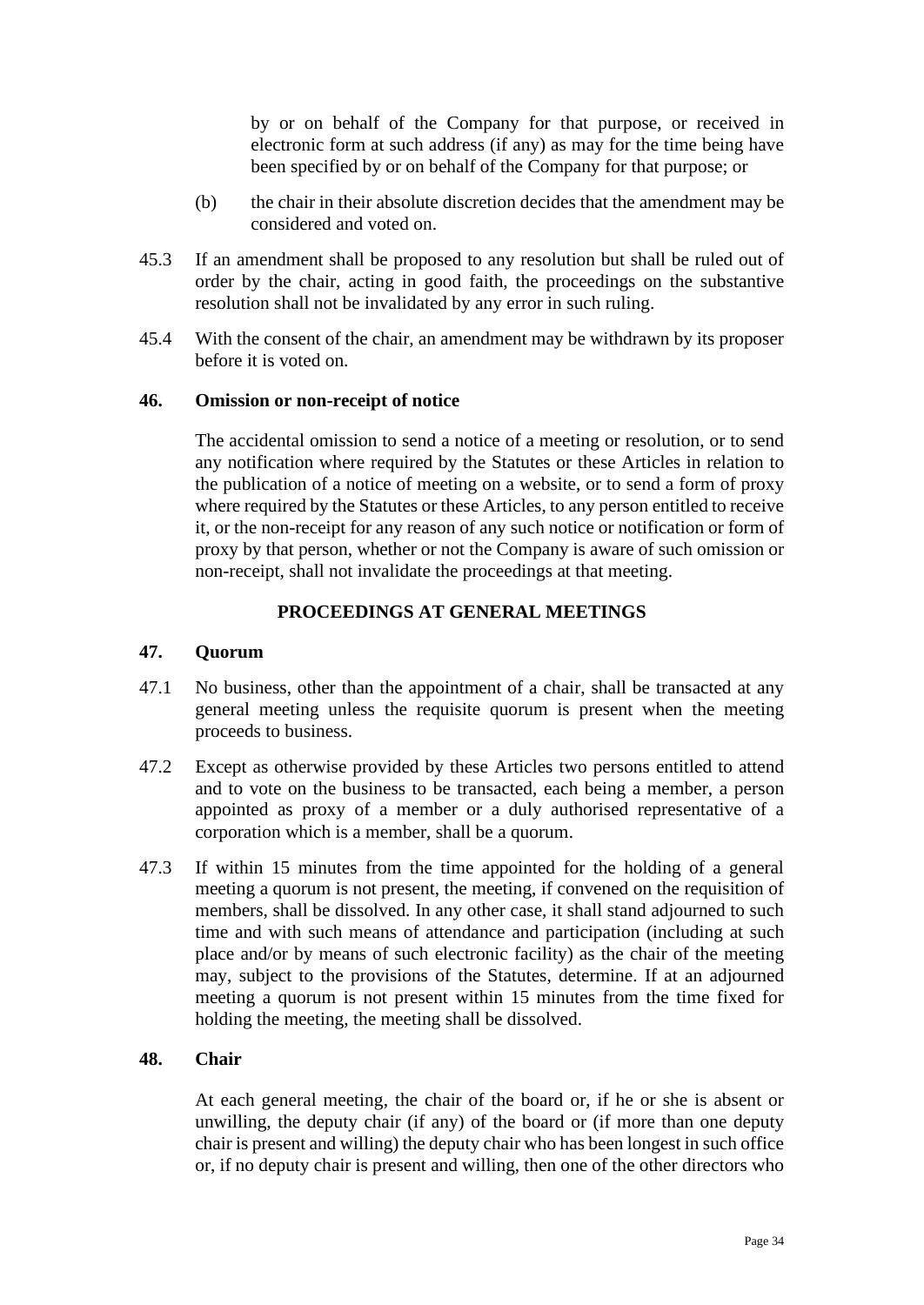by or on behalf of the Company for that purpose, or received in electronic form at such address (if any) as may for the time being have been specified by or on behalf of the Company for that purpose; or

- (b) the chair in their absolute discretion decides that the amendment may be considered and voted on.
- 45.3 If an amendment shall be proposed to any resolution but shall be ruled out of order by the chair, acting in good faith, the proceedings on the substantive resolution shall not be invalidated by any error in such ruling.
- 45.4 With the consent of the chair, an amendment may be withdrawn by its proposer before it is voted on.

#### <span id="page-33-0"></span>**46. Omission or non-receipt of notice**

The accidental omission to send a notice of a meeting or resolution, or to send any notification where required by the Statutes or these Articles in relation to the publication of a notice of meeting on a website, or to send a form of proxy where required by the Statutes or these Articles, to any person entitled to receive it, or the non-receipt for any reason of any such notice or notification or form of proxy by that person, whether or not the Company is aware of such omission or non-receipt, shall not invalidate the proceedings at that meeting.

## **PROCEEDINGS AT GENERAL MEETINGS**

#### <span id="page-33-2"></span><span id="page-33-1"></span>**47. Quorum**

- 47.1 No business, other than the appointment of a chair, shall be transacted at any general meeting unless the requisite quorum is present when the meeting proceeds to business.
- 47.2 Except as otherwise provided by these Articles two persons entitled to attend and to vote on the business to be transacted, each being a member, a person appointed as proxy of a member or a duly authorised representative of a corporation which is a member, shall be a quorum.
- 47.3 If within 15 minutes from the time appointed for the holding of a general meeting a quorum is not present, the meeting, if convened on the requisition of members, shall be dissolved. In any other case, it shall stand adjourned to such time and with such means of attendance and participation (including at such place and/or by means of such electronic facility) as the chair of the meeting may, subject to the provisions of the Statutes, determine. If at an adjourned meeting a quorum is not present within 15 minutes from the time fixed for holding the meeting, the meeting shall be dissolved.

#### <span id="page-33-3"></span>**48. Chair**

At each general meeting, the chair of the board or, if he or she is absent or unwilling, the deputy chair (if any) of the board or (if more than one deputy chair is present and willing) the deputy chair who has been longest in such office or, if no deputy chair is present and willing, then one of the other directors who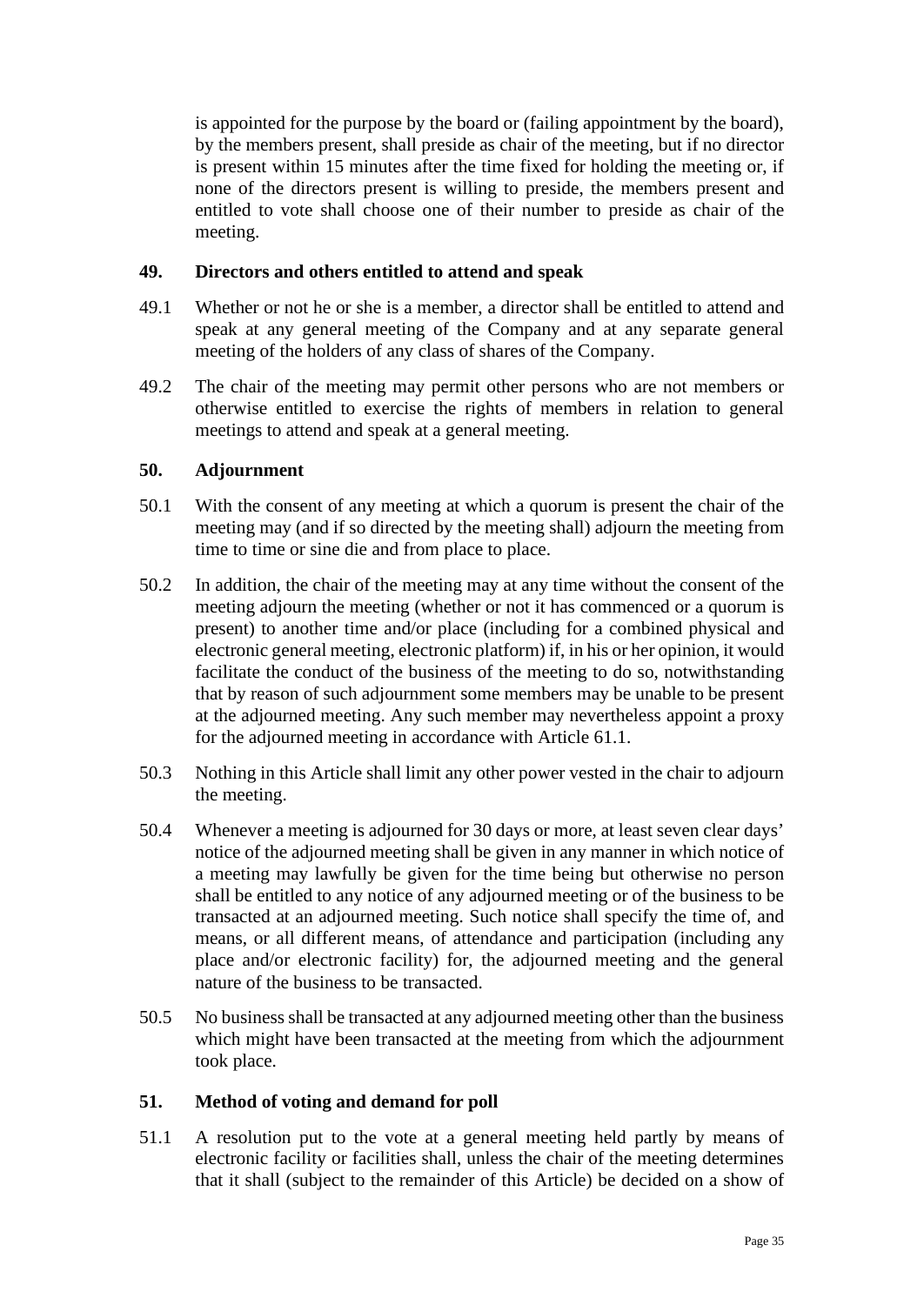is appointed for the purpose by the board or (failing appointment by the board), by the members present, shall preside as chair of the meeting, but if no director is present within 15 minutes after the time fixed for holding the meeting or, if none of the directors present is willing to preside, the members present and entitled to vote shall choose one of their number to preside as chair of the meeting.

### <span id="page-34-0"></span>**49. Directors and others entitled to attend and speak**

- 49.1 Whether or not he or she is a member, a director shall be entitled to attend and speak at any general meeting of the Company and at any separate general meeting of the holders of any class of shares of the Company.
- 49.2 The chair of the meeting may permit other persons who are not members or otherwise entitled to exercise the rights of members in relation to general meetings to attend and speak at a general meeting.

## <span id="page-34-1"></span>**50. Adjournment**

- 50.1 With the consent of any meeting at which a quorum is present the chair of the meeting may (and if so directed by the meeting shall) adjourn the meeting from time to time or sine die and from place to place.
- <span id="page-34-3"></span>50.2 In addition, the chair of the meeting may at any time without the consent of the meeting adjourn the meeting (whether or not it has commenced or a quorum is present) to another time and/or place (including for a combined physical and electronic general meeting, electronic platform) if, in his or her opinion, it would facilitate the conduct of the business of the meeting to do so, notwithstanding that by reason of such adjournment some members may be unable to be present at the adjourned meeting. Any such member may nevertheless appoint a proxy for the adjourned meeting in accordance with Article [61.1.](#page-39-4)
- 50.3 Nothing in this Article shall limit any other power vested in the chair to adjourn the meeting.
- 50.4 Whenever a meeting is adjourned for 30 days or more, at least seven clear days' notice of the adjourned meeting shall be given in any manner in which notice of a meeting may lawfully be given for the time being but otherwise no person shall be entitled to any notice of any adjourned meeting or of the business to be transacted at an adjourned meeting. Such notice shall specify the time of, and means, or all different means, of attendance and participation (including any place and/or electronic facility) for, the adjourned meeting and the general nature of the business to be transacted.
- 50.5 No business shall be transacted at any adjourned meeting other than the business which might have been transacted at the meeting from which the adjournment took place.

## <span id="page-34-2"></span>**51. Method of voting and demand for poll**

51.1 A resolution put to the vote at a general meeting held partly by means of electronic facility or facilities shall, unless the chair of the meeting determines that it shall (subject to the remainder of this Article) be decided on a show of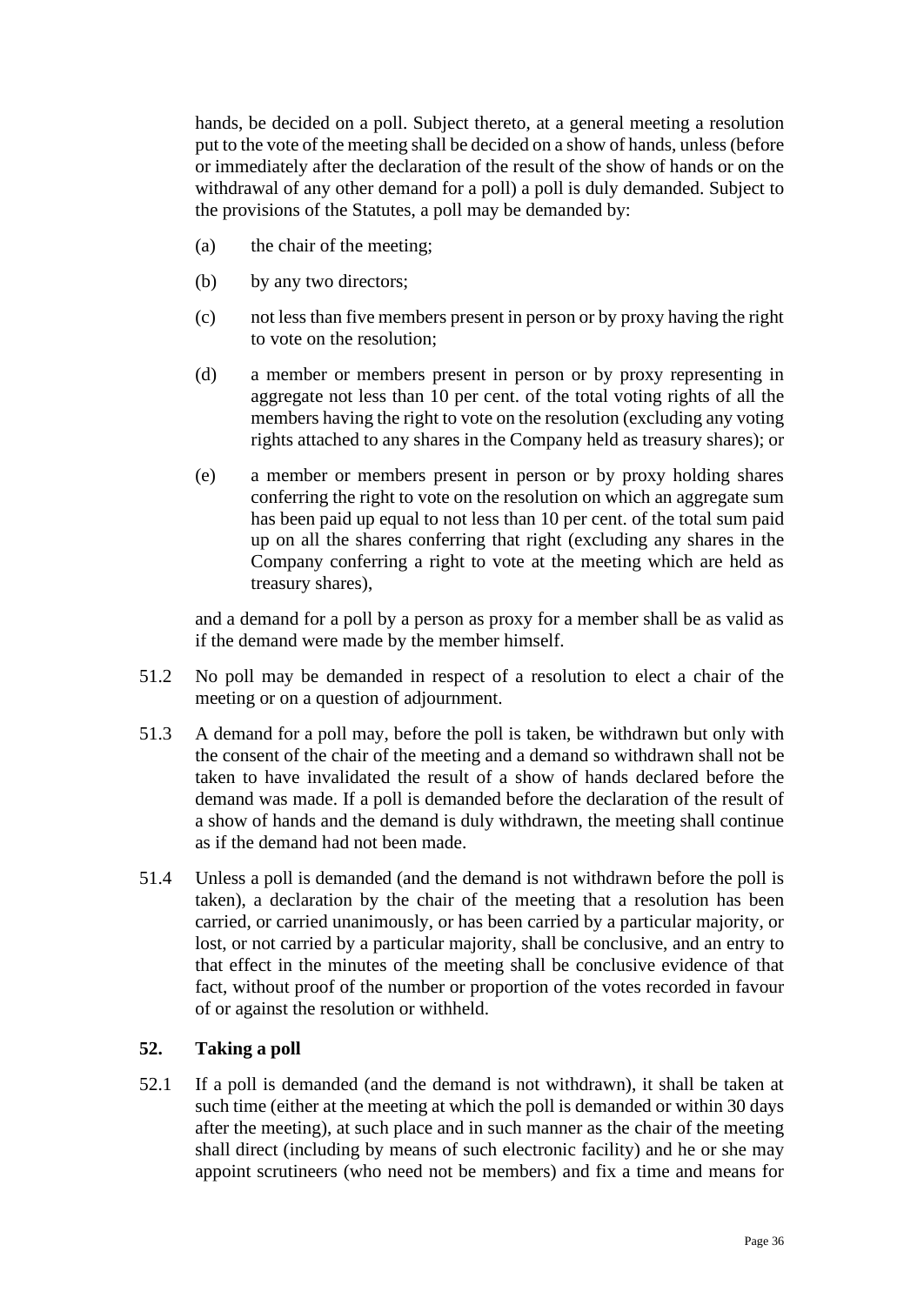hands, be decided on a poll. Subject thereto, at a general meeting a resolution put to the vote of the meeting shall be decided on a show of hands, unless (before or immediately after the declaration of the result of the show of hands or on the withdrawal of any other demand for a poll) a poll is duly demanded. Subject to the provisions of the Statutes, a poll may be demanded by:

- (a) the chair of the meeting;
- (b) by any two directors:
- (c) not less than five members present in person or by proxy having the right to vote on the resolution;
- (d) a member or members present in person or by proxy representing in aggregate not less than 10 per cent. of the total voting rights of all the members having the right to vote on the resolution (excluding any voting rights attached to any shares in the Company held as treasury shares); or
- (e) a member or members present in person or by proxy holding shares conferring the right to vote on the resolution on which an aggregate sum has been paid up equal to not less than 10 per cent. of the total sum paid up on all the shares conferring that right (excluding any shares in the Company conferring a right to vote at the meeting which are held as treasury shares),

and a demand for a poll by a person as proxy for a member shall be as valid as if the demand were made by the member himself.

- 51.2 No poll may be demanded in respect of a resolution to elect a chair of the meeting or on a question of adjournment.
- 51.3 A demand for a poll may, before the poll is taken, be withdrawn but only with the consent of the chair of the meeting and a demand so withdrawn shall not be taken to have invalidated the result of a show of hands declared before the demand was made. If a poll is demanded before the declaration of the result of a show of hands and the demand is duly withdrawn, the meeting shall continue as if the demand had not been made.
- 51.4 Unless a poll is demanded (and the demand is not withdrawn before the poll is taken), a declaration by the chair of the meeting that a resolution has been carried, or carried unanimously, or has been carried by a particular majority, or lost, or not carried by a particular majority, shall be conclusive, and an entry to that effect in the minutes of the meeting shall be conclusive evidence of that fact, without proof of the number or proportion of the votes recorded in favour of or against the resolution or withheld.

## <span id="page-35-0"></span>**52. Taking a poll**

52.1 If a poll is demanded (and the demand is not withdrawn), it shall be taken at such time (either at the meeting at which the poll is demanded or within 30 days after the meeting), at such place and in such manner as the chair of the meeting shall direct (including by means of such electronic facility) and he or she may appoint scrutineers (who need not be members) and fix a time and means for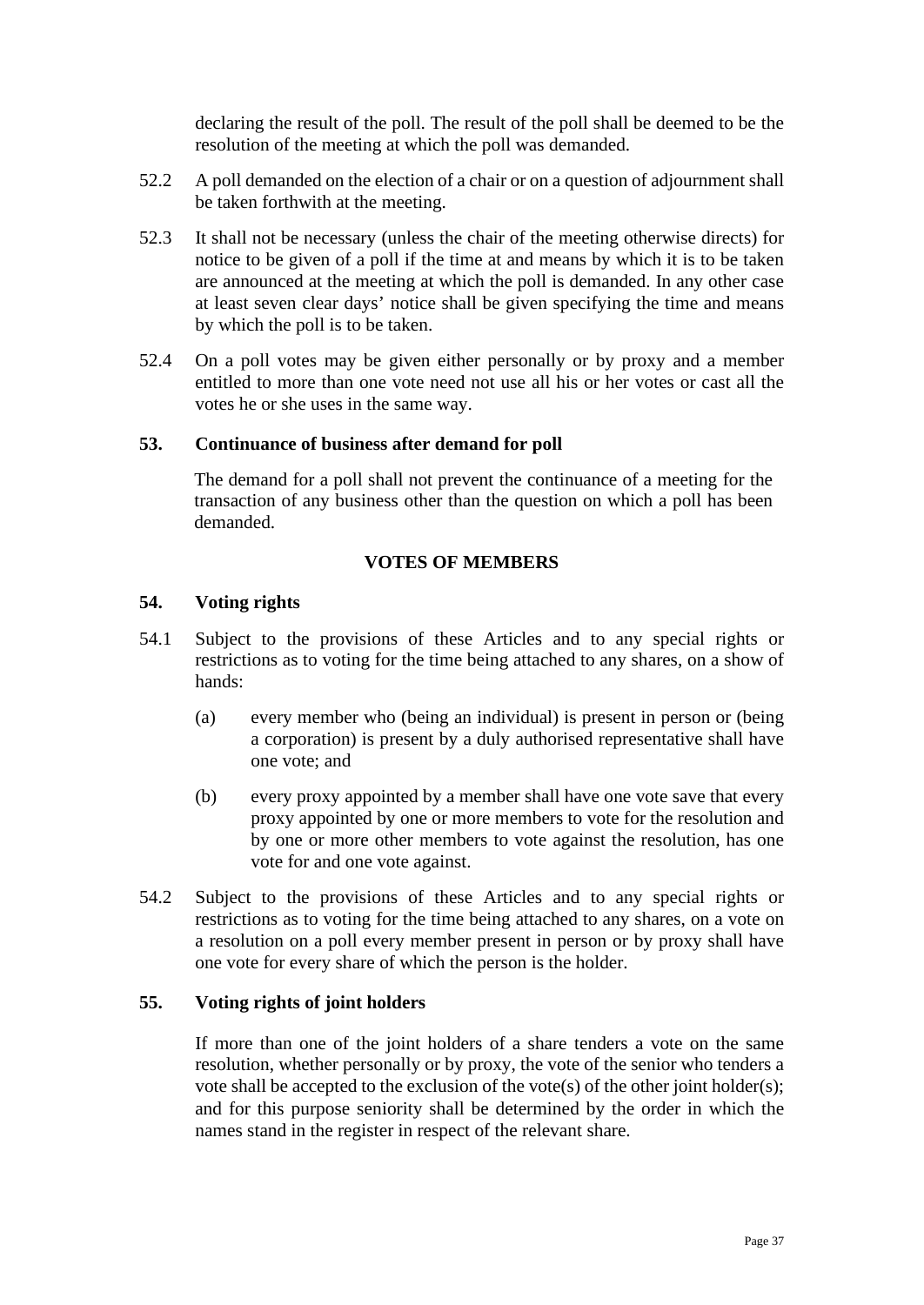declaring the result of the poll. The result of the poll shall be deemed to be the resolution of the meeting at which the poll was demanded.

- 52.2 A poll demanded on the election of a chair or on a question of adjournment shall be taken forthwith at the meeting.
- 52.3 It shall not be necessary (unless the chair of the meeting otherwise directs) for notice to be given of a poll if the time at and means by which it is to be taken are announced at the meeting at which the poll is demanded. In any other case at least seven clear days' notice shall be given specifying the time and means by which the poll is to be taken.
- 52.4 On a poll votes may be given either personally or by proxy and a member entitled to more than one vote need not use all his or her votes or cast all the votes he or she uses in the same way.

## **53. Continuance of business after demand for poll**

The demand for a poll shall not prevent the continuance of a meeting for the transaction of any business other than the question on which a poll has been demanded.

#### **VOTES OF MEMBERS**

### **54. Voting rights**

- 54.1 Subject to the provisions of these Articles and to any special rights or restrictions as to voting for the time being attached to any shares, on a show of hands:
	- (a) every member who (being an individual) is present in person or (being a corporation) is present by a duly authorised representative shall have one vote; and
	- (b) every proxy appointed by a member shall have one vote save that every proxy appointed by one or more members to vote for the resolution and by one or more other members to vote against the resolution, has one vote for and one vote against.
- 54.2 Subject to the provisions of these Articles and to any special rights or restrictions as to voting for the time being attached to any shares, on a vote on a resolution on a poll every member present in person or by proxy shall have one vote for every share of which the person is the holder.

## **55. Voting rights of joint holders**

If more than one of the joint holders of a share tenders a vote on the same resolution, whether personally or by proxy, the vote of the senior who tenders a vote shall be accepted to the exclusion of the vote(s) of the other joint holder(s); and for this purpose seniority shall be determined by the order in which the names stand in the register in respect of the relevant share.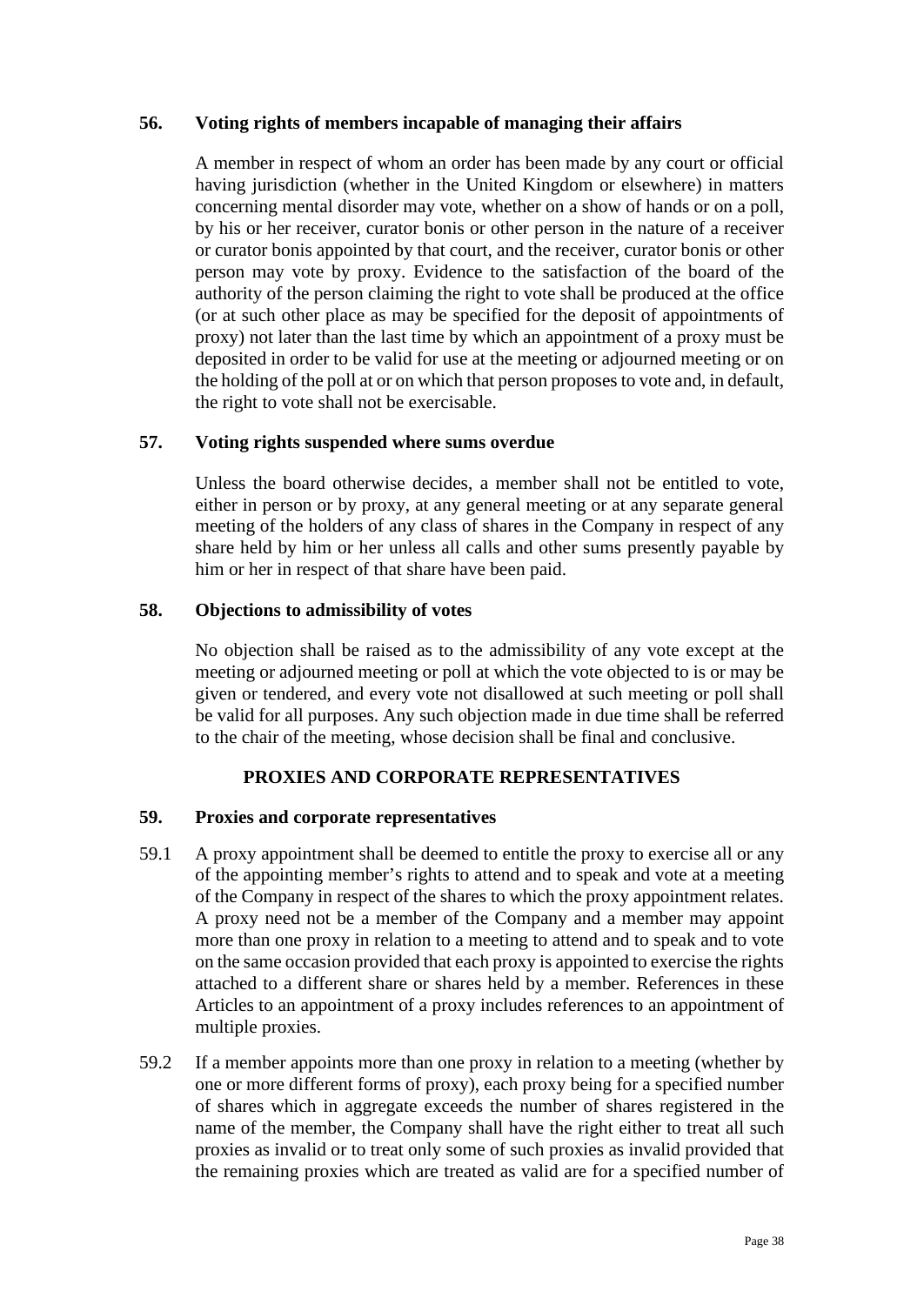## **56. Voting rights of members incapable of managing their affairs**

A member in respect of whom an order has been made by any court or official having jurisdiction (whether in the United Kingdom or elsewhere) in matters concerning mental disorder may vote, whether on a show of hands or on a poll, by his or her receiver, curator bonis or other person in the nature of a receiver or curator bonis appointed by that court, and the receiver, curator bonis or other person may vote by proxy. Evidence to the satisfaction of the board of the authority of the person claiming the right to vote shall be produced at the office (or at such other place as may be specified for the deposit of appointments of proxy) not later than the last time by which an appointment of a proxy must be deposited in order to be valid for use at the meeting or adjourned meeting or on the holding of the poll at or on which that person proposes to vote and, in default, the right to vote shall not be exercisable.

## **57. Voting rights suspended where sums overdue**

Unless the board otherwise decides, a member shall not be entitled to vote, either in person or by proxy, at any general meeting or at any separate general meeting of the holders of any class of shares in the Company in respect of any share held by him or her unless all calls and other sums presently payable by him or her in respect of that share have been paid.

## **58. Objections to admissibility of votes**

No objection shall be raised as to the admissibility of any vote except at the meeting or adjourned meeting or poll at which the vote objected to is or may be given or tendered, and every vote not disallowed at such meeting or poll shall be valid for all purposes. Any such objection made in due time shall be referred to the chair of the meeting, whose decision shall be final and conclusive.

# **PROXIES AND CORPORATE REPRESENTATIVES**

## **59. Proxies and corporate representatives**

- 59.1 A proxy appointment shall be deemed to entitle the proxy to exercise all or any of the appointing member's rights to attend and to speak and vote at a meeting of the Company in respect of the shares to which the proxy appointment relates. A proxy need not be a member of the Company and a member may appoint more than one proxy in relation to a meeting to attend and to speak and to vote on the same occasion provided that each proxy is appointed to exercise the rights attached to a different share or shares held by a member. References in these Articles to an appointment of a proxy includes references to an appointment of multiple proxies.
- 59.2 If a member appoints more than one proxy in relation to a meeting (whether by one or more different forms of proxy), each proxy being for a specified number of shares which in aggregate exceeds the number of shares registered in the name of the member, the Company shall have the right either to treat all such proxies as invalid or to treat only some of such proxies as invalid provided that the remaining proxies which are treated as valid are for a specified number of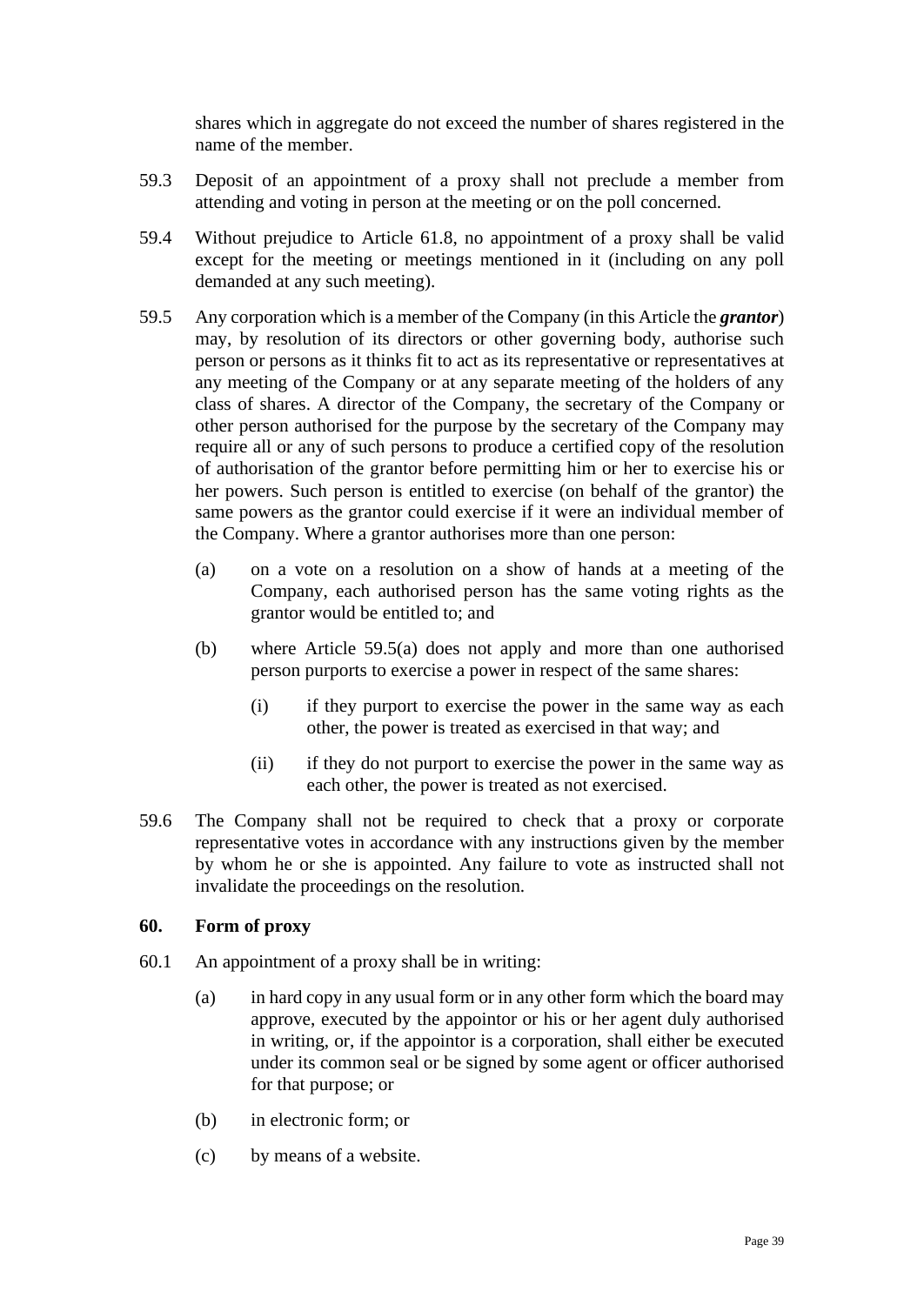shares which in aggregate do not exceed the number of shares registered in the name of the member.

- 59.3 Deposit of an appointment of a proxy shall not preclude a member from attending and voting in person at the meeting or on the poll concerned.
- 59.4 Without prejudice to Article [61.8,](#page-40-0) no appointment of a proxy shall be valid except for the meeting or meetings mentioned in it (including on any poll demanded at any such meeting).
- <span id="page-38-0"></span>59.5 Any corporation which is a member of the Company (in this Article the *grantor*) may, by resolution of its directors or other governing body, authorise such person or persons as it thinks fit to act as its representative or representatives at any meeting of the Company or at any separate meeting of the holders of any class of shares. A director of the Company, the secretary of the Company or other person authorised for the purpose by the secretary of the Company may require all or any of such persons to produce a certified copy of the resolution of authorisation of the grantor before permitting him or her to exercise his or her powers. Such person is entitled to exercise (on behalf of the grantor) the same powers as the grantor could exercise if it were an individual member of the Company. Where a grantor authorises more than one person:
	- (a) on a vote on a resolution on a show of hands at a meeting of the Company, each authorised person has the same voting rights as the grantor would be entitled to; and
	- (b) where Article [59.5\(a\)](#page-38-0) does not apply and more than one authorised person purports to exercise a power in respect of the same shares:
		- (i) if they purport to exercise the power in the same way as each other, the power is treated as exercised in that way; and
		- (ii) if they do not purport to exercise the power in the same way as each other, the power is treated as not exercised.
- 59.6 The Company shall not be required to check that a proxy or corporate representative votes in accordance with any instructions given by the member by whom he or she is appointed. Any failure to vote as instructed shall not invalidate the proceedings on the resolution.

## **60. Form of proxy**

- 60.1 An appointment of a proxy shall be in writing:
	- (a) in hard copy in any usual form or in any other form which the board may approve, executed by the appointor or his or her agent duly authorised in writing, or, if the appointor is a corporation, shall either be executed under its common seal or be signed by some agent or officer authorised for that purpose; or
	- (b) in electronic form; or
	- (c) by means of a website.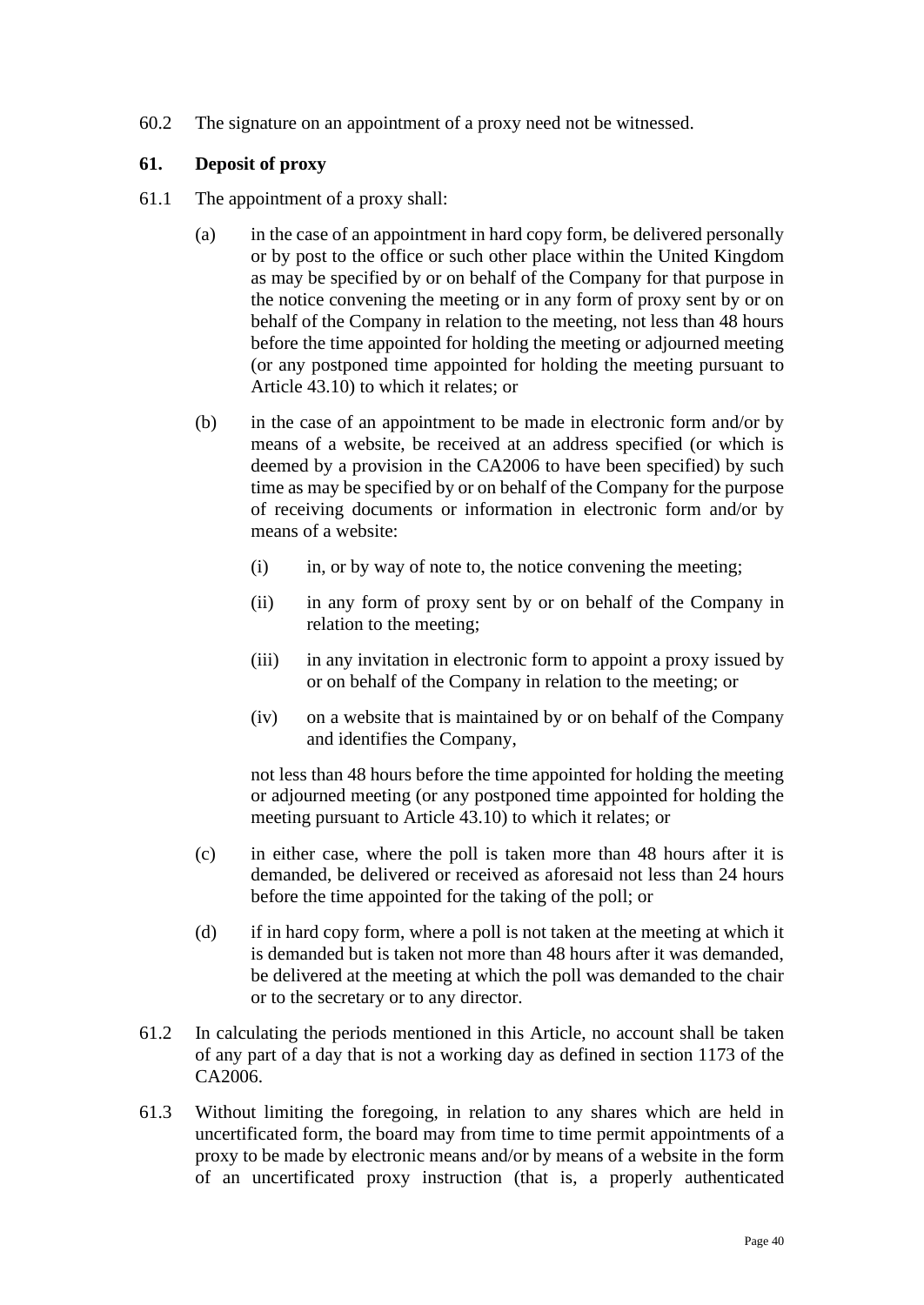60.2 The signature on an appointment of a proxy need not be witnessed.

# **61. Deposit of proxy**

- <span id="page-39-2"></span><span id="page-39-1"></span><span id="page-39-0"></span>61.1 The appointment of a proxy shall:
	- (a) in the case of an appointment in hard copy form, be delivered personally or by post to the office or such other place within the United Kingdom as may be specified by or on behalf of the Company for that purpose in the notice convening the meeting or in any form of proxy sent by or on behalf of the Company in relation to the meeting, not less than 48 hours before the time appointed for holding the meeting or adjourned meeting (or any postponed time appointed for holding the meeting pursuant to Article [43.10\)](#page-30-0) to which it relates; or
	- (b) in the case of an appointment to be made in electronic form and/or by means of a website, be received at an address specified (or which is deemed by a provision in the CA2006 to have been specified) by such time as may be specified by or on behalf of the Company for the purpose of receiving documents or information in electronic form and/or by means of a website:
		- (i) in, or by way of note to, the notice convening the meeting;
		- (ii) in any form of proxy sent by or on behalf of the Company in relation to the meeting;
		- (iii) in any invitation in electronic form to appoint a proxy issued by or on behalf of the Company in relation to the meeting; or
		- (iv) on a website that is maintained by or on behalf of the Company and identifies the Company,

not less than 48 hours before the time appointed for holding the meeting or adjourned meeting (or any postponed time appointed for holding the meeting pursuant to Article [43.10\)](#page-30-0) to which it relates; or

- (c) in either case, where the poll is taken more than 48 hours after it is demanded, be delivered or received as aforesaid not less than 24 hours before the time appointed for the taking of the poll; or
- (d) if in hard copy form, where a poll is not taken at the meeting at which it is demanded but is taken not more than 48 hours after it was demanded, be delivered at the meeting at which the poll was demanded to the chair or to the secretary or to any director.
- 61.2 In calculating the periods mentioned in this Article, no account shall be taken of any part of a day that is not a working day as defined in section 1173 of the CA2006.
- 61.3 Without limiting the foregoing, in relation to any shares which are held in uncertificated form, the board may from time to time permit appointments of a proxy to be made by electronic means and/or by means of a website in the form of an uncertificated proxy instruction (that is, a properly authenticated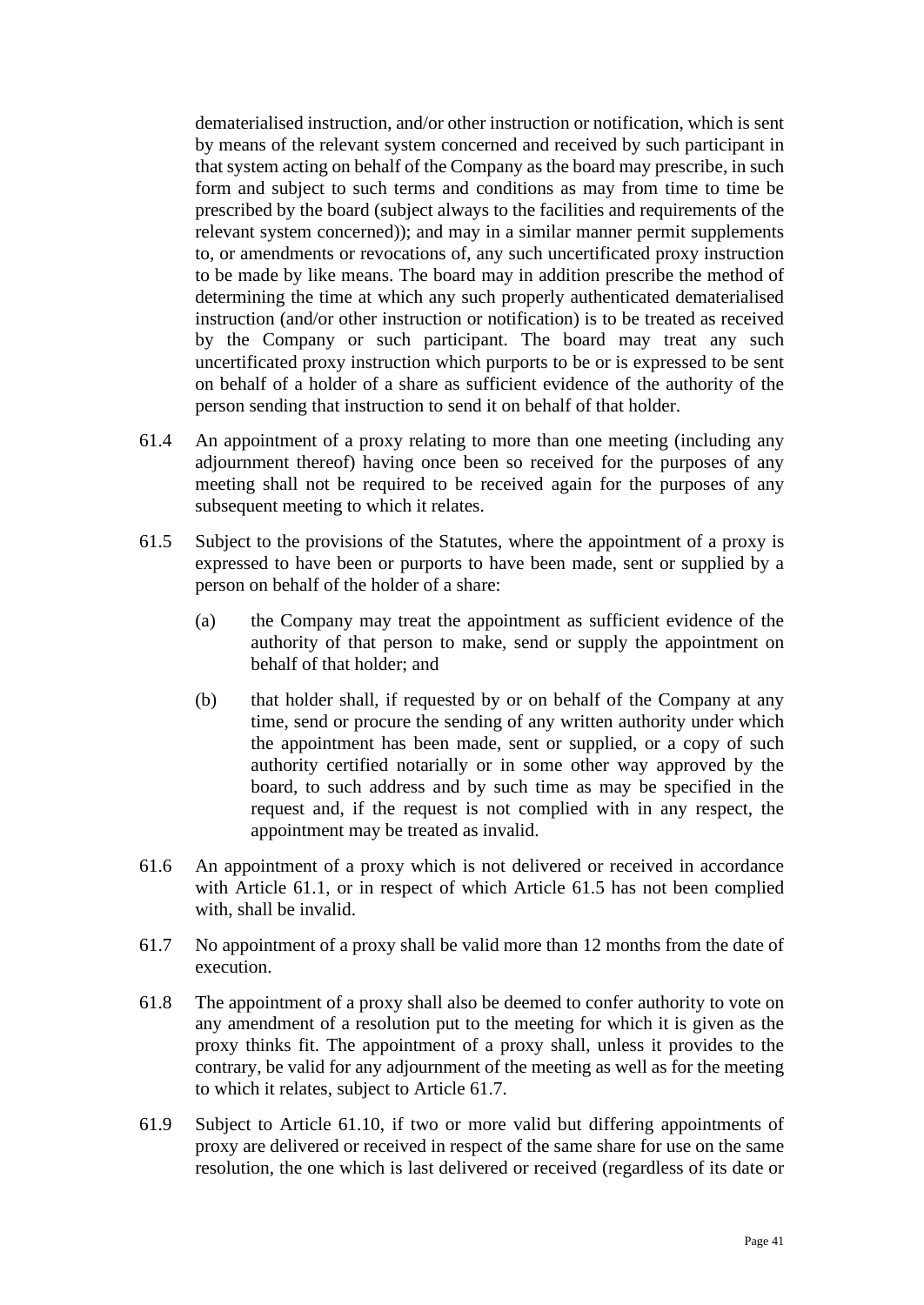dematerialised instruction, and/or other instruction or notification, which is sent by means of the relevant system concerned and received by such participant in that system acting on behalf of the Company as the board may prescribe, in such form and subject to such terms and conditions as may from time to time be prescribed by the board (subject always to the facilities and requirements of the relevant system concerned)); and may in a similar manner permit supplements to, or amendments or revocations of, any such uncertificated proxy instruction to be made by like means. The board may in addition prescribe the method of determining the time at which any such properly authenticated dematerialised instruction (and/or other instruction or notification) is to be treated as received by the Company or such participant. The board may treat any such uncertificated proxy instruction which purports to be or is expressed to be sent on behalf of a holder of a share as sufficient evidence of the authority of the person sending that instruction to send it on behalf of that holder.

- 61.4 An appointment of a proxy relating to more than one meeting (including any adjournment thereof) having once been so received for the purposes of any meeting shall not be required to be received again for the purposes of any subsequent meeting to which it relates.
- <span id="page-40-1"></span>61.5 Subject to the provisions of the Statutes, where the appointment of a proxy is expressed to have been or purports to have been made, sent or supplied by a person on behalf of the holder of a share:
	- (a) the Company may treat the appointment as sufficient evidence of the authority of that person to make, send or supply the appointment on behalf of that holder; and
	- (b) that holder shall, if requested by or on behalf of the Company at any time, send or procure the sending of any written authority under which the appointment has been made, sent or supplied, or a copy of such authority certified notarially or in some other way approved by the board, to such address and by such time as may be specified in the request and, if the request is not complied with in any respect, the appointment may be treated as invalid.
- 61.6 An appointment of a proxy which is not delivered or received in accordance with Article [61.1,](#page-39-0) or in respect of which Article [61.5](#page-40-1) has not been complied with, shall be invalid.
- <span id="page-40-2"></span>61.7 No appointment of a proxy shall be valid more than 12 months from the date of execution.
- <span id="page-40-0"></span>61.8 The appointment of a proxy shall also be deemed to confer authority to vote on any amendment of a resolution put to the meeting for which it is given as the proxy thinks fit. The appointment of a proxy shall, unless it provides to the contrary, be valid for any adjournment of the meeting as well as for the meeting to which it relates, subject to Article [61.7.](#page-40-2)
- 61.9 Subject to Article [61.10,](#page-41-0) if two or more valid but differing appointments of proxy are delivered or received in respect of the same share for use on the same resolution, the one which is last delivered or received (regardless of its date or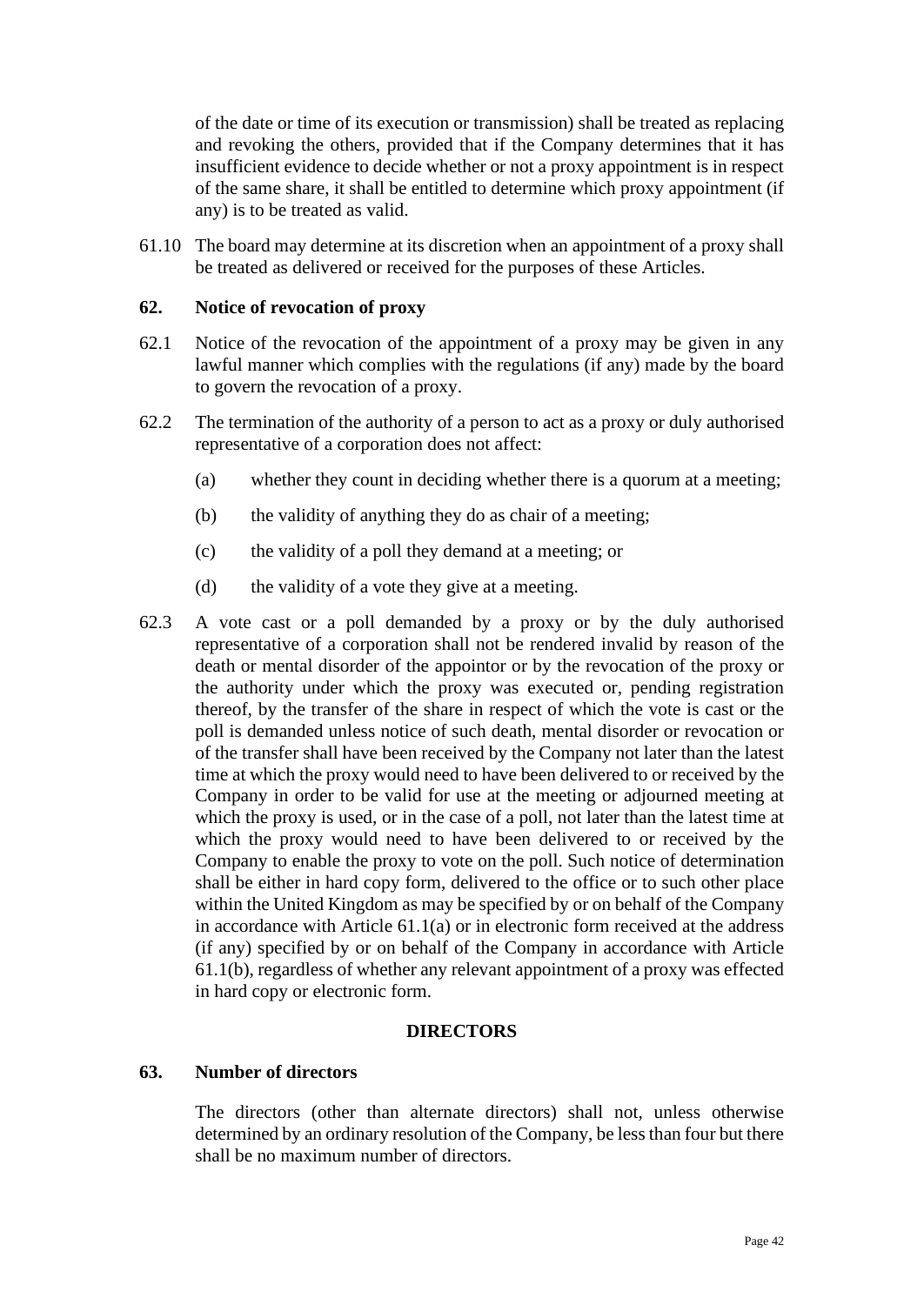of the date or time of its execution or transmission) shall be treated as replacing and revoking the others, provided that if the Company determines that it has insufficient evidence to decide whether or not a proxy appointment is in respect of the same share, it shall be entitled to determine which proxy appointment (if any) is to be treated as valid.

<span id="page-41-0"></span>61.10 The board may determine at its discretion when an appointment of a proxy shall be treated as delivered or received for the purposes of these Articles.

## **62. Notice of revocation of proxy**

- 62.1 Notice of the revocation of the appointment of a proxy may be given in any lawful manner which complies with the regulations (if any) made by the board to govern the revocation of a proxy.
- 62.2 The termination of the authority of a person to act as a proxy or duly authorised representative of a corporation does not affect:
	- (a) whether they count in deciding whether there is a quorum at a meeting;
	- (b) the validity of anything they do as chair of a meeting;
	- (c) the validity of a poll they demand at a meeting; or
	- (d) the validity of a vote they give at a meeting.
- 62.3 A vote cast or a poll demanded by a proxy or by the duly authorised representative of a corporation shall not be rendered invalid by reason of the death or mental disorder of the appointor or by the revocation of the proxy or the authority under which the proxy was executed or, pending registration thereof, by the transfer of the share in respect of which the vote is cast or the poll is demanded unless notice of such death, mental disorder or revocation or of the transfer shall have been received by the Company not later than the latest time at which the proxy would need to have been delivered to or received by the Company in order to be valid for use at the meeting or adjourned meeting at which the proxy is used, or in the case of a poll, not later than the latest time at which the proxy would need to have been delivered to or received by the Company to enable the proxy to vote on the poll. Such notice of determination shall be either in hard copy form, delivered to the office or to such other place within the United Kingdom as may be specified by or on behalf of the Company in accordance with Article  $61.1(a)$  or in electronic form received at the address (if any) specified by or on behalf of the Company in accordance with Article [61.1\(b\),](#page-39-2) regardless of whether any relevant appointment of a proxy was effected in hard copy or electronic form.

### **DIRECTORS**

#### <span id="page-41-1"></span>**63. Number of directors**

The directors (other than alternate directors) shall not, unless otherwise determined by an ordinary resolution of the Company, be less than four but there shall be no maximum number of directors.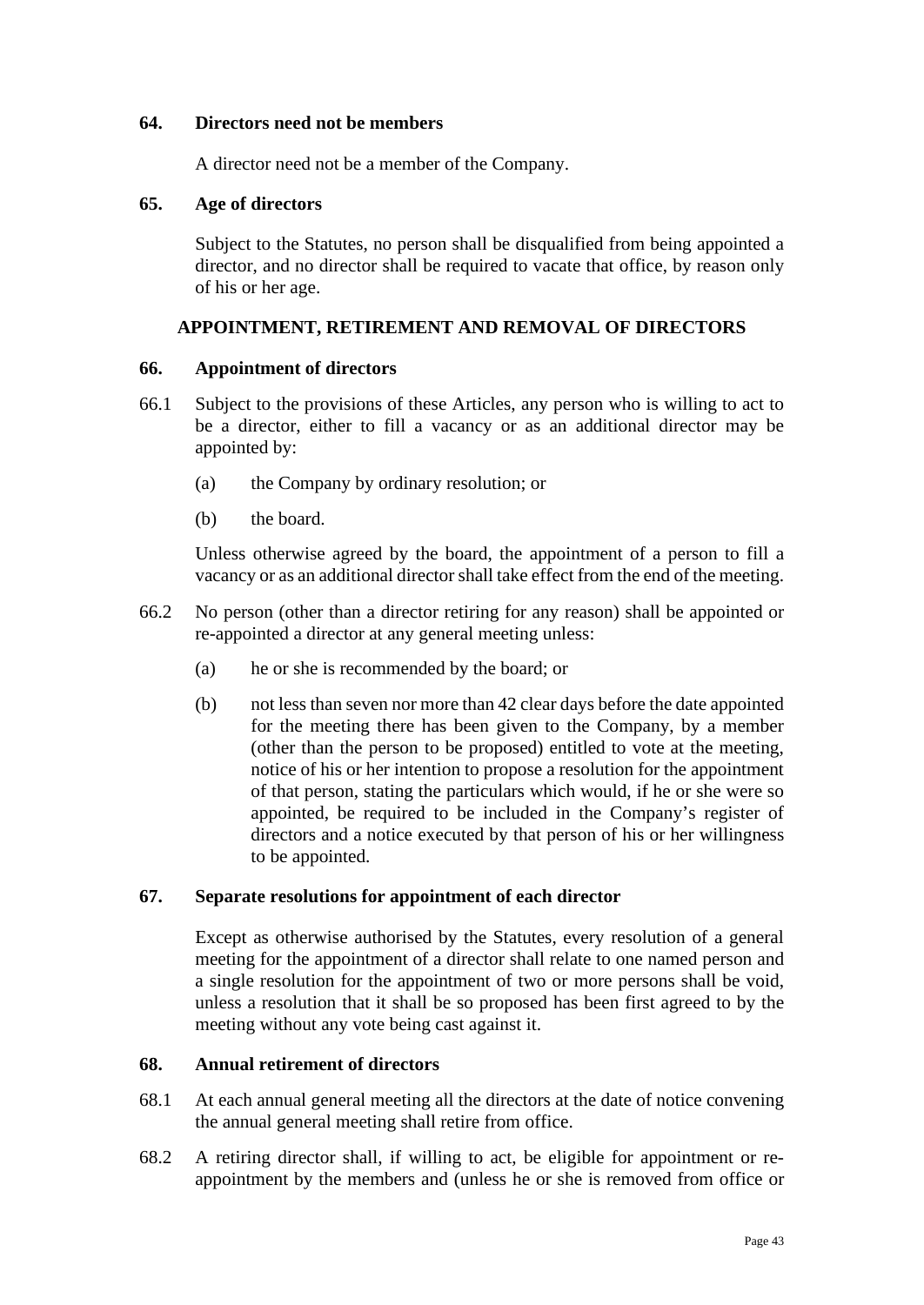## **64. Directors need not be members**

A director need not be a member of the Company.

### **65. Age of directors**

Subject to the Statutes, no person shall be disqualified from being appointed a director, and no director shall be required to vacate that office, by reason only of his or her age.

## **APPOINTMENT, RETIREMENT AND REMOVAL OF DIRECTORS**

### **66. Appointment of directors**

- 66.1 Subject to the provisions of these Articles, any person who is willing to act to be a director, either to fill a vacancy or as an additional director may be appointed by:
	- (a) the Company by ordinary resolution; or
	- (b) the board.

Unless otherwise agreed by the board, the appointment of a person to fill a vacancy or as an additional director shall take effect from the end of the meeting.

- 66.2 No person (other than a director retiring for any reason) shall be appointed or re-appointed a director at any general meeting unless:
	- (a) he or she is recommended by the board; or
	- (b) not less than seven nor more than 42 clear days before the date appointed for the meeting there has been given to the Company, by a member (other than the person to be proposed) entitled to vote at the meeting, notice of his or her intention to propose a resolution for the appointment of that person, stating the particulars which would, if he or she were so appointed, be required to be included in the Company's register of directors and a notice executed by that person of his or her willingness to be appointed.

### **67. Separate resolutions for appointment of each director**

Except as otherwise authorised by the Statutes, every resolution of a general meeting for the appointment of a director shall relate to one named person and a single resolution for the appointment of two or more persons shall be void, unless a resolution that it shall be so proposed has been first agreed to by the meeting without any vote being cast against it.

## **68. Annual retirement of directors**

- 68.1 At each annual general meeting all the directors at the date of notice convening the annual general meeting shall retire from office.
- 68.2 A retiring director shall, if willing to act, be eligible for appointment or reappointment by the members and (unless he or she is removed from office or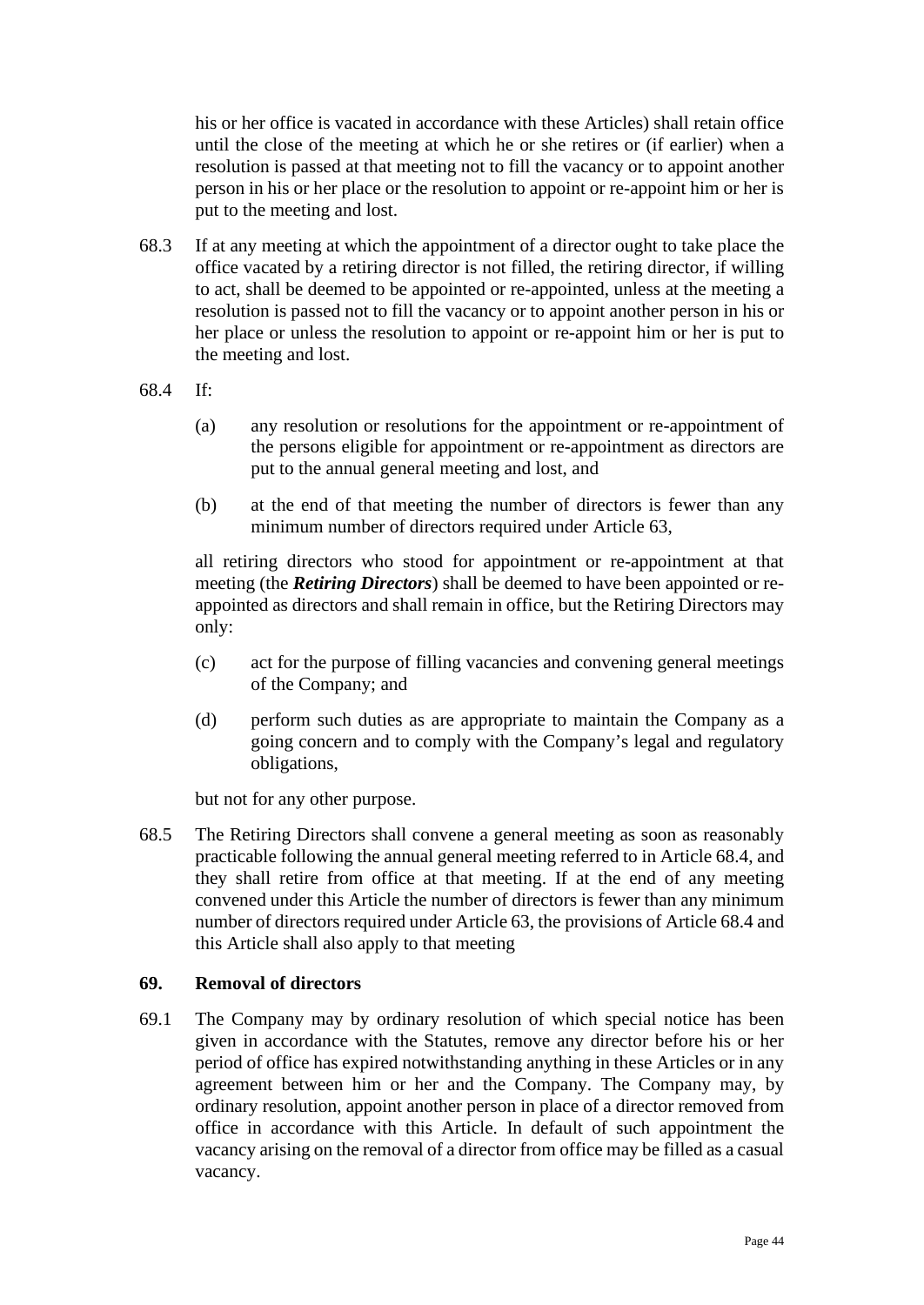his or her office is vacated in accordance with these Articles) shall retain office until the close of the meeting at which he or she retires or (if earlier) when a resolution is passed at that meeting not to fill the vacancy or to appoint another person in his or her place or the resolution to appoint or re-appoint him or her is put to the meeting and lost.

- 68.3 If at any meeting at which the appointment of a director ought to take place the office vacated by a retiring director is not filled, the retiring director, if willing to act, shall be deemed to be appointed or re-appointed, unless at the meeting a resolution is passed not to fill the vacancy or to appoint another person in his or her place or unless the resolution to appoint or re-appoint him or her is put to the meeting and lost.
- <span id="page-43-0"></span>68.4 If:
	- (a) any resolution or resolutions for the appointment or re-appointment of the persons eligible for appointment or re-appointment as directors are put to the annual general meeting and lost, and
	- (b) at the end of that meeting the number of directors is fewer than any minimum number of directors required under Article [63,](#page-41-1)

all retiring directors who stood for appointment or re-appointment at that meeting (the *Retiring Directors*) shall be deemed to have been appointed or reappointed as directors and shall remain in office, but the Retiring Directors may only:

- (c) act for the purpose of filling vacancies and convening general meetings of the Company; and
- (d) perform such duties as are appropriate to maintain the Company as a going concern and to comply with the Company's legal and regulatory obligations,

but not for any other purpose.

68.5 The Retiring Directors shall convene a general meeting as soon as reasonably practicable following the annual general meeting referred to in Article [68.4,](#page-43-0) and they shall retire from office at that meeting. If at the end of any meeting convened under this Article the number of directors is fewer than any minimum number of directors required under Articl[e 63,](#page-41-1) the provisions of Article [68.4](#page-43-0) and this Article shall also apply to that meeting

## **69. Removal of directors**

69.1 The Company may by ordinary resolution of which special notice has been given in accordance with the Statutes, remove any director before his or her period of office has expired notwithstanding anything in these Articles or in any agreement between him or her and the Company. The Company may, by ordinary resolution, appoint another person in place of a director removed from office in accordance with this Article. In default of such appointment the vacancy arising on the removal of a director from office may be filled as a casual vacancy.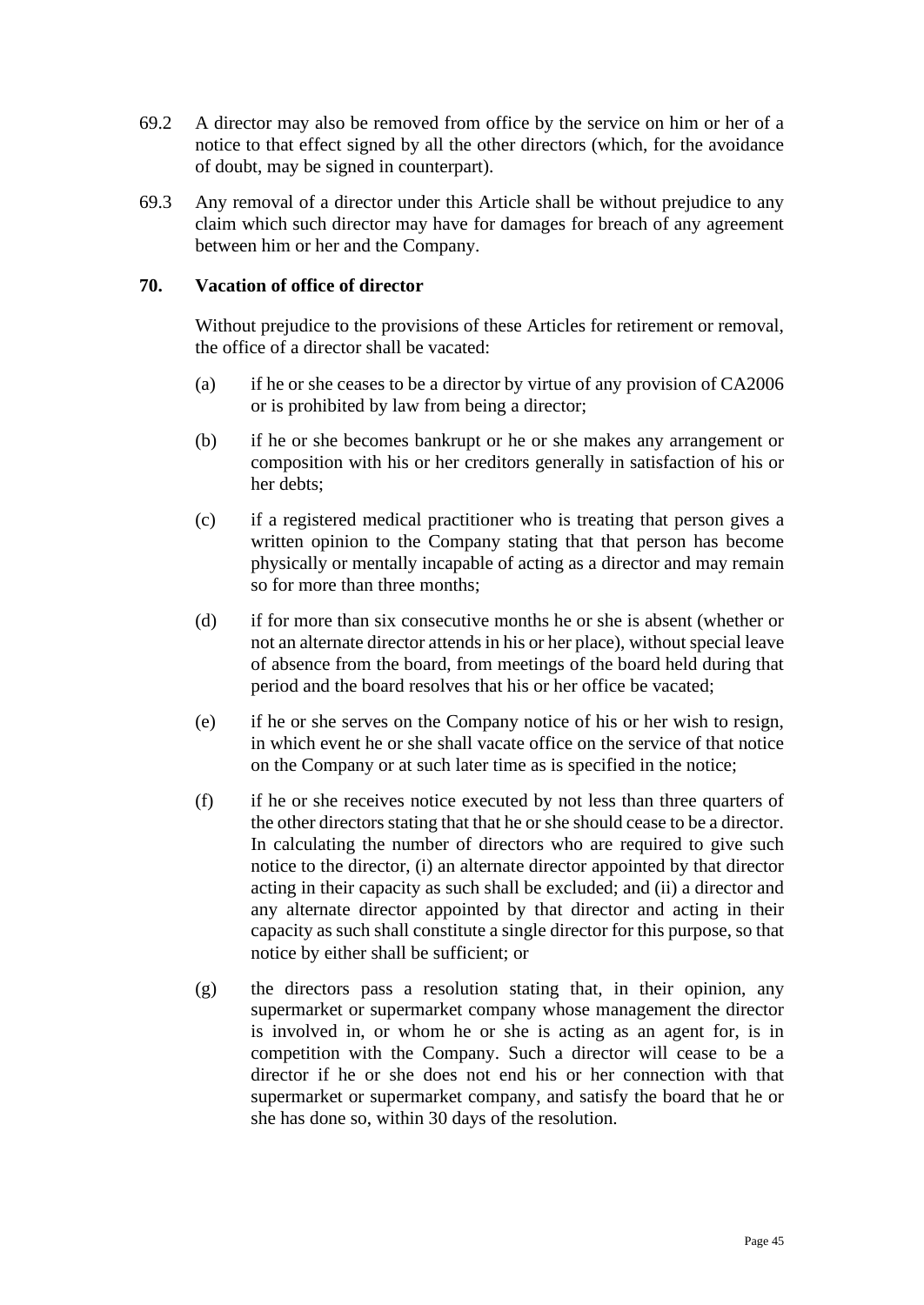- 69.2 A director may also be removed from office by the service on him or her of a notice to that effect signed by all the other directors (which, for the avoidance of doubt, may be signed in counterpart).
- 69.3 Any removal of a director under this Article shall be without prejudice to any claim which such director may have for damages for breach of any agreement between him or her and the Company.

## **70. Vacation of office of director**

Without prejudice to the provisions of these Articles for retirement or removal, the office of a director shall be vacated:

- (a) if he or she ceases to be a director by virtue of any provision of CA2006 or is prohibited by law from being a director;
- (b) if he or she becomes bankrupt or he or she makes any arrangement or composition with his or her creditors generally in satisfaction of his or her debts;
- (c) if a registered medical practitioner who is treating that person gives a written opinion to the Company stating that that person has become physically or mentally incapable of acting as a director and may remain so for more than three months;
- (d) if for more than six consecutive months he or she is absent (whether or not an alternate director attends in his or her place), without special leave of absence from the board, from meetings of the board held during that period and the board resolves that his or her office be vacated;
- (e) if he or she serves on the Company notice of his or her wish to resign, in which event he or she shall vacate office on the service of that notice on the Company or at such later time as is specified in the notice;
- (f) if he or she receives notice executed by not less than three quarters of the other directors stating that that he or she should cease to be a director. In calculating the number of directors who are required to give such notice to the director, (i) an alternate director appointed by that director acting in their capacity as such shall be excluded; and (ii) a director and any alternate director appointed by that director and acting in their capacity as such shall constitute a single director for this purpose, so that notice by either shall be sufficient; or
- (g) the directors pass a resolution stating that, in their opinion, any supermarket or supermarket company whose management the director is involved in, or whom he or she is acting as an agent for, is in competition with the Company. Such a director will cease to be a director if he or she does not end his or her connection with that supermarket or supermarket company, and satisfy the board that he or she has done so, within 30 days of the resolution.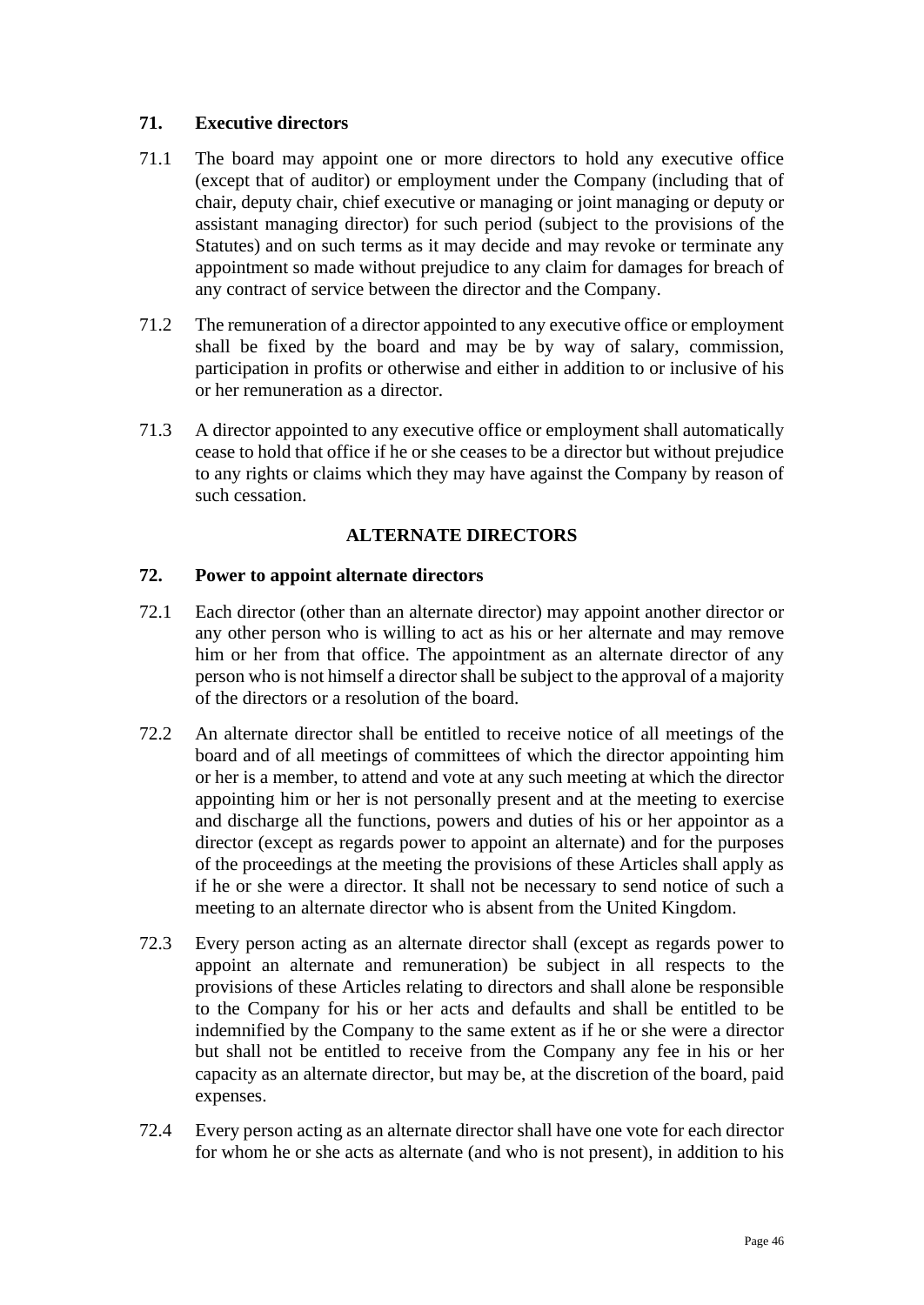# **71. Executive directors**

- 71.1 The board may appoint one or more directors to hold any executive office (except that of auditor) or employment under the Company (including that of chair, deputy chair, chief executive or managing or joint managing or deputy or assistant managing director) for such period (subject to the provisions of the Statutes) and on such terms as it may decide and may revoke or terminate any appointment so made without prejudice to any claim for damages for breach of any contract of service between the director and the Company.
- 71.2 The remuneration of a director appointed to any executive office or employment shall be fixed by the board and may be by way of salary, commission, participation in profits or otherwise and either in addition to or inclusive of his or her remuneration as a director.
- 71.3 A director appointed to any executive office or employment shall automatically cease to hold that office if he or she ceases to be a director but without prejudice to any rights or claims which they may have against the Company by reason of such cessation.

# **ALTERNATE DIRECTORS**

## **72. Power to appoint alternate directors**

- <span id="page-45-0"></span>72.1 Each director (other than an alternate director) may appoint another director or any other person who is willing to act as his or her alternate and may remove him or her from that office. The appointment as an alternate director of any person who is not himself a director shall be subject to the approval of a majority of the directors or a resolution of the board.
- 72.2 An alternate director shall be entitled to receive notice of all meetings of the board and of all meetings of committees of which the director appointing him or her is a member, to attend and vote at any such meeting at which the director appointing him or her is not personally present and at the meeting to exercise and discharge all the functions, powers and duties of his or her appointor as a director (except as regards power to appoint an alternate) and for the purposes of the proceedings at the meeting the provisions of these Articles shall apply as if he or she were a director. It shall not be necessary to send notice of such a meeting to an alternate director who is absent from the United Kingdom.
- 72.3 Every person acting as an alternate director shall (except as regards power to appoint an alternate and remuneration) be subject in all respects to the provisions of these Articles relating to directors and shall alone be responsible to the Company for his or her acts and defaults and shall be entitled to be indemnified by the Company to the same extent as if he or she were a director but shall not be entitled to receive from the Company any fee in his or her capacity as an alternate director, but may be, at the discretion of the board, paid expenses.
- 72.4 Every person acting as an alternate director shall have one vote for each director for whom he or she acts as alternate (and who is not present), in addition to his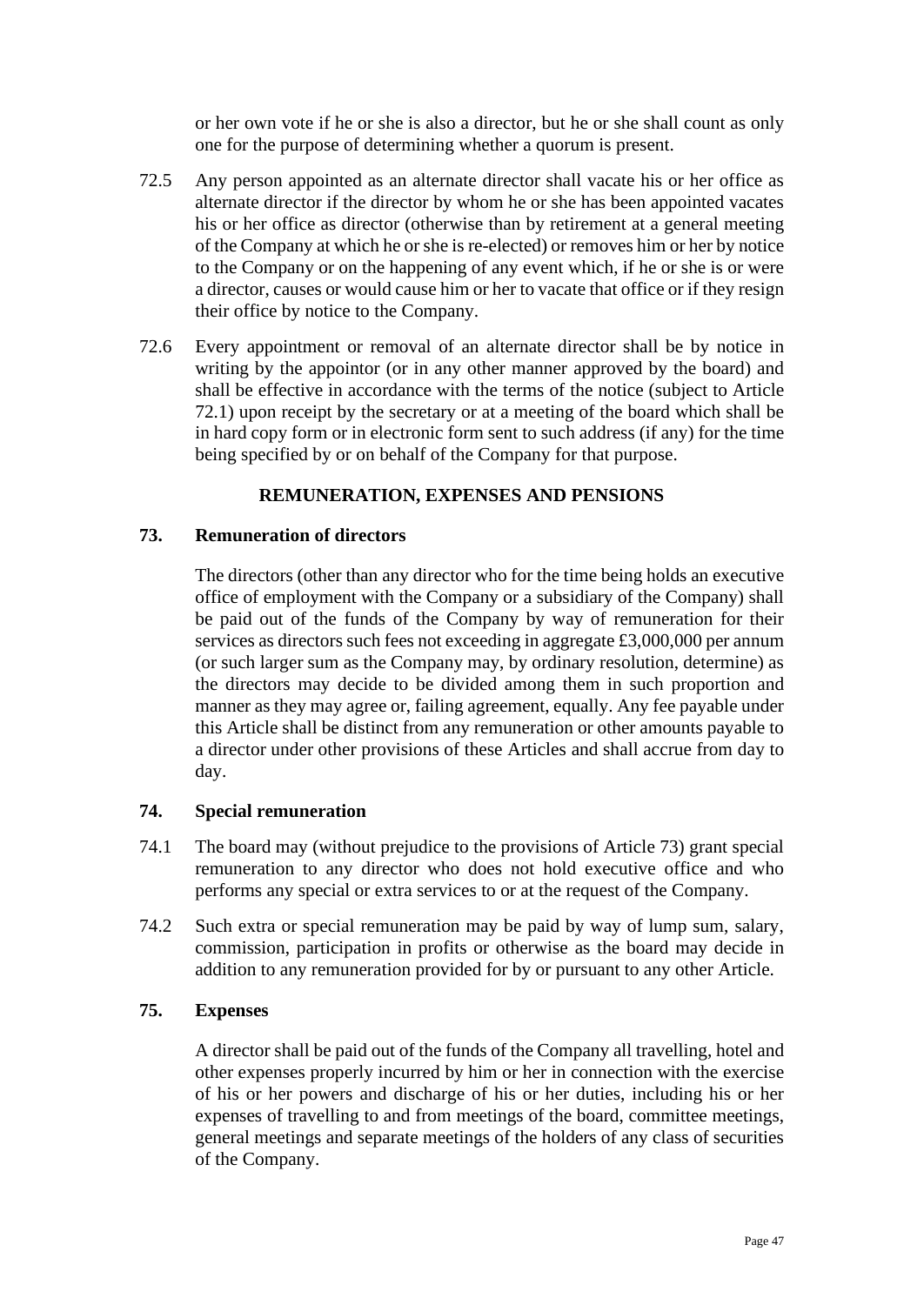or her own vote if he or she is also a director, but he or she shall count as only one for the purpose of determining whether a quorum is present.

- 72.5 Any person appointed as an alternate director shall vacate his or her office as alternate director if the director by whom he or she has been appointed vacates his or her office as director (otherwise than by retirement at a general meeting of the Company at which he or she is re-elected) or removes him or her by notice to the Company or on the happening of any event which, if he or she is or were a director, causes or would cause him or her to vacate that office or if they resign their office by notice to the Company.
- 72.6 Every appointment or removal of an alternate director shall be by notice in writing by the appointor (or in any other manner approved by the board) and shall be effective in accordance with the terms of the notice (subject to Article [72.1\)](#page-45-0) upon receipt by the secretary or at a meeting of the board which shall be in hard copy form or in electronic form sent to such address (if any) for the time being specified by or on behalf of the Company for that purpose.

## **REMUNERATION, EXPENSES AND PENSIONS**

## <span id="page-46-0"></span>**73. Remuneration of directors**

The directors (other than any director who for the time being holds an executive office of employment with the Company or a subsidiary of the Company) shall be paid out of the funds of the Company by way of remuneration for their services as directors such fees not exceeding in aggregate £3,000,000 per annum (or such larger sum as the Company may, by ordinary resolution, determine) as the directors may decide to be divided among them in such proportion and manner as they may agree or, failing agreement, equally. Any fee payable under this Article shall be distinct from any remuneration or other amounts payable to a director under other provisions of these Articles and shall accrue from day to day.

## **74. Special remuneration**

- 74.1 The board may (without prejudice to the provisions of Article [73\)](#page-46-0) grant special remuneration to any director who does not hold executive office and who performs any special or extra services to or at the request of the Company.
- 74.2 Such extra or special remuneration may be paid by way of lump sum, salary, commission, participation in profits or otherwise as the board may decide in addition to any remuneration provided for by or pursuant to any other Article.

## **75. Expenses**

A director shall be paid out of the funds of the Company all travelling, hotel and other expenses properly incurred by him or her in connection with the exercise of his or her powers and discharge of his or her duties, including his or her expenses of travelling to and from meetings of the board, committee meetings, general meetings and separate meetings of the holders of any class of securities of the Company.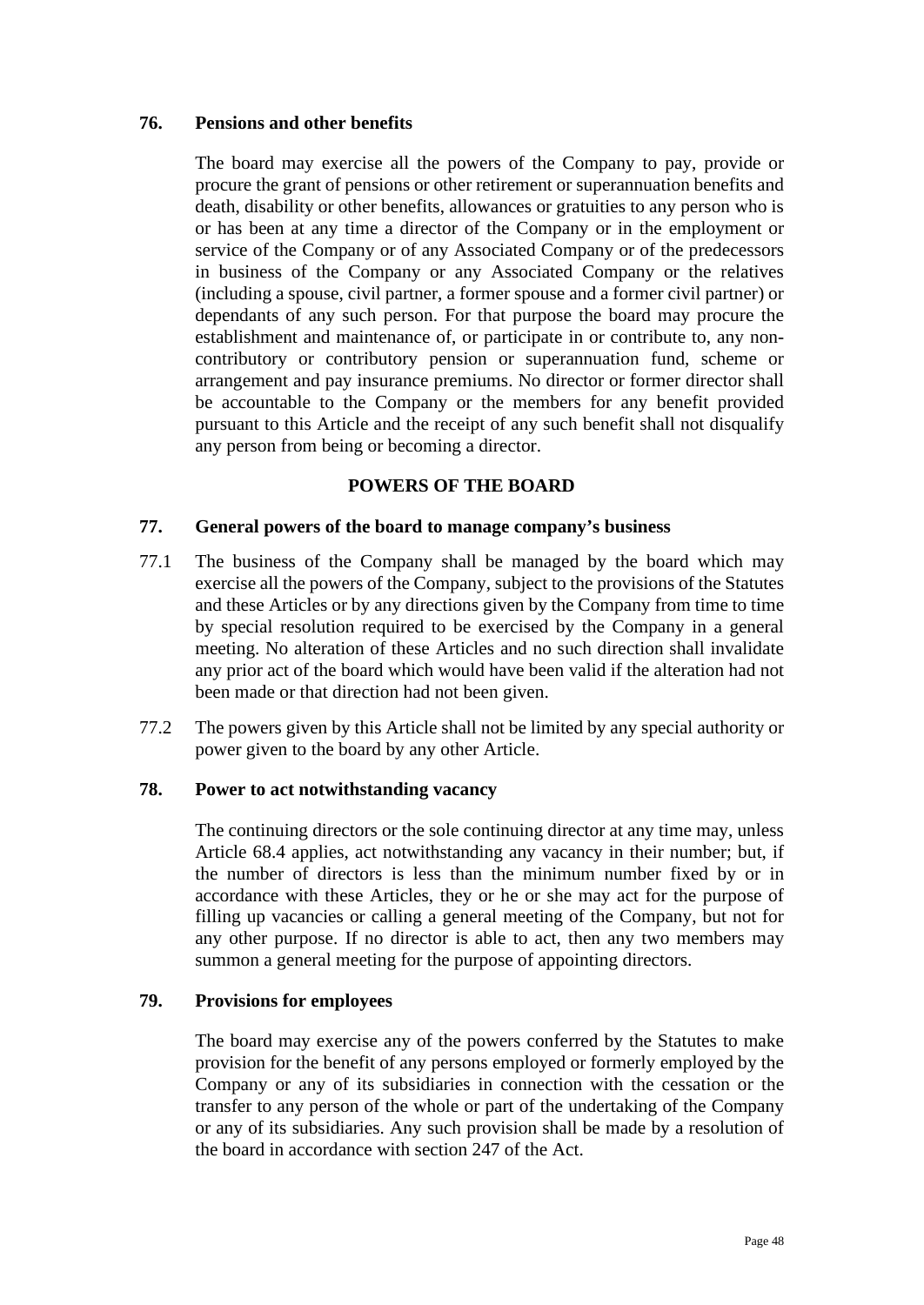## **76. Pensions and other benefits**

The board may exercise all the powers of the Company to pay, provide or procure the grant of pensions or other retirement or superannuation benefits and death, disability or other benefits, allowances or gratuities to any person who is or has been at any time a director of the Company or in the employment or service of the Company or of any Associated Company or of the predecessors in business of the Company or any Associated Company or the relatives (including a spouse, civil partner, a former spouse and a former civil partner) or dependants of any such person. For that purpose the board may procure the establishment and maintenance of, or participate in or contribute to, any noncontributory or contributory pension or superannuation fund, scheme or arrangement and pay insurance premiums. No director or former director shall be accountable to the Company or the members for any benefit provided pursuant to this Article and the receipt of any such benefit shall not disqualify any person from being or becoming a director.

## **POWERS OF THE BOARD**

## **77. General powers of the board to manage company's business**

- 77.1 The business of the Company shall be managed by the board which may exercise all the powers of the Company, subject to the provisions of the Statutes and these Articles or by any directions given by the Company from time to time by special resolution required to be exercised by the Company in a general meeting. No alteration of these Articles and no such direction shall invalidate any prior act of the board which would have been valid if the alteration had not been made or that direction had not been given.
- 77.2 The powers given by this Article shall not be limited by any special authority or power given to the board by any other Article.

## **78. Power to act notwithstanding vacancy**

The continuing directors or the sole continuing director at any time may, unless Article [68.4](#page-43-0) applies, act notwithstanding any vacancy in their number; but, if the number of directors is less than the minimum number fixed by or in accordance with these Articles, they or he or she may act for the purpose of filling up vacancies or calling a general meeting of the Company, but not for any other purpose. If no director is able to act, then any two members may summon a general meeting for the purpose of appointing directors.

## **79. Provisions for employees**

The board may exercise any of the powers conferred by the Statutes to make provision for the benefit of any persons employed or formerly employed by the Company or any of its subsidiaries in connection with the cessation or the transfer to any person of the whole or part of the undertaking of the Company or any of its subsidiaries. Any such provision shall be made by a resolution of the board in accordance with section 247 of the Act.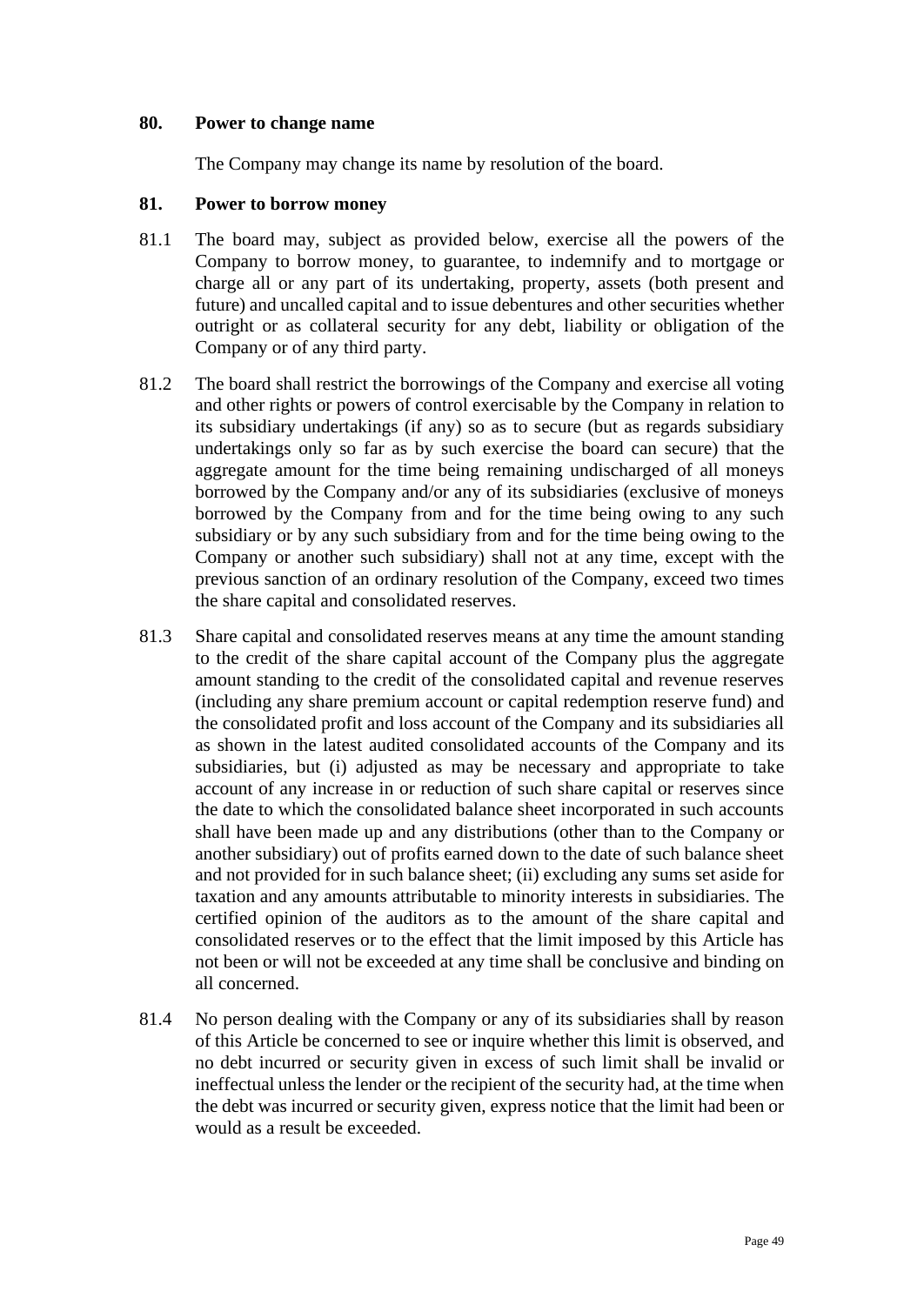### **80. Power to change name**

The Company may change its name by resolution of the board.

### **81. Power to borrow money**

- 81.1 The board may, subject as provided below, exercise all the powers of the Company to borrow money, to guarantee, to indemnify and to mortgage or charge all or any part of its undertaking, property, assets (both present and future) and uncalled capital and to issue debentures and other securities whether outright or as collateral security for any debt, liability or obligation of the Company or of any third party.
- 81.2 The board shall restrict the borrowings of the Company and exercise all voting and other rights or powers of control exercisable by the Company in relation to its subsidiary undertakings (if any) so as to secure (but as regards subsidiary undertakings only so far as by such exercise the board can secure) that the aggregate amount for the time being remaining undischarged of all moneys borrowed by the Company and/or any of its subsidiaries (exclusive of moneys borrowed by the Company from and for the time being owing to any such subsidiary or by any such subsidiary from and for the time being owing to the Company or another such subsidiary) shall not at any time, except with the previous sanction of an ordinary resolution of the Company, exceed two times the share capital and consolidated reserves.
- 81.3 Share capital and consolidated reserves means at any time the amount standing to the credit of the share capital account of the Company plus the aggregate amount standing to the credit of the consolidated capital and revenue reserves (including any share premium account or capital redemption reserve fund) and the consolidated profit and loss account of the Company and its subsidiaries all as shown in the latest audited consolidated accounts of the Company and its subsidiaries, but (i) adjusted as may be necessary and appropriate to take account of any increase in or reduction of such share capital or reserves since the date to which the consolidated balance sheet incorporated in such accounts shall have been made up and any distributions (other than to the Company or another subsidiary) out of profits earned down to the date of such balance sheet and not provided for in such balance sheet; (ii) excluding any sums set aside for taxation and any amounts attributable to minority interests in subsidiaries. The certified opinion of the auditors as to the amount of the share capital and consolidated reserves or to the effect that the limit imposed by this Article has not been or will not be exceeded at any time shall be conclusive and binding on all concerned.
- 81.4 No person dealing with the Company or any of its subsidiaries shall by reason of this Article be concerned to see or inquire whether this limit is observed, and no debt incurred or security given in excess of such limit shall be invalid or ineffectual unless the lender or the recipient of the security had, at the time when the debt was incurred or security given, express notice that the limit had been or would as a result be exceeded.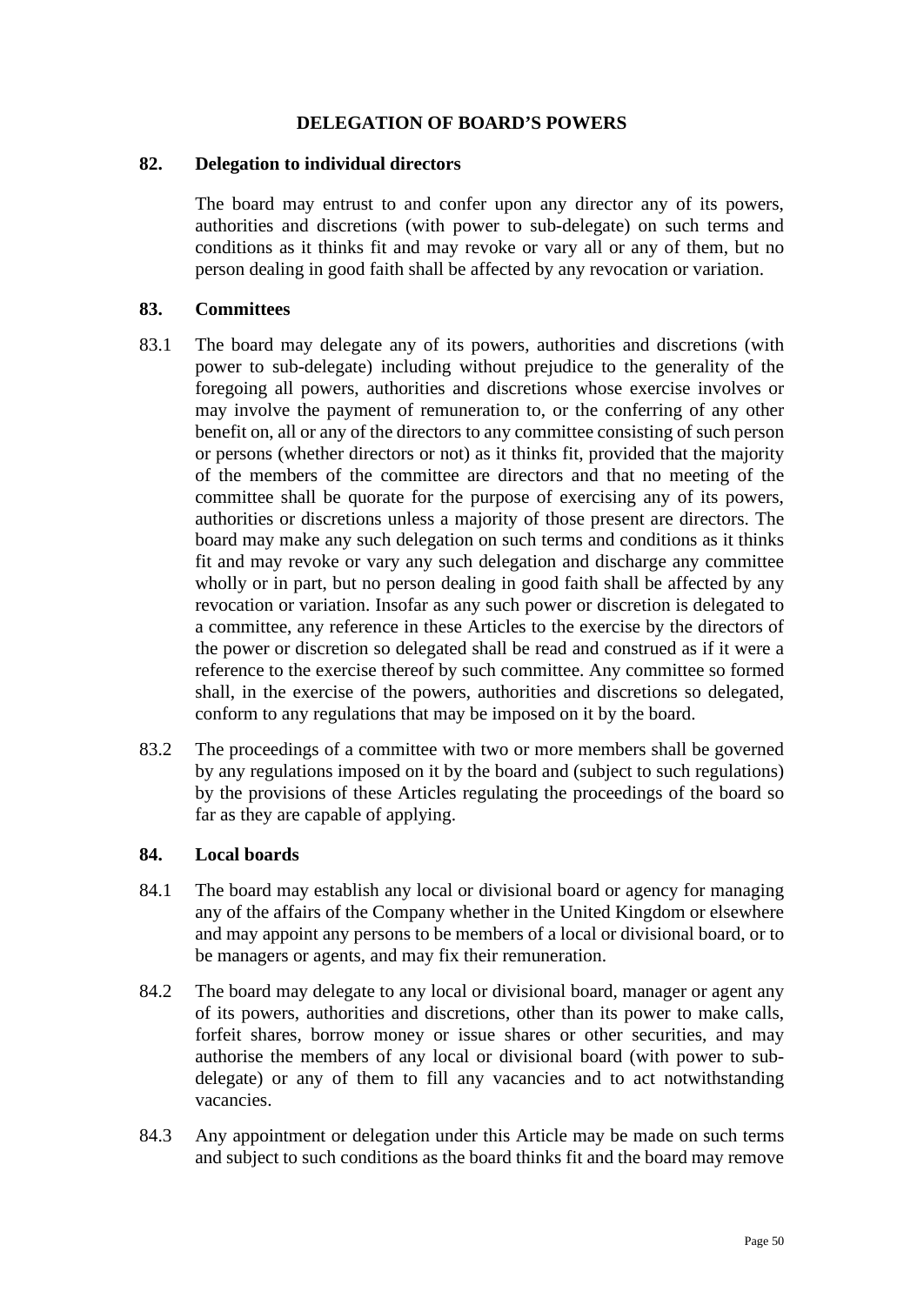## **DELEGATION OF BOARD'S POWERS**

#### **82. Delegation to individual directors**

The board may entrust to and confer upon any director any of its powers, authorities and discretions (with power to sub-delegate) on such terms and conditions as it thinks fit and may revoke or vary all or any of them, but no person dealing in good faith shall be affected by any revocation or variation.

### **83. Committees**

- 83.1 The board may delegate any of its powers, authorities and discretions (with power to sub-delegate) including without prejudice to the generality of the foregoing all powers, authorities and discretions whose exercise involves or may involve the payment of remuneration to, or the conferring of any other benefit on, all or any of the directors to any committee consisting of such person or persons (whether directors or not) as it thinks fit, provided that the majority of the members of the committee are directors and that no meeting of the committee shall be quorate for the purpose of exercising any of its powers, authorities or discretions unless a majority of those present are directors. The board may make any such delegation on such terms and conditions as it thinks fit and may revoke or vary any such delegation and discharge any committee wholly or in part, but no person dealing in good faith shall be affected by any revocation or variation. Insofar as any such power or discretion is delegated to a committee, any reference in these Articles to the exercise by the directors of the power or discretion so delegated shall be read and construed as if it were a reference to the exercise thereof by such committee. Any committee so formed shall, in the exercise of the powers, authorities and discretions so delegated, conform to any regulations that may be imposed on it by the board.
- 83.2 The proceedings of a committee with two or more members shall be governed by any regulations imposed on it by the board and (subject to such regulations) by the provisions of these Articles regulating the proceedings of the board so far as they are capable of applying.

## **84. Local boards**

- 84.1 The board may establish any local or divisional board or agency for managing any of the affairs of the Company whether in the United Kingdom or elsewhere and may appoint any persons to be members of a local or divisional board, or to be managers or agents, and may fix their remuneration.
- 84.2 The board may delegate to any local or divisional board, manager or agent any of its powers, authorities and discretions, other than its power to make calls, forfeit shares, borrow money or issue shares or other securities, and may authorise the members of any local or divisional board (with power to subdelegate) or any of them to fill any vacancies and to act notwithstanding vacancies.
- 84.3 Any appointment or delegation under this Article may be made on such terms and subject to such conditions as the board thinks fit and the board may remove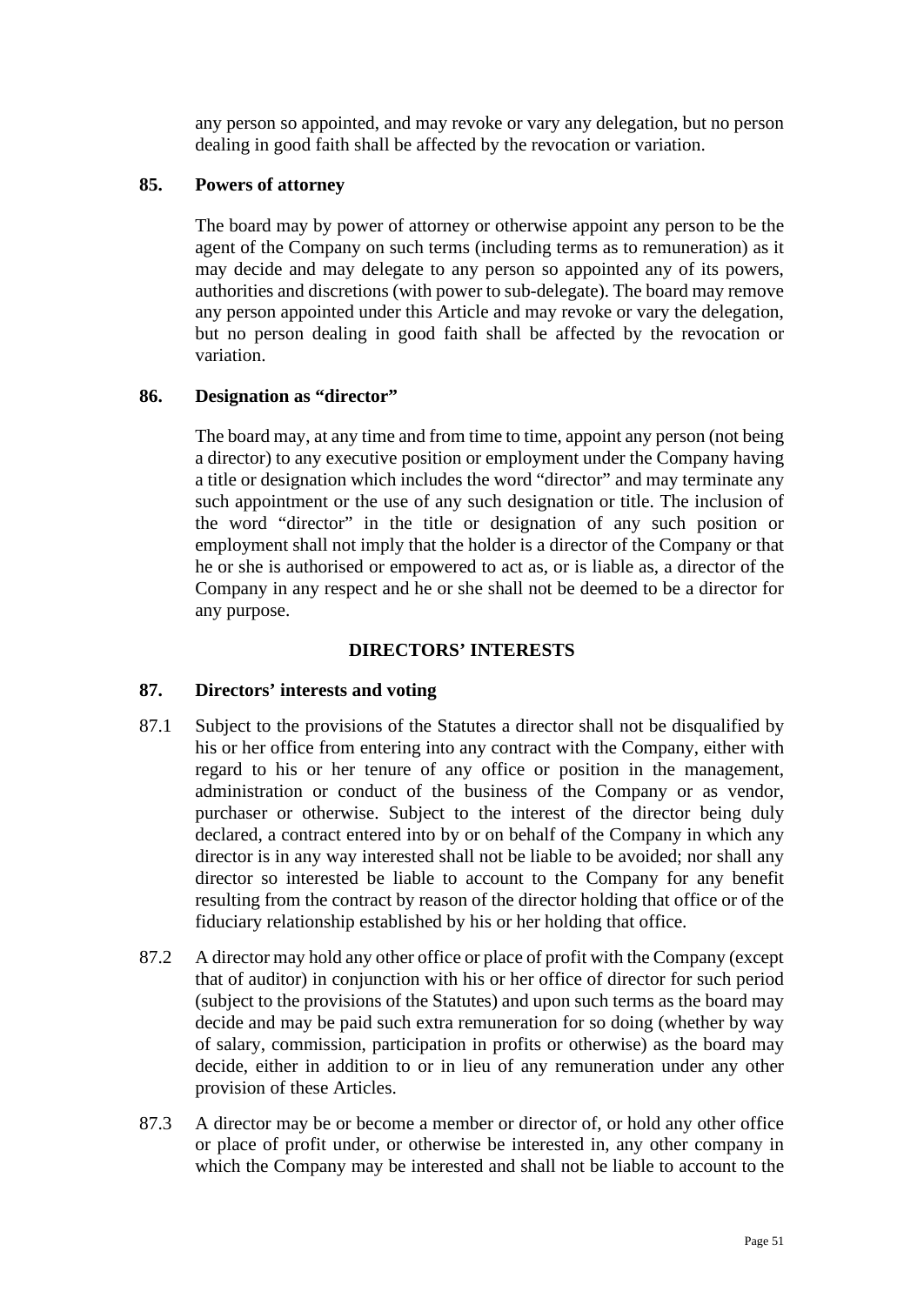any person so appointed, and may revoke or vary any delegation, but no person dealing in good faith shall be affected by the revocation or variation.

## **85. Powers of attorney**

The board may by power of attorney or otherwise appoint any person to be the agent of the Company on such terms (including terms as to remuneration) as it may decide and may delegate to any person so appointed any of its powers, authorities and discretions (with power to sub-delegate). The board may remove any person appointed under this Article and may revoke or vary the delegation, but no person dealing in good faith shall be affected by the revocation or variation.

## **86. Designation as "director"**

The board may, at any time and from time to time, appoint any person (not being a director) to any executive position or employment under the Company having a title or designation which includes the word "director" and may terminate any such appointment or the use of any such designation or title. The inclusion of the word "director" in the title or designation of any such position or employment shall not imply that the holder is a director of the Company or that he or she is authorised or empowered to act as, or is liable as, a director of the Company in any respect and he or she shall not be deemed to be a director for any purpose.

### **DIRECTORS' INTERESTS**

## <span id="page-50-0"></span>**87. Directors' interests and voting**

- 87.1 Subject to the provisions of the Statutes a director shall not be disqualified by his or her office from entering into any contract with the Company, either with regard to his or her tenure of any office or position in the management, administration or conduct of the business of the Company or as vendor, purchaser or otherwise. Subject to the interest of the director being duly declared, a contract entered into by or on behalf of the Company in which any director is in any way interested shall not be liable to be avoided; nor shall any director so interested be liable to account to the Company for any benefit resulting from the contract by reason of the director holding that office or of the fiduciary relationship established by his or her holding that office.
- 87.2 A director may hold any other office or place of profit with the Company (except that of auditor) in conjunction with his or her office of director for such period (subject to the provisions of the Statutes) and upon such terms as the board may decide and may be paid such extra remuneration for so doing (whether by way of salary, commission, participation in profits or otherwise) as the board may decide, either in addition to or in lieu of any remuneration under any other provision of these Articles.
- 87.3 A director may be or become a member or director of, or hold any other office or place of profit under, or otherwise be interested in, any other company in which the Company may be interested and shall not be liable to account to the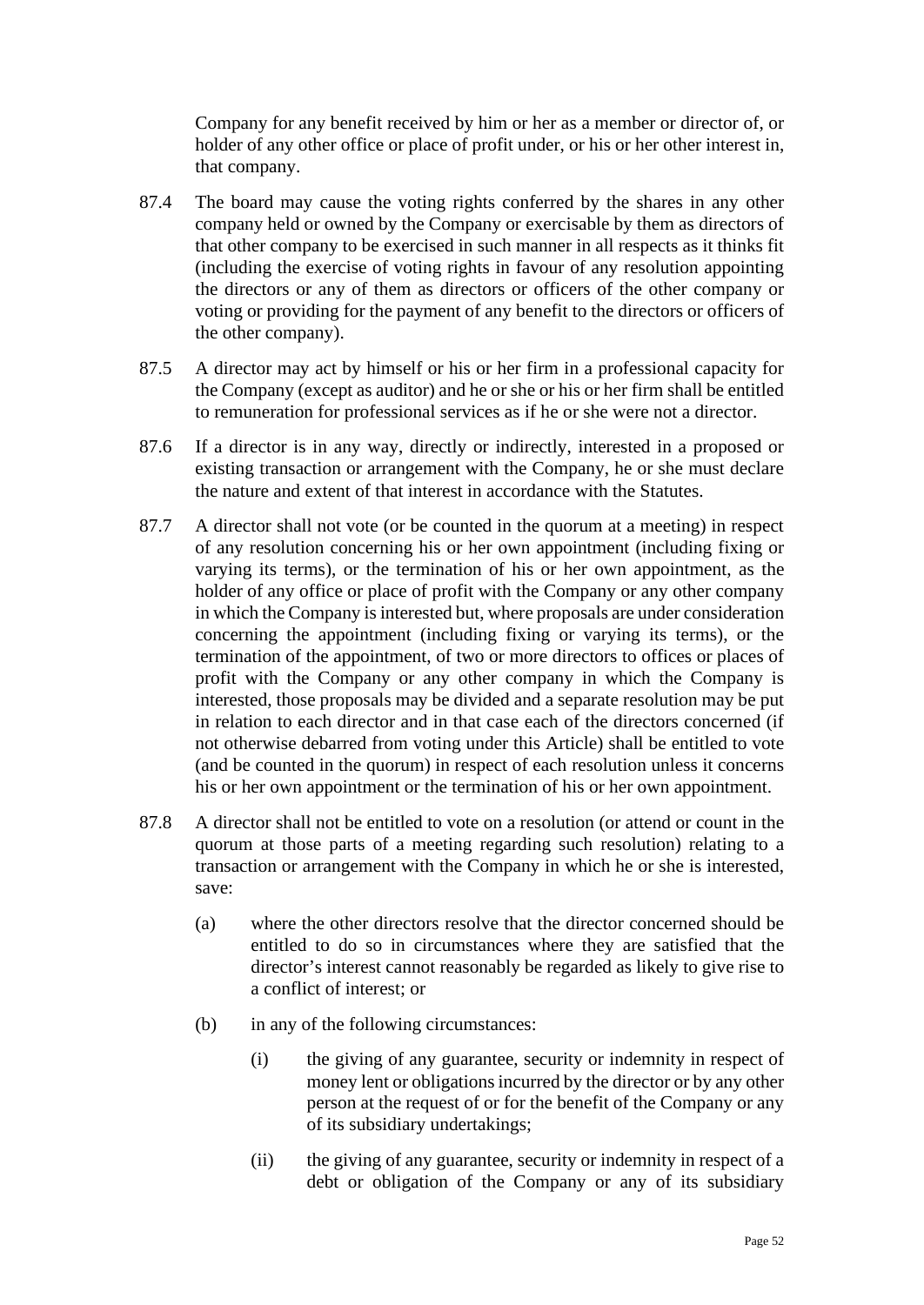Company for any benefit received by him or her as a member or director of, or holder of any other office or place of profit under, or his or her other interest in, that company.

- 87.4 The board may cause the voting rights conferred by the shares in any other company held or owned by the Company or exercisable by them as directors of that other company to be exercised in such manner in all respects as it thinks fit (including the exercise of voting rights in favour of any resolution appointing the directors or any of them as directors or officers of the other company or voting or providing for the payment of any benefit to the directors or officers of the other company).
- 87.5 A director may act by himself or his or her firm in a professional capacity for the Company (except as auditor) and he or she or his or her firm shall be entitled to remuneration for professional services as if he or she were not a director.
- 87.6 If a director is in any way, directly or indirectly, interested in a proposed or existing transaction or arrangement with the Company, he or she must declare the nature and extent of that interest in accordance with the Statutes.
- 87.7 A director shall not vote (or be counted in the quorum at a meeting) in respect of any resolution concerning his or her own appointment (including fixing or varying its terms), or the termination of his or her own appointment, as the holder of any office or place of profit with the Company or any other company in which the Company is interested but, where proposals are under consideration concerning the appointment (including fixing or varying its terms), or the termination of the appointment, of two or more directors to offices or places of profit with the Company or any other company in which the Company is interested, those proposals may be divided and a separate resolution may be put in relation to each director and in that case each of the directors concerned (if not otherwise debarred from voting under this Article) shall be entitled to vote (and be counted in the quorum) in respect of each resolution unless it concerns his or her own appointment or the termination of his or her own appointment.
- <span id="page-51-0"></span>87.8 A director shall not be entitled to vote on a resolution (or attend or count in the quorum at those parts of a meeting regarding such resolution) relating to a transaction or arrangement with the Company in which he or she is interested, save:
	- (a) where the other directors resolve that the director concerned should be entitled to do so in circumstances where they are satisfied that the director's interest cannot reasonably be regarded as likely to give rise to a conflict of interest; or
	- (b) in any of the following circumstances:
		- (i) the giving of any guarantee, security or indemnity in respect of money lent or obligations incurred by the director or by any other person at the request of or for the benefit of the Company or any of its subsidiary undertakings;
		- (ii) the giving of any guarantee, security or indemnity in respect of a debt or obligation of the Company or any of its subsidiary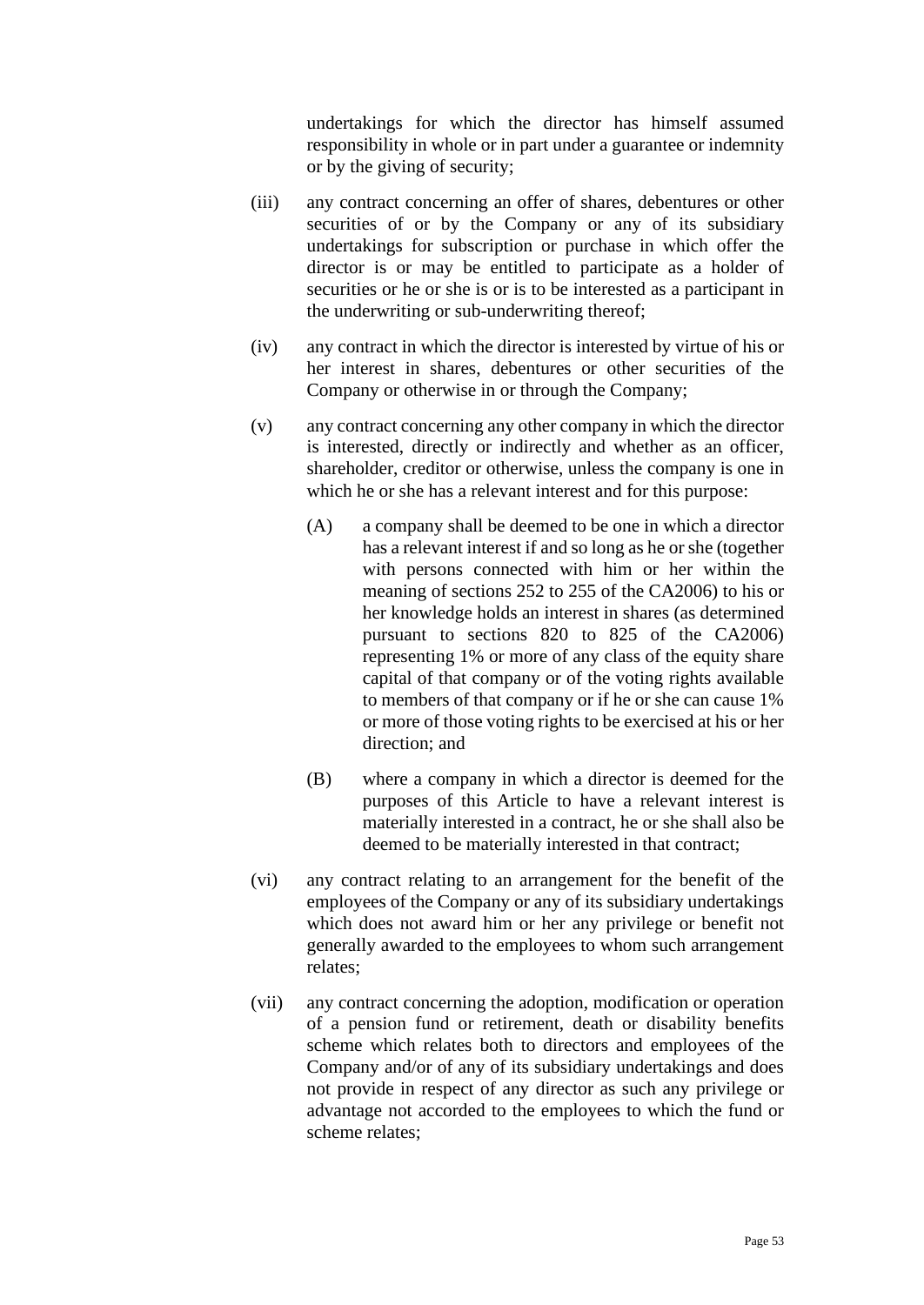undertakings for which the director has himself assumed responsibility in whole or in part under a guarantee or indemnity or by the giving of security;

- (iii) any contract concerning an offer of shares, debentures or other securities of or by the Company or any of its subsidiary undertakings for subscription or purchase in which offer the director is or may be entitled to participate as a holder of securities or he or she is or is to be interested as a participant in the underwriting or sub-underwriting thereof;
- (iv) any contract in which the director is interested by virtue of his or her interest in shares, debentures or other securities of the Company or otherwise in or through the Company;
- (v) any contract concerning any other company in which the director is interested, directly or indirectly and whether as an officer, shareholder, creditor or otherwise, unless the company is one in which he or she has a relevant interest and for this purpose:
	- (A) a company shall be deemed to be one in which a director has a relevant interest if and so long as he or she (together with persons connected with him or her within the meaning of sections 252 to 255 of the CA2006) to his or her knowledge holds an interest in shares (as determined pursuant to sections 820 to 825 of the CA2006) representing 1% or more of any class of the equity share capital of that company or of the voting rights available to members of that company or if he or she can cause 1% or more of those voting rights to be exercised at his or her direction; and
	- (B) where a company in which a director is deemed for the purposes of this Article to have a relevant interest is materially interested in a contract, he or she shall also be deemed to be materially interested in that contract;
- (vi) any contract relating to an arrangement for the benefit of the employees of the Company or any of its subsidiary undertakings which does not award him or her any privilege or benefit not generally awarded to the employees to whom such arrangement relates;
- (vii) any contract concerning the adoption, modification or operation of a pension fund or retirement, death or disability benefits scheme which relates both to directors and employees of the Company and/or of any of its subsidiary undertakings and does not provide in respect of any director as such any privilege or advantage not accorded to the employees to which the fund or scheme relates;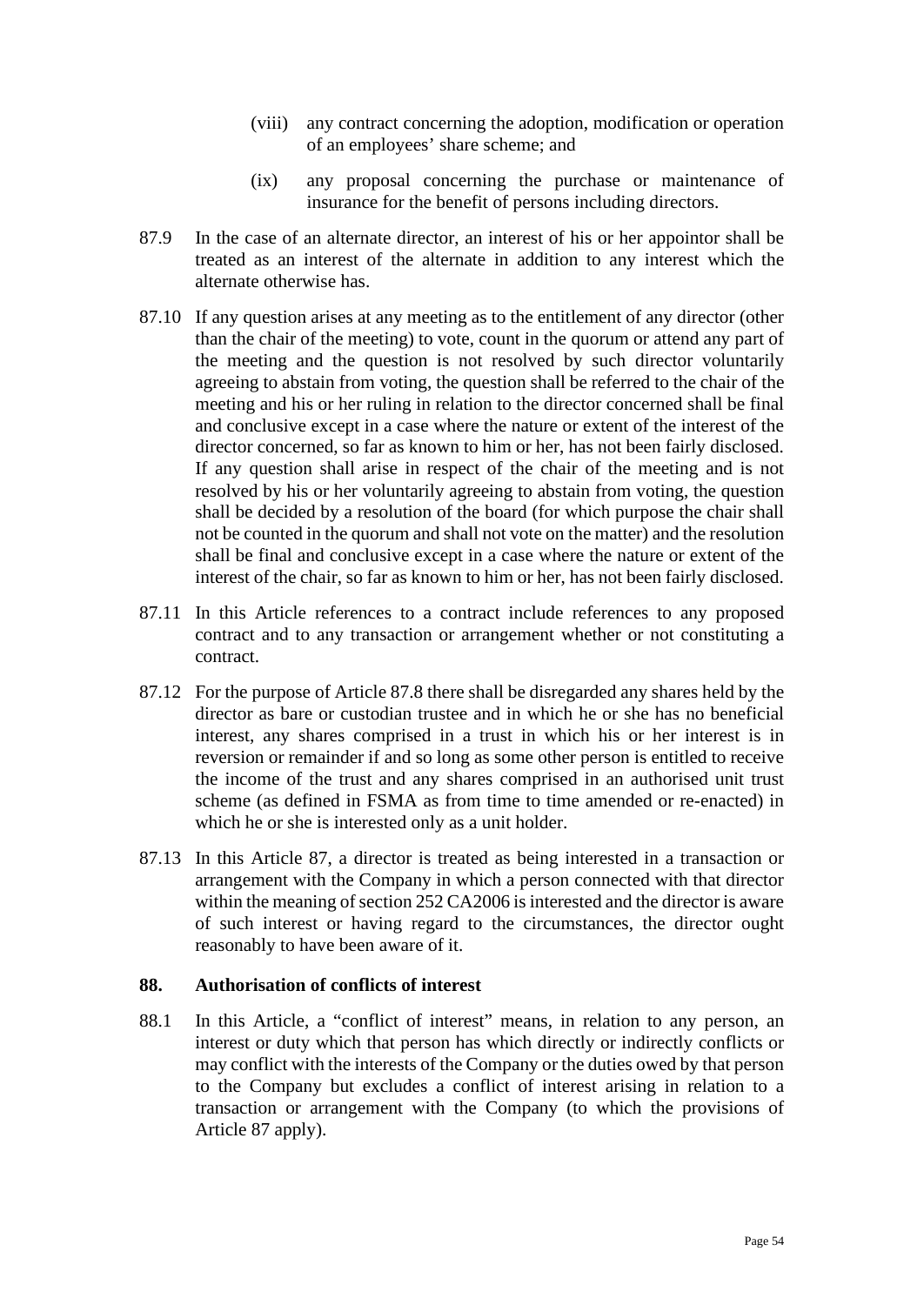- (viii) any contract concerning the adoption, modification or operation of an employees' share scheme; and
- (ix) any proposal concerning the purchase or maintenance of insurance for the benefit of persons including directors.
- 87.9 In the case of an alternate director, an interest of his or her appointor shall be treated as an interest of the alternate in addition to any interest which the alternate otherwise has.
- 87.10 If any question arises at any meeting as to the entitlement of any director (other than the chair of the meeting) to vote, count in the quorum or attend any part of the meeting and the question is not resolved by such director voluntarily agreeing to abstain from voting, the question shall be referred to the chair of the meeting and his or her ruling in relation to the director concerned shall be final and conclusive except in a case where the nature or extent of the interest of the director concerned, so far as known to him or her, has not been fairly disclosed. If any question shall arise in respect of the chair of the meeting and is not resolved by his or her voluntarily agreeing to abstain from voting, the question shall be decided by a resolution of the board (for which purpose the chair shall not be counted in the quorum and shall not vote on the matter) and the resolution shall be final and conclusive except in a case where the nature or extent of the interest of the chair, so far as known to him or her, has not been fairly disclosed.
- 87.11 In this Article references to a contract include references to any proposed contract and to any transaction or arrangement whether or not constituting a contract.
- 87.12 For the purpose of Article [87.8](#page-51-0) there shall be disregarded any shares held by the director as bare or custodian trustee and in which he or she has no beneficial interest, any shares comprised in a trust in which his or her interest is in reversion or remainder if and so long as some other person is entitled to receive the income of the trust and any shares comprised in an authorised unit trust scheme (as defined in FSMA as from time to time amended or re-enacted) in which he or she is interested only as a unit holder.
- 87.13 In this Article [87,](#page-50-0) a director is treated as being interested in a transaction or arrangement with the Company in which a person connected with that director within the meaning of section 252 CA2006 is interested and the director is aware of such interest or having regard to the circumstances, the director ought reasonably to have been aware of it.

## **88. Authorisation of conflicts of interest**

88.1 In this Article, a "conflict of interest" means, in relation to any person, an interest or duty which that person has which directly or indirectly conflicts or may conflict with the interests of the Company or the duties owed by that person to the Company but excludes a conflict of interest arising in relation to a transaction or arrangement with the Company (to which the provisions of Article [87](#page-50-0) apply).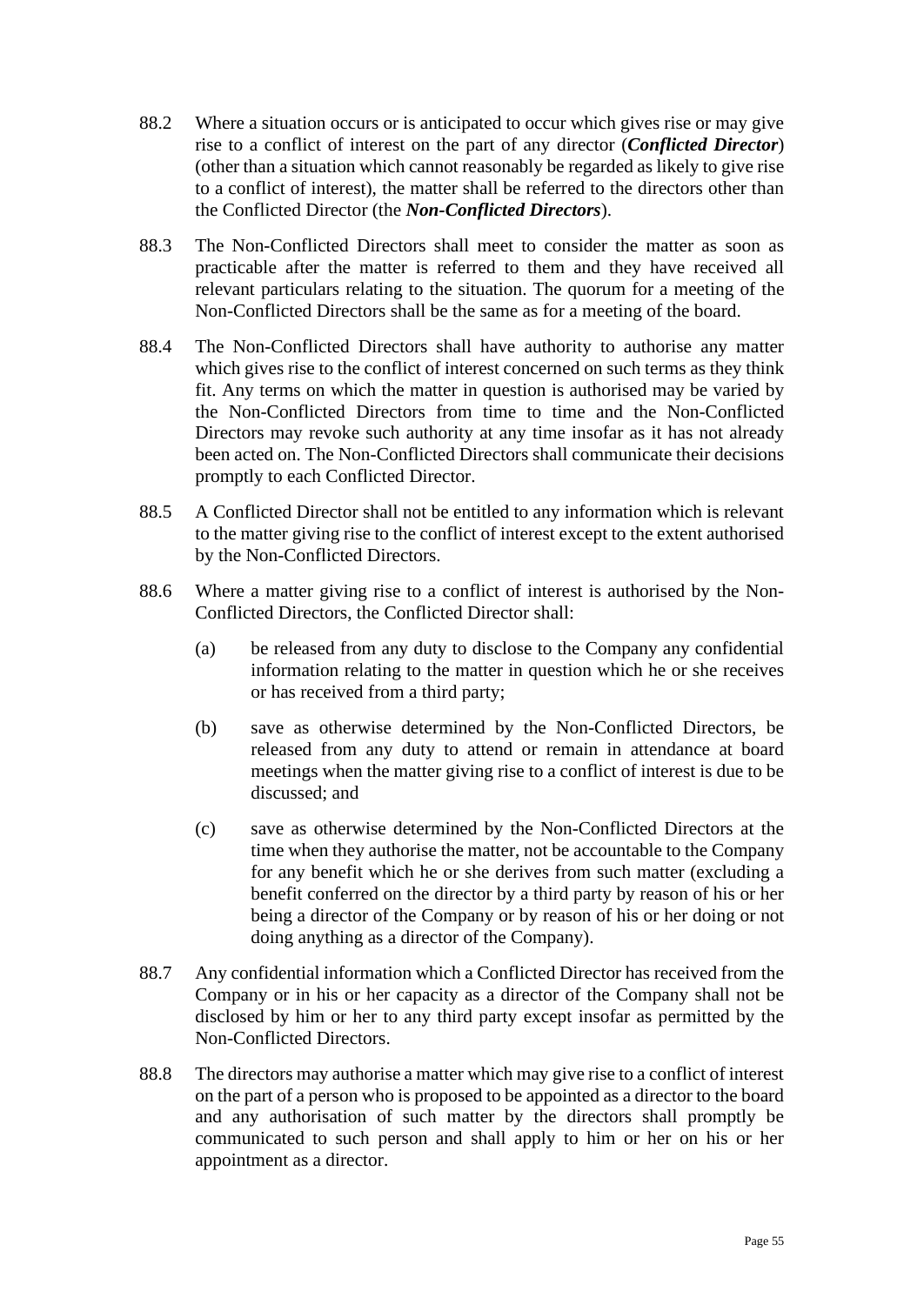- 88.2 Where a situation occurs or is anticipated to occur which gives rise or may give rise to a conflict of interest on the part of any director (*Conflicted Director*) (other than a situation which cannot reasonably be regarded as likely to give rise to a conflict of interest), the matter shall be referred to the directors other than the Conflicted Director (the *Non-Conflicted Directors*).
- 88.3 The Non-Conflicted Directors shall meet to consider the matter as soon as practicable after the matter is referred to them and they have received all relevant particulars relating to the situation. The quorum for a meeting of the Non-Conflicted Directors shall be the same as for a meeting of the board.
- 88.4 The Non-Conflicted Directors shall have authority to authorise any matter which gives rise to the conflict of interest concerned on such terms as they think fit. Any terms on which the matter in question is authorised may be varied by the Non-Conflicted Directors from time to time and the Non-Conflicted Directors may revoke such authority at any time insofar as it has not already been acted on. The Non-Conflicted Directors shall communicate their decisions promptly to each Conflicted Director.
- 88.5 A Conflicted Director shall not be entitled to any information which is relevant to the matter giving rise to the conflict of interest except to the extent authorised by the Non-Conflicted Directors.
- 88.6 Where a matter giving rise to a conflict of interest is authorised by the Non-Conflicted Directors, the Conflicted Director shall:
	- (a) be released from any duty to disclose to the Company any confidential information relating to the matter in question which he or she receives or has received from a third party;
	- (b) save as otherwise determined by the Non-Conflicted Directors, be released from any duty to attend or remain in attendance at board meetings when the matter giving rise to a conflict of interest is due to be discussed; and
	- (c) save as otherwise determined by the Non-Conflicted Directors at the time when they authorise the matter, not be accountable to the Company for any benefit which he or she derives from such matter (excluding a benefit conferred on the director by a third party by reason of his or her being a director of the Company or by reason of his or her doing or not doing anything as a director of the Company).
- 88.7 Any confidential information which a Conflicted Director has received from the Company or in his or her capacity as a director of the Company shall not be disclosed by him or her to any third party except insofar as permitted by the Non-Conflicted Directors.
- 88.8 The directors may authorise a matter which may give rise to a conflict of interest on the part of a person who is proposed to be appointed as a director to the board and any authorisation of such matter by the directors shall promptly be communicated to such person and shall apply to him or her on his or her appointment as a director.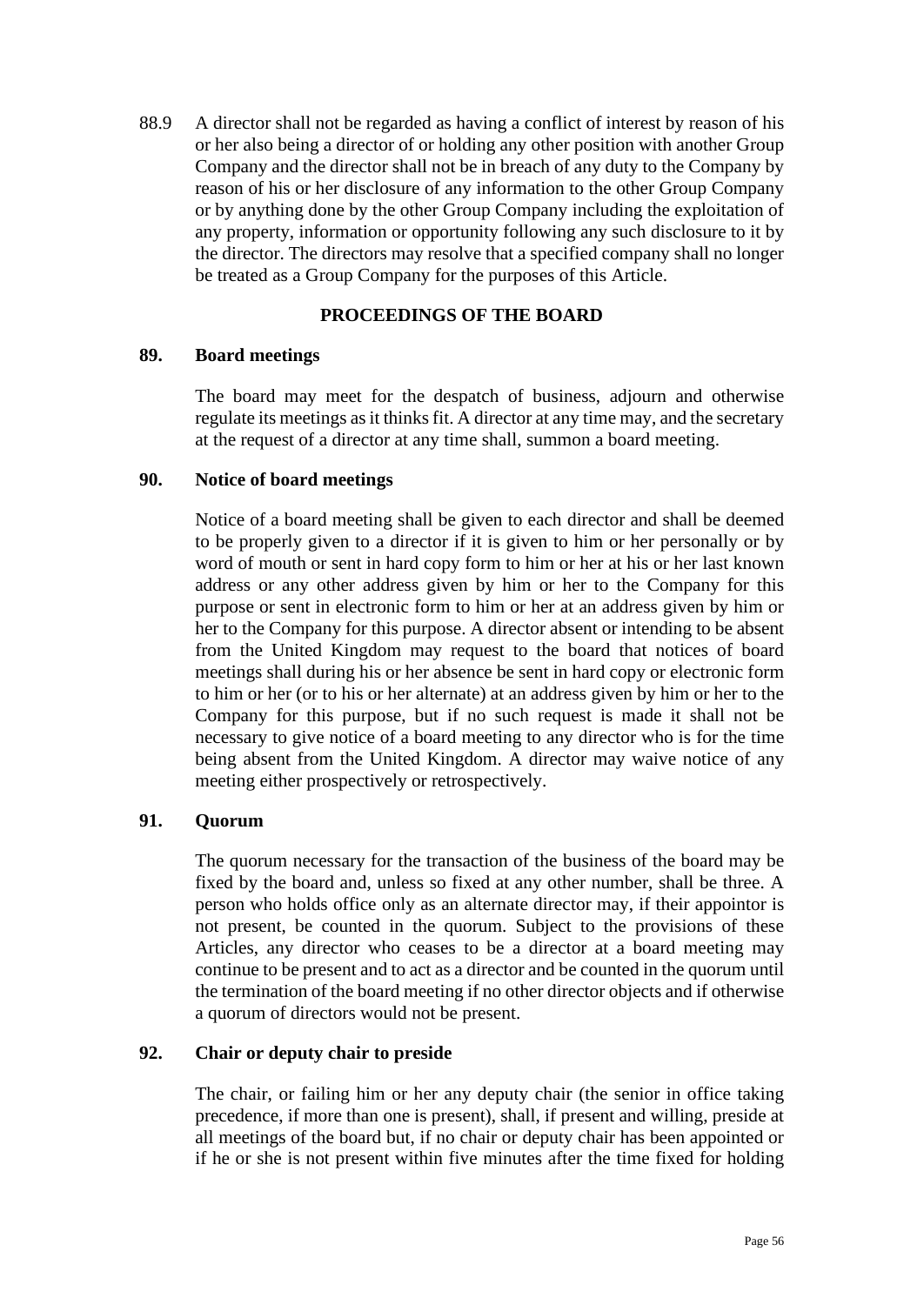88.9 A director shall not be regarded as having a conflict of interest by reason of his or her also being a director of or holding any other position with another Group Company and the director shall not be in breach of any duty to the Company by reason of his or her disclosure of any information to the other Group Company or by anything done by the other Group Company including the exploitation of any property, information or opportunity following any such disclosure to it by the director. The directors may resolve that a specified company shall no longer be treated as a Group Company for the purposes of this Article.

# **PROCEEDINGS OF THE BOARD**

## <span id="page-55-0"></span>**89. Board meetings**

The board may meet for the despatch of business, adjourn and otherwise regulate its meetings as it thinks fit. A director at any time may, and the secretary at the request of a director at any time shall, summon a board meeting.

## **90. Notice of board meetings**

Notice of a board meeting shall be given to each director and shall be deemed to be properly given to a director if it is given to him or her personally or by word of mouth or sent in hard copy form to him or her at his or her last known address or any other address given by him or her to the Company for this purpose or sent in electronic form to him or her at an address given by him or her to the Company for this purpose. A director absent or intending to be absent from the United Kingdom may request to the board that notices of board meetings shall during his or her absence be sent in hard copy or electronic form to him or her (or to his or her alternate) at an address given by him or her to the Company for this purpose, but if no such request is made it shall not be necessary to give notice of a board meeting to any director who is for the time being absent from the United Kingdom. A director may waive notice of any meeting either prospectively or retrospectively.

## <span id="page-55-1"></span>**91. Quorum**

The quorum necessary for the transaction of the business of the board may be fixed by the board and, unless so fixed at any other number, shall be three. A person who holds office only as an alternate director may, if their appointor is not present, be counted in the quorum. Subject to the provisions of these Articles, any director who ceases to be a director at a board meeting may continue to be present and to act as a director and be counted in the quorum until the termination of the board meeting if no other director objects and if otherwise a quorum of directors would not be present.

## **92. Chair or deputy chair to preside**

The chair, or failing him or her any deputy chair (the senior in office taking precedence, if more than one is present), shall, if present and willing, preside at all meetings of the board but, if no chair or deputy chair has been appointed or if he or she is not present within five minutes after the time fixed for holding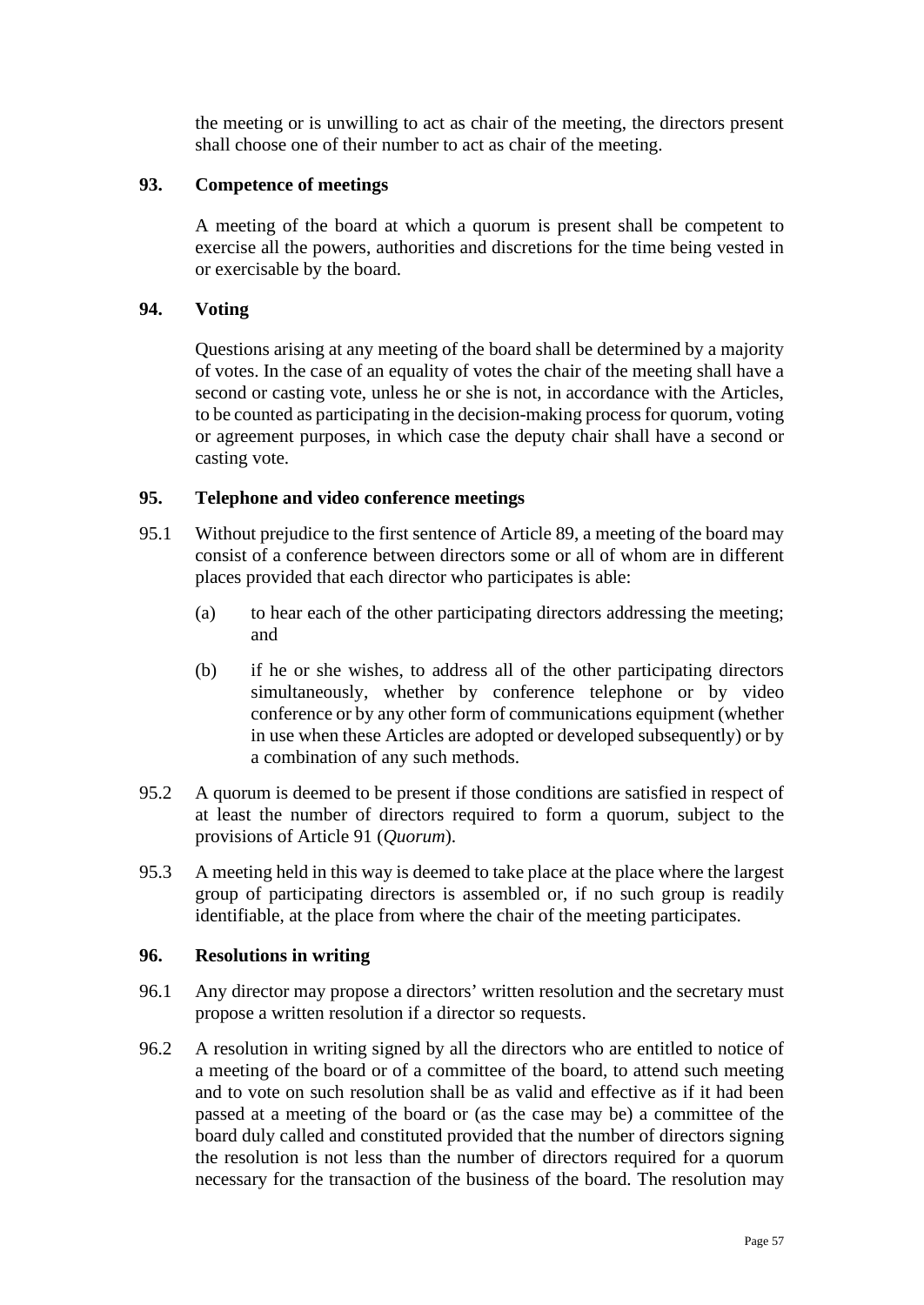the meeting or is unwilling to act as chair of the meeting, the directors present shall choose one of their number to act as chair of the meeting.

## **93. Competence of meetings**

A meeting of the board at which a quorum is present shall be competent to exercise all the powers, authorities and discretions for the time being vested in or exercisable by the board.

### **94. Voting**

Questions arising at any meeting of the board shall be determined by a majority of votes. In the case of an equality of votes the chair of the meeting shall have a second or casting vote, unless he or she is not, in accordance with the Articles, to be counted as participating in the decision-making process for quorum, voting or agreement purposes, in which case the deputy chair shall have a second or casting vote.

### <span id="page-56-0"></span>**95. Telephone and video conference meetings**

- 95.1 Without prejudice to the first sentence of Article [89,](#page-55-0) a meeting of the board may consist of a conference between directors some or all of whom are in different places provided that each director who participates is able:
	- (a) to hear each of the other participating directors addressing the meeting; and
	- (b) if he or she wishes, to address all of the other participating directors simultaneously, whether by conference telephone or by video conference or by any other form of communications equipment (whether in use when these Articles are adopted or developed subsequently) or by a combination of any such methods.
- 95.2 A quorum is deemed to be present if those conditions are satisfied in respect of at least the number of directors required to form a quorum, subject to the provisions of Article [91](#page-55-1) (*Quorum*).
- 95.3 A meeting held in this way is deemed to take place at the place where the largest group of participating directors is assembled or, if no such group is readily identifiable, at the place from where the chair of the meeting participates.

#### **96. Resolutions in writing**

- 96.1 Any director may propose a directors' written resolution and the secretary must propose a written resolution if a director so requests.
- 96.2 A resolution in writing signed by all the directors who are entitled to notice of a meeting of the board or of a committee of the board, to attend such meeting and to vote on such resolution shall be as valid and effective as if it had been passed at a meeting of the board or (as the case may be) a committee of the board duly called and constituted provided that the number of directors signing the resolution is not less than the number of directors required for a quorum necessary for the transaction of the business of the board. The resolution may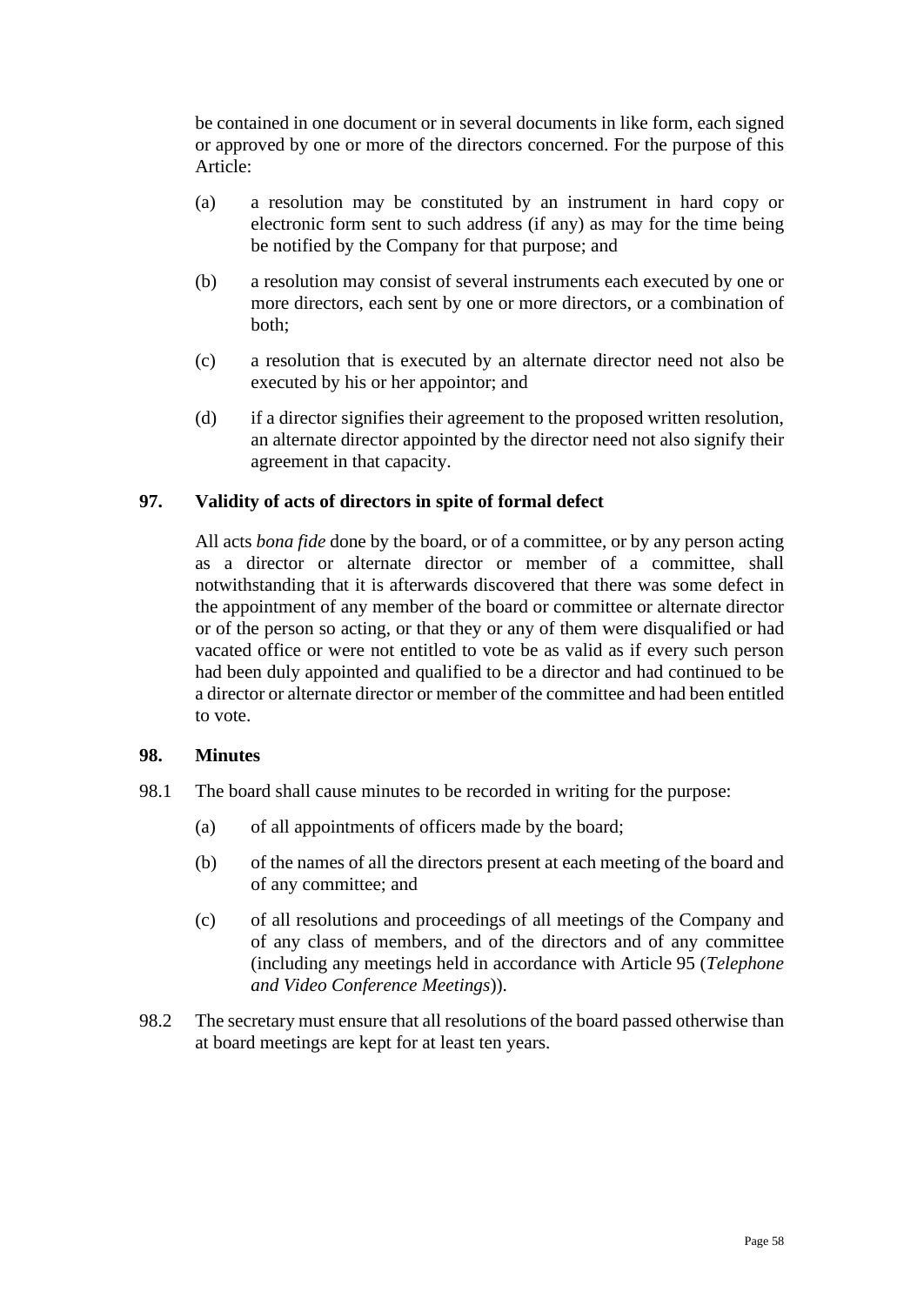be contained in one document or in several documents in like form, each signed or approved by one or more of the directors concerned. For the purpose of this Article:

- (a) a resolution may be constituted by an instrument in hard copy or electronic form sent to such address (if any) as may for the time being be notified by the Company for that purpose; and
- (b) a resolution may consist of several instruments each executed by one or more directors, each sent by one or more directors, or a combination of both;
- (c) a resolution that is executed by an alternate director need not also be executed by his or her appointor; and
- (d) if a director signifies their agreement to the proposed written resolution, an alternate director appointed by the director need not also signify their agreement in that capacity.

## **97. Validity of acts of directors in spite of formal defect**

All acts *bona fide* done by the board, or of a committee, or by any person acting as a director or alternate director or member of a committee, shall notwithstanding that it is afterwards discovered that there was some defect in the appointment of any member of the board or committee or alternate director or of the person so acting, or that they or any of them were disqualified or had vacated office or were not entitled to vote be as valid as if every such person had been duly appointed and qualified to be a director and had continued to be a director or alternate director or member of the committee and had been entitled to vote.

## **98. Minutes**

- 98.1 The board shall cause minutes to be recorded in writing for the purpose:
	- (a) of all appointments of officers made by the board;
	- (b) of the names of all the directors present at each meeting of the board and of any committee; and
	- (c) of all resolutions and proceedings of all meetings of the Company and of any class of members, and of the directors and of any committee (including any meetings held in accordance with Article [95](#page-56-0) (*Telephone and Video Conference Meetings*)).
- 98.2 The secretary must ensure that all resolutions of the board passed otherwise than at board meetings are kept for at least ten years.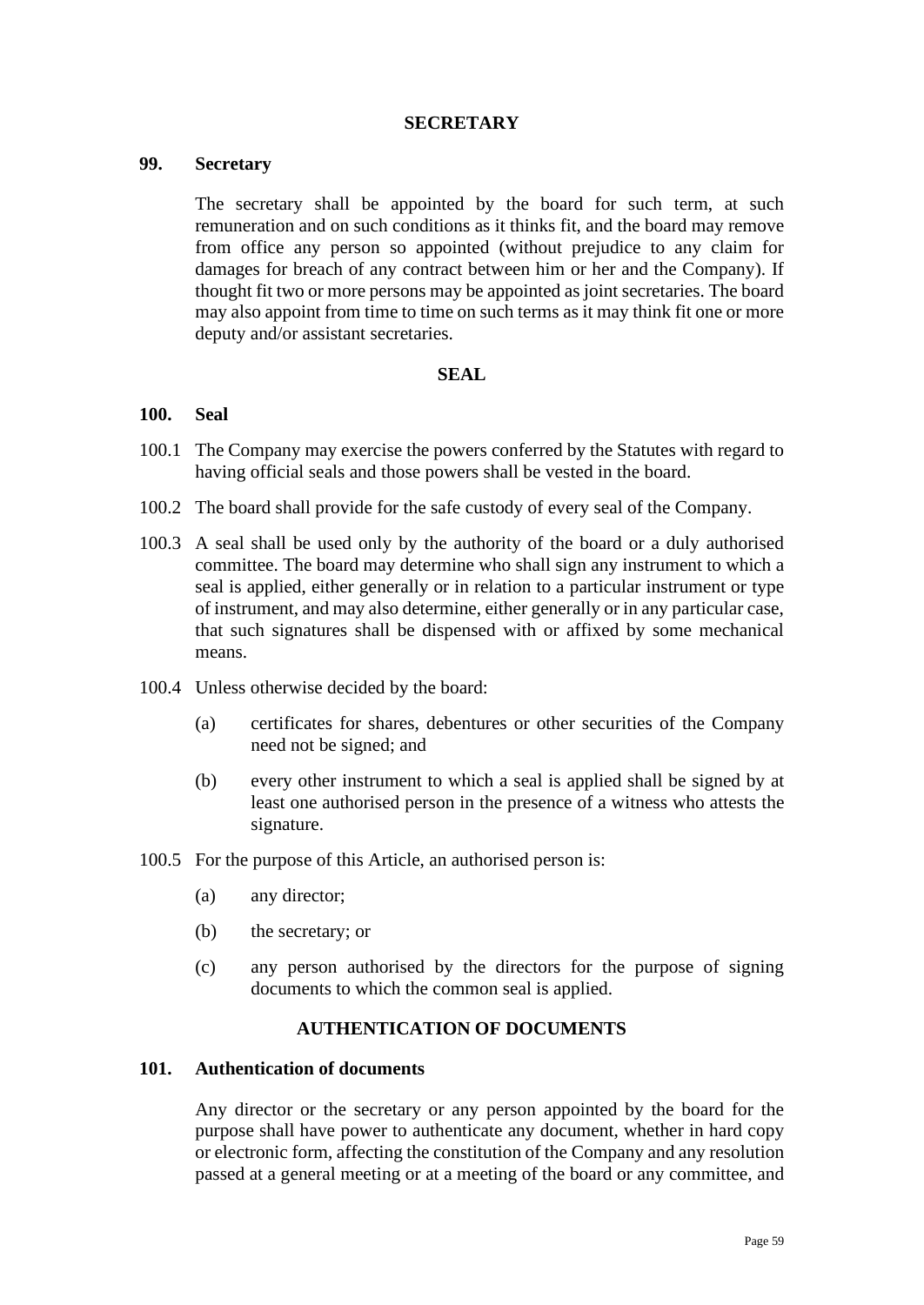### **SECRETARY**

### **99. Secretary**

The secretary shall be appointed by the board for such term, at such remuneration and on such conditions as it thinks fit, and the board may remove from office any person so appointed (without prejudice to any claim for damages for breach of any contract between him or her and the Company). If thought fit two or more persons may be appointed as joint secretaries. The board may also appoint from time to time on such terms as it may think fit one or more deputy and/or assistant secretaries.

#### **SEAL**

#### **100. Seal**

- 100.1 The Company may exercise the powers conferred by the Statutes with regard to having official seals and those powers shall be vested in the board.
- 100.2 The board shall provide for the safe custody of every seal of the Company.
- 100.3 A seal shall be used only by the authority of the board or a duly authorised committee. The board may determine who shall sign any instrument to which a seal is applied, either generally or in relation to a particular instrument or type of instrument, and may also determine, either generally or in any particular case, that such signatures shall be dispensed with or affixed by some mechanical means.
- 100.4 Unless otherwise decided by the board:
	- (a) certificates for shares, debentures or other securities of the Company need not be signed; and
	- (b) every other instrument to which a seal is applied shall be signed by at least one authorised person in the presence of a witness who attests the signature.
- 100.5 For the purpose of this Article, an authorised person is:
	- (a) any director;
	- (b) the secretary; or
	- (c) any person authorised by the directors for the purpose of signing documents to which the common seal is applied.

# **AUTHENTICATION OF DOCUMENTS**

#### **101. Authentication of documents**

Any director or the secretary or any person appointed by the board for the purpose shall have power to authenticate any document, whether in hard copy or electronic form, affecting the constitution of the Company and any resolution passed at a general meeting or at a meeting of the board or any committee, and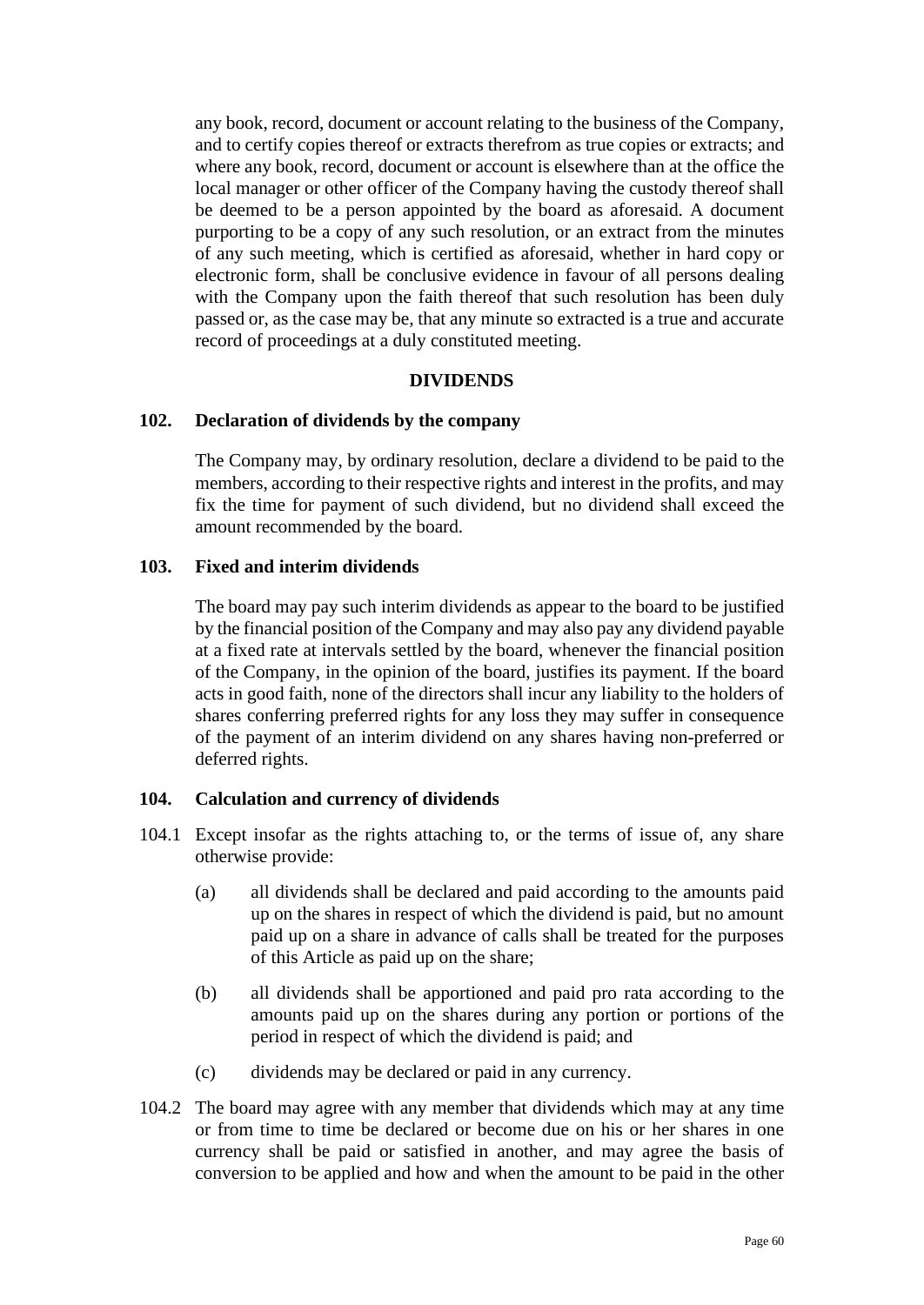any book, record, document or account relating to the business of the Company, and to certify copies thereof or extracts therefrom as true copies or extracts; and where any book, record, document or account is elsewhere than at the office the local manager or other officer of the Company having the custody thereof shall be deemed to be a person appointed by the board as aforesaid. A document purporting to be a copy of any such resolution, or an extract from the minutes of any such meeting, which is certified as aforesaid, whether in hard copy or electronic form, shall be conclusive evidence in favour of all persons dealing with the Company upon the faith thereof that such resolution has been duly passed or, as the case may be, that any minute so extracted is a true and accurate record of proceedings at a duly constituted meeting.

### **DIVIDENDS**

## **102. Declaration of dividends by the company**

The Company may, by ordinary resolution, declare a dividend to be paid to the members, according to their respective rights and interest in the profits, and may fix the time for payment of such dividend, but no dividend shall exceed the amount recommended by the board.

## **103. Fixed and interim dividends**

The board may pay such interim dividends as appear to the board to be justified by the financial position of the Company and may also pay any dividend payable at a fixed rate at intervals settled by the board, whenever the financial position of the Company, in the opinion of the board, justifies its payment. If the board acts in good faith, none of the directors shall incur any liability to the holders of shares conferring preferred rights for any loss they may suffer in consequence of the payment of an interim dividend on any shares having non-preferred or deferred rights.

## **104. Calculation and currency of dividends**

- 104.1 Except insofar as the rights attaching to, or the terms of issue of, any share otherwise provide:
	- (a) all dividends shall be declared and paid according to the amounts paid up on the shares in respect of which the dividend is paid, but no amount paid up on a share in advance of calls shall be treated for the purposes of this Article as paid up on the share;
	- (b) all dividends shall be apportioned and paid pro rata according to the amounts paid up on the shares during any portion or portions of the period in respect of which the dividend is paid; and
	- (c) dividends may be declared or paid in any currency.
- 104.2 The board may agree with any member that dividends which may at any time or from time to time be declared or become due on his or her shares in one currency shall be paid or satisfied in another, and may agree the basis of conversion to be applied and how and when the amount to be paid in the other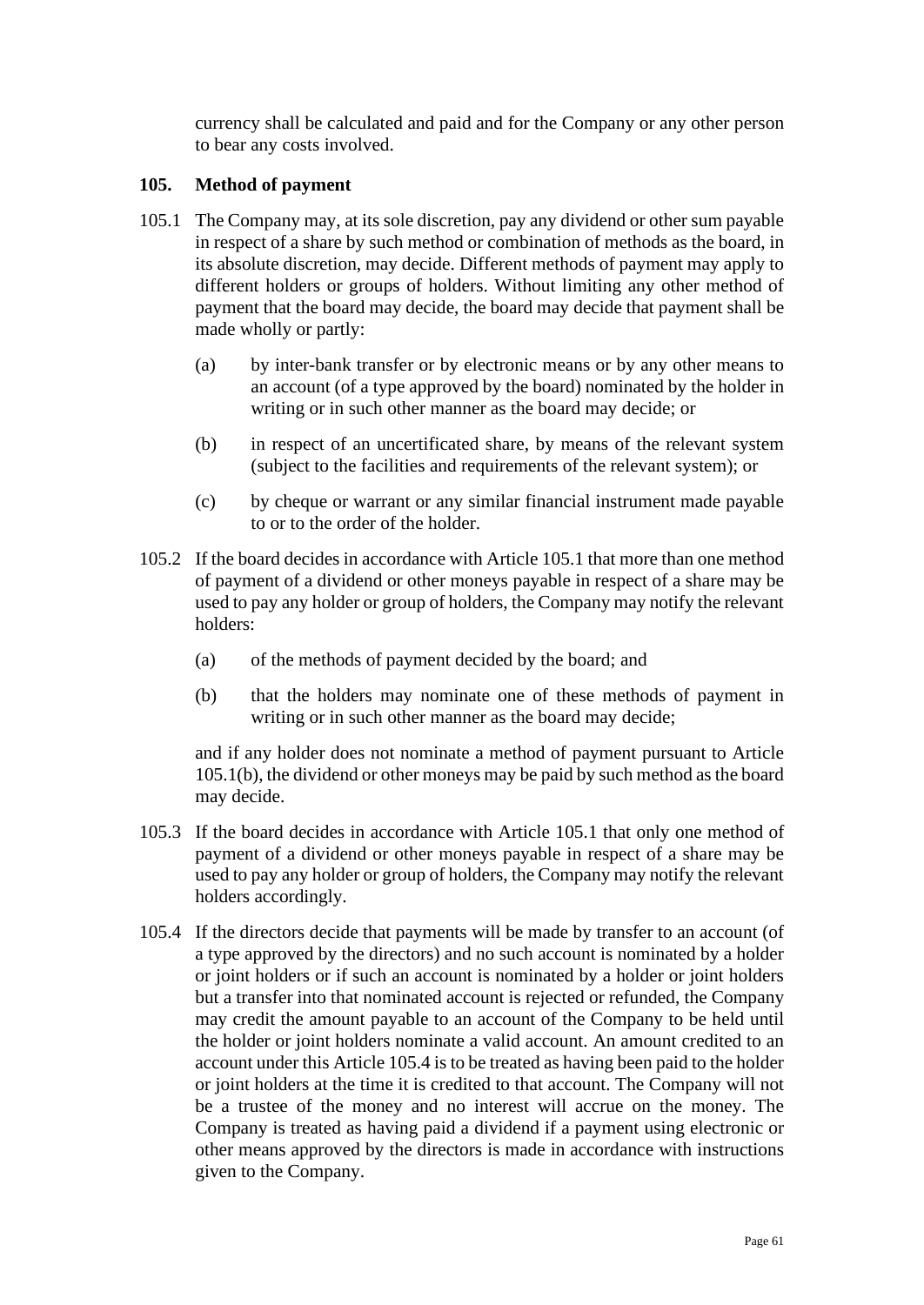currency shall be calculated and paid and for the Company or any other person to bear any costs involved.

# <span id="page-60-3"></span>**105. Method of payment**

- <span id="page-60-0"></span>105.1 The Company may, at its sole discretion, pay any dividend or other sum payable in respect of a share by such method or combination of methods as the board, in its absolute discretion, may decide. Different methods of payment may apply to different holders or groups of holders. Without limiting any other method of payment that the board may decide, the board may decide that payment shall be made wholly or partly:
	- (a) by inter-bank transfer or by electronic means or by any other means to an account (of a type approved by the board) nominated by the holder in writing or in such other manner as the board may decide; or
	- (b) in respect of an uncertificated share, by means of the relevant system (subject to the facilities and requirements of the relevant system); or
	- (c) by cheque or warrant or any similar financial instrument made payable to or to the order of the holder.
- <span id="page-60-1"></span>105.2 If the board decides in accordance with Articl[e 105.1](#page-60-0) that more than one method of payment of a dividend or other moneys payable in respect of a share may be used to pay any holder or group of holders, the Company may notify the relevant holders:
	- (a) of the methods of payment decided by the board; and
	- (b) that the holders may nominate one of these methods of payment in writing or in such other manner as the board may decide;

and if any holder does not nominate a method of payment pursuant to Article [105.1\(b\),](#page-60-1) the dividend or other moneys may be paid by such method as the board may decide.

- 105.3 If the board decides in accordance with Article [105.1](#page-60-0) that only one method of payment of a dividend or other moneys payable in respect of a share may be used to pay any holder or group of holders, the Company may notify the relevant holders accordingly.
- <span id="page-60-2"></span>105.4 If the directors decide that payments will be made by transfer to an account (of a type approved by the directors) and no such account is nominated by a holder or joint holders or if such an account is nominated by a holder or joint holders but a transfer into that nominated account is rejected or refunded, the Company may credit the amount payable to an account of the Company to be held until the holder or joint holders nominate a valid account. An amount credited to an account under this Article [105.4](#page-60-2) is to be treated as having been paid to the holder or joint holders at the time it is credited to that account. The Company will not be a trustee of the money and no interest will accrue on the money. The Company is treated as having paid a dividend if a payment using electronic or other means approved by the directors is made in accordance with instructions given to the Company.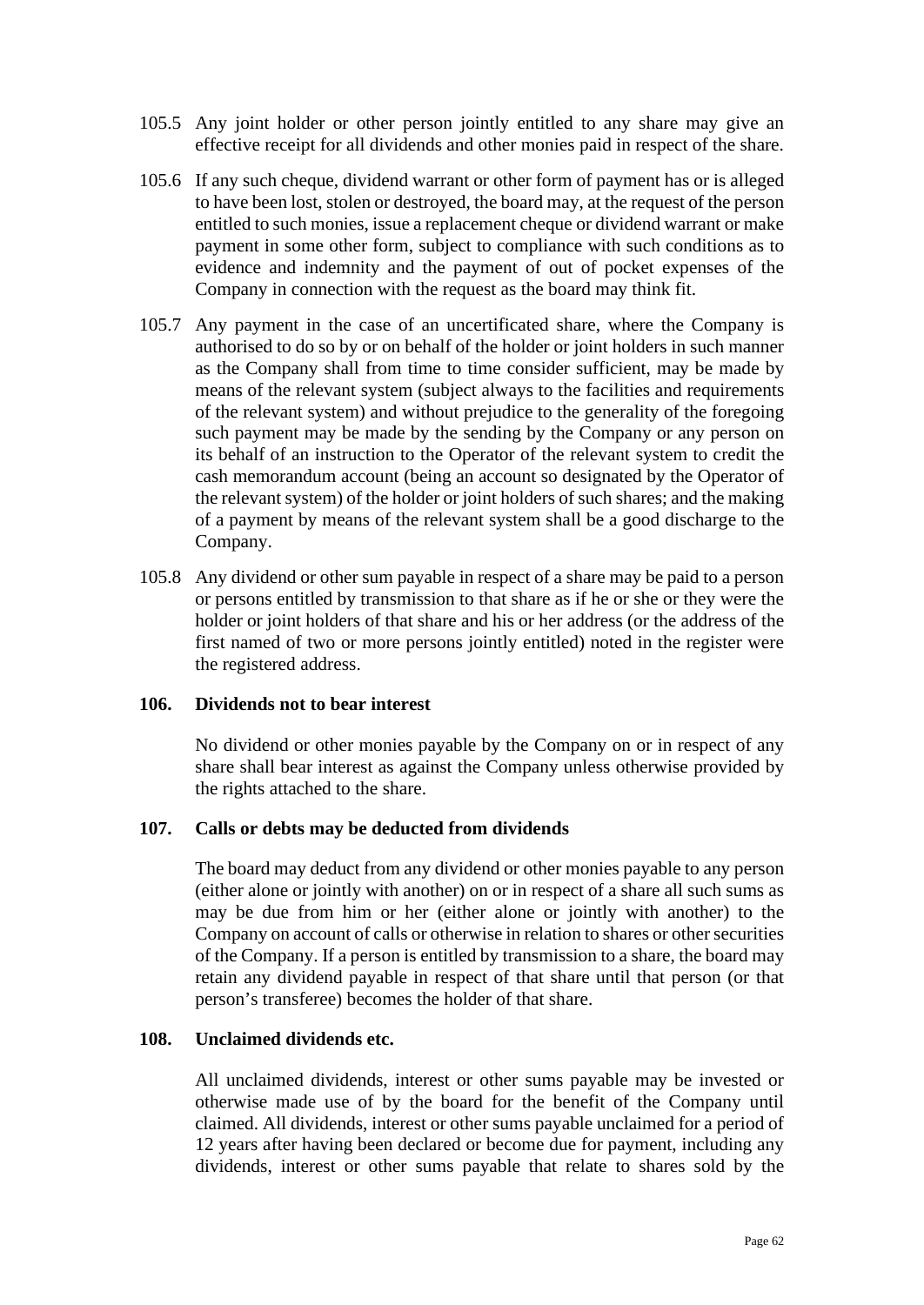- 105.5 Any joint holder or other person jointly entitled to any share may give an effective receipt for all dividends and other monies paid in respect of the share.
- 105.6 If any such cheque, dividend warrant or other form of payment has or is alleged to have been lost, stolen or destroyed, the board may, at the request of the person entitled to such monies, issue a replacement cheque or dividend warrant or make payment in some other form, subject to compliance with such conditions as to evidence and indemnity and the payment of out of pocket expenses of the Company in connection with the request as the board may think fit.
- 105.7 Any payment in the case of an uncertificated share, where the Company is authorised to do so by or on behalf of the holder or joint holders in such manner as the Company shall from time to time consider sufficient, may be made by means of the relevant system (subject always to the facilities and requirements of the relevant system) and without prejudice to the generality of the foregoing such payment may be made by the sending by the Company or any person on its behalf of an instruction to the Operator of the relevant system to credit the cash memorandum account (being an account so designated by the Operator of the relevant system) of the holder or joint holders of such shares; and the making of a payment by means of the relevant system shall be a good discharge to the Company.
- 105.8 Any dividend or other sum payable in respect of a share may be paid to a person or persons entitled by transmission to that share as if he or she or they were the holder or joint holders of that share and his or her address (or the address of the first named of two or more persons jointly entitled) noted in the register were the registered address.

## **106. Dividends not to bear interest**

No dividend or other monies payable by the Company on or in respect of any share shall bear interest as against the Company unless otherwise provided by the rights attached to the share.

## **107. Calls or debts may be deducted from dividends**

The board may deduct from any dividend or other monies payable to any person (either alone or jointly with another) on or in respect of a share all such sums as may be due from him or her (either alone or jointly with another) to the Company on account of calls or otherwise in relation to shares or other securities of the Company. If a person is entitled by transmission to a share, the board may retain any dividend payable in respect of that share until that person (or that person's transferee) becomes the holder of that share.

## **108. Unclaimed dividends etc.**

All unclaimed dividends, interest or other sums payable may be invested or otherwise made use of by the board for the benefit of the Company until claimed. All dividends, interest or other sums payable unclaimed for a period of 12 years after having been declared or become due for payment, including any dividends, interest or other sums payable that relate to shares sold by the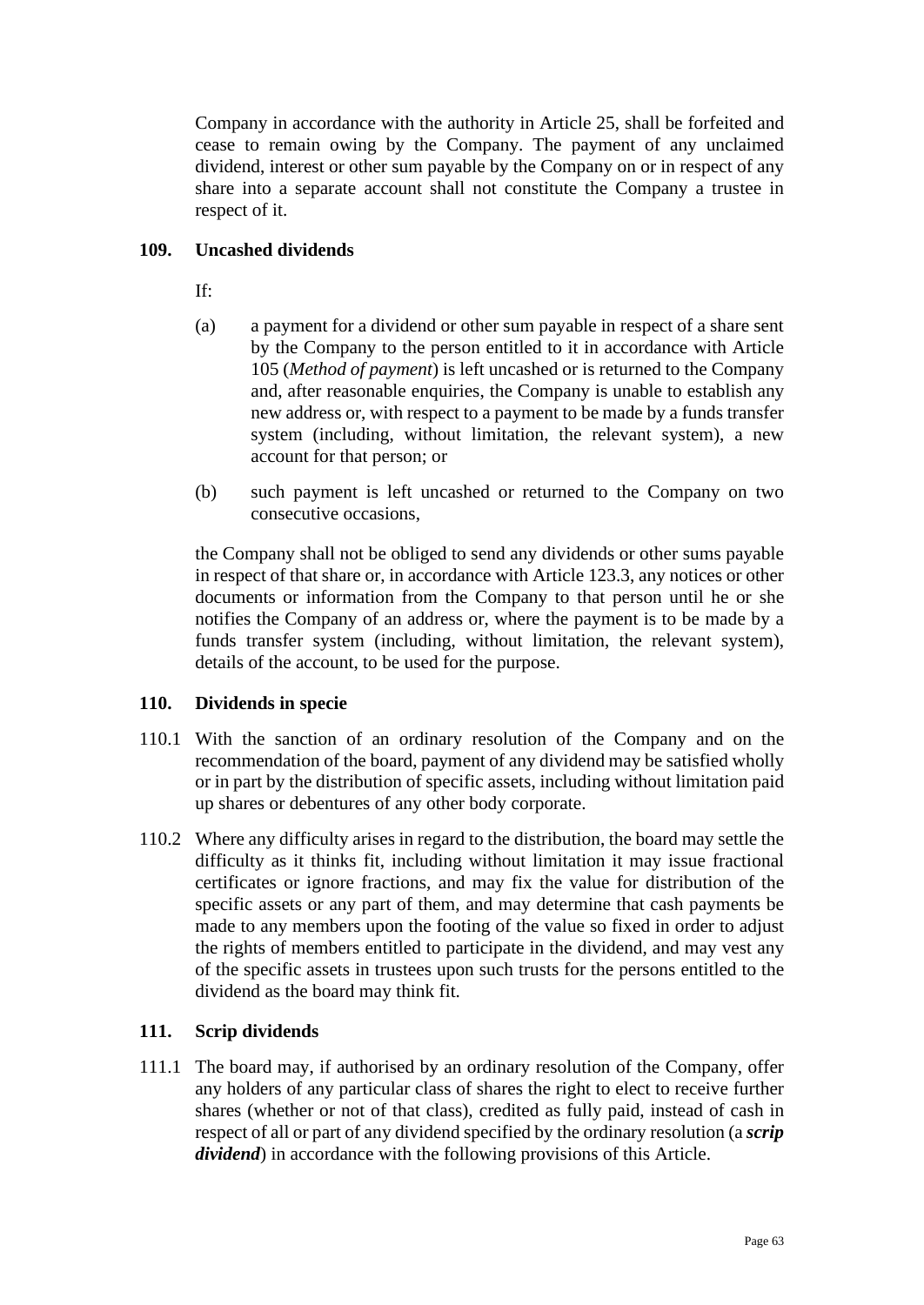Company in accordance with the authority in Article [25,](#page-18-0) shall be forfeited and cease to remain owing by the Company. The payment of any unclaimed dividend, interest or other sum payable by the Company on or in respect of any share into a separate account shall not constitute the Company a trustee in respect of it.

# **109. Uncashed dividends**

If:

- (a) a payment for a dividend or other sum payable in respect of a share sent by the Company to the person entitled to it in accordance with Article [105](#page-60-3) (*Method of payment*) is left uncashed or is returned to the Company and, after reasonable enquiries, the Company is unable to establish any new address or, with respect to a payment to be made by a funds transfer system (including, without limitation, the relevant system), a new account for that person; or
- (b) such payment is left uncashed or returned to the Company on two consecutive occasions,

the Company shall not be obliged to send any dividends or other sums payable in respect of that share or, in accordance with Article [123.3,](#page-69-0) any notices or other documents or information from the Company to that person until he or she notifies the Company of an address or, where the payment is to be made by a funds transfer system (including, without limitation, the relevant system), details of the account, to be used for the purpose.

## **110. Dividends in specie**

- 110.1 With the sanction of an ordinary resolution of the Company and on the recommendation of the board, payment of any dividend may be satisfied wholly or in part by the distribution of specific assets, including without limitation paid up shares or debentures of any other body corporate.
- 110.2 Where any difficulty arises in regard to the distribution, the board may settle the difficulty as it thinks fit, including without limitation it may issue fractional certificates or ignore fractions, and may fix the value for distribution of the specific assets or any part of them, and may determine that cash payments be made to any members upon the footing of the value so fixed in order to adjust the rights of members entitled to participate in the dividend, and may vest any of the specific assets in trustees upon such trusts for the persons entitled to the dividend as the board may think fit.

# **111. Scrip dividends**

111.1 The board may, if authorised by an ordinary resolution of the Company, offer any holders of any particular class of shares the right to elect to receive further shares (whether or not of that class), credited as fully paid, instead of cash in respect of all or part of any dividend specified by the ordinary resolution (a *scrip dividend*) in accordance with the following provisions of this Article.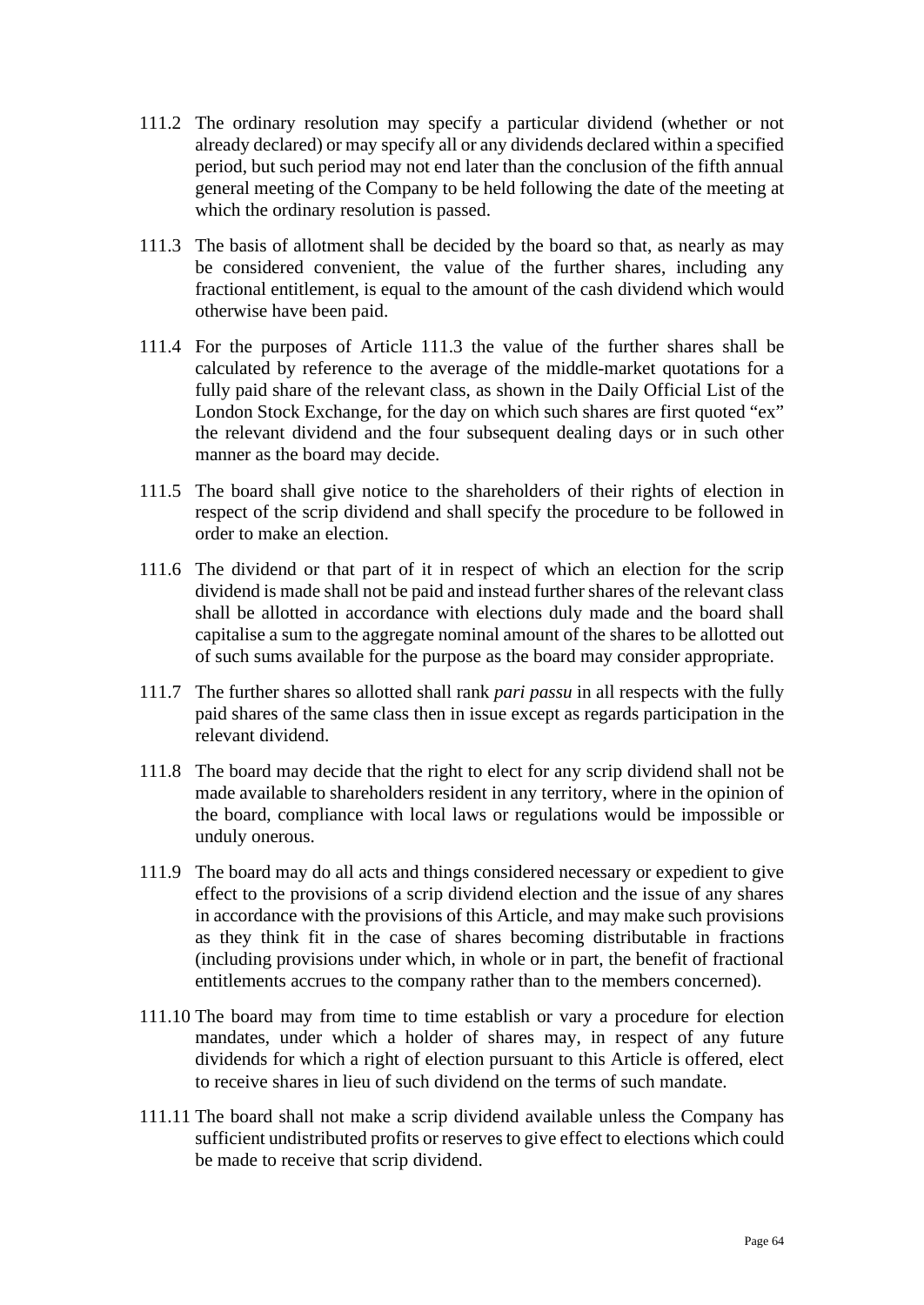- 111.2 The ordinary resolution may specify a particular dividend (whether or not already declared) or may specify all or any dividends declared within a specified period, but such period may not end later than the conclusion of the fifth annual general meeting of the Company to be held following the date of the meeting at which the ordinary resolution is passed.
- <span id="page-63-0"></span>111.3 The basis of allotment shall be decided by the board so that, as nearly as may be considered convenient, the value of the further shares, including any fractional entitlement, is equal to the amount of the cash dividend which would otherwise have been paid.
- 111.4 For the purposes of Article [111.3](#page-63-0) the value of the further shares shall be calculated by reference to the average of the middle-market quotations for a fully paid share of the relevant class, as shown in the Daily Official List of the London Stock Exchange, for the day on which such shares are first quoted "ex" the relevant dividend and the four subsequent dealing days or in such other manner as the board may decide.
- 111.5 The board shall give notice to the shareholders of their rights of election in respect of the scrip dividend and shall specify the procedure to be followed in order to make an election.
- 111.6 The dividend or that part of it in respect of which an election for the scrip dividend is made shall not be paid and instead further shares of the relevant class shall be allotted in accordance with elections duly made and the board shall capitalise a sum to the aggregate nominal amount of the shares to be allotted out of such sums available for the purpose as the board may consider appropriate.
- 111.7 The further shares so allotted shall rank *pari passu* in all respects with the fully paid shares of the same class then in issue except as regards participation in the relevant dividend.
- 111.8 The board may decide that the right to elect for any scrip dividend shall not be made available to shareholders resident in any territory, where in the opinion of the board, compliance with local laws or regulations would be impossible or unduly onerous.
- 111.9 The board may do all acts and things considered necessary or expedient to give effect to the provisions of a scrip dividend election and the issue of any shares in accordance with the provisions of this Article, and may make such provisions as they think fit in the case of shares becoming distributable in fractions (including provisions under which, in whole or in part, the benefit of fractional entitlements accrues to the company rather than to the members concerned).
- 111.10 The board may from time to time establish or vary a procedure for election mandates, under which a holder of shares may, in respect of any future dividends for which a right of election pursuant to this Article is offered, elect to receive shares in lieu of such dividend on the terms of such mandate.
- 111.11 The board shall not make a scrip dividend available unless the Company has sufficient undistributed profits or reserves to give effect to elections which could be made to receive that scrip dividend.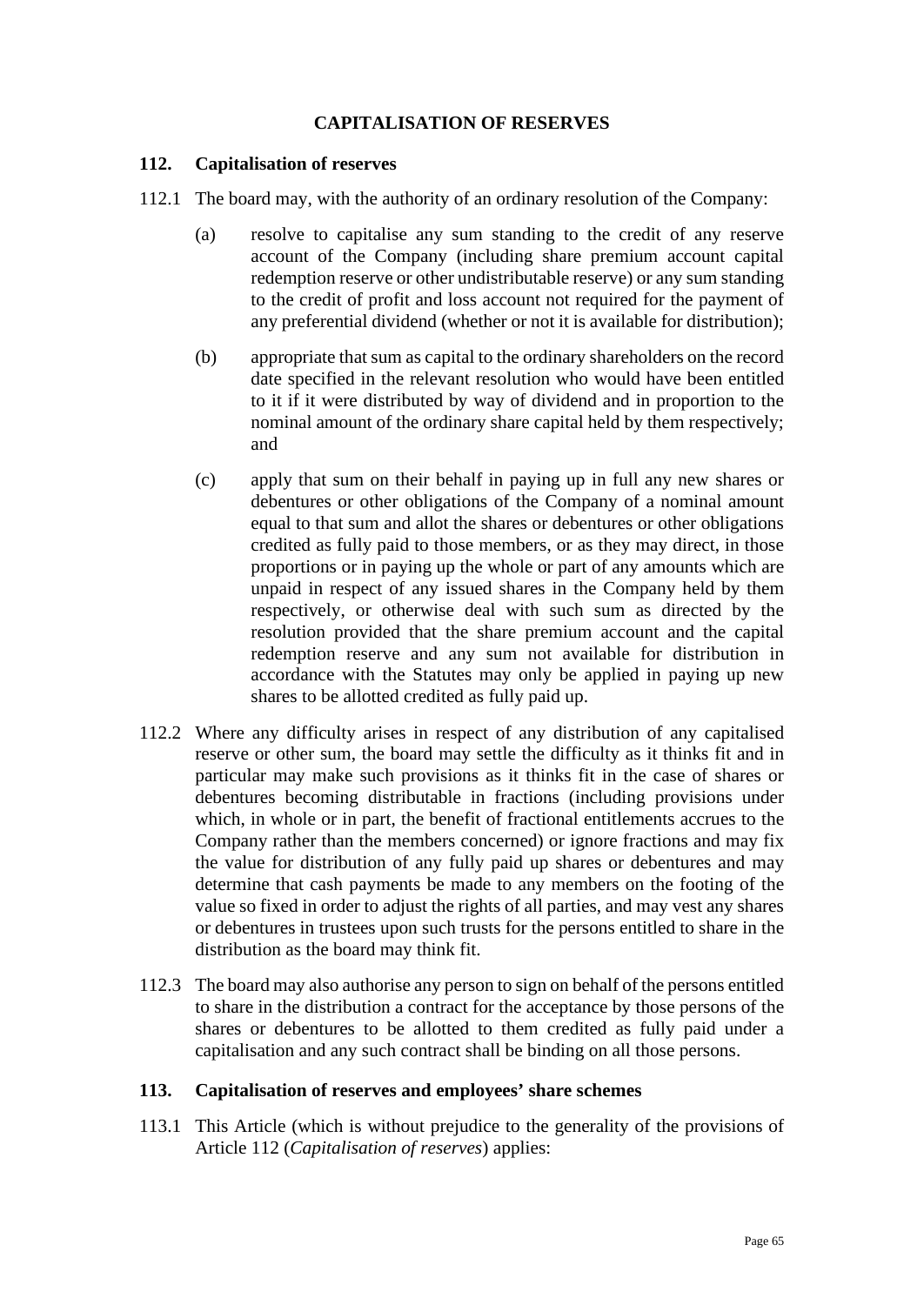## **CAPITALISATION OF RESERVES**

### <span id="page-64-0"></span>**112. Capitalisation of reserves**

- 112.1 The board may, with the authority of an ordinary resolution of the Company:
	- (a) resolve to capitalise any sum standing to the credit of any reserve account of the Company (including share premium account capital redemption reserve or other undistributable reserve) or any sum standing to the credit of profit and loss account not required for the payment of any preferential dividend (whether or not it is available for distribution);
	- (b) appropriate that sum as capital to the ordinary shareholders on the record date specified in the relevant resolution who would have been entitled to it if it were distributed by way of dividend and in proportion to the nominal amount of the ordinary share capital held by them respectively; and
	- (c) apply that sum on their behalf in paying up in full any new shares or debentures or other obligations of the Company of a nominal amount equal to that sum and allot the shares or debentures or other obligations credited as fully paid to those members, or as they may direct, in those proportions or in paying up the whole or part of any amounts which are unpaid in respect of any issued shares in the Company held by them respectively, or otherwise deal with such sum as directed by the resolution provided that the share premium account and the capital redemption reserve and any sum not available for distribution in accordance with the Statutes may only be applied in paying up new shares to be allotted credited as fully paid up.
- 112.2 Where any difficulty arises in respect of any distribution of any capitalised reserve or other sum, the board may settle the difficulty as it thinks fit and in particular may make such provisions as it thinks fit in the case of shares or debentures becoming distributable in fractions (including provisions under which, in whole or in part, the benefit of fractional entitlements accrues to the Company rather than the members concerned) or ignore fractions and may fix the value for distribution of any fully paid up shares or debentures and may determine that cash payments be made to any members on the footing of the value so fixed in order to adjust the rights of all parties, and may vest any shares or debentures in trustees upon such trusts for the persons entitled to share in the distribution as the board may think fit.
- 112.3 The board may also authorise any person to sign on behalf of the persons entitled to share in the distribution a contract for the acceptance by those persons of the shares or debentures to be allotted to them credited as fully paid under a capitalisation and any such contract shall be binding on all those persons.

#### **113. Capitalisation of reserves and employees' share schemes**

113.1 This Article (which is without prejudice to the generality of the provisions of Article [112](#page-64-0) (*Capitalisation of reserves*) applies: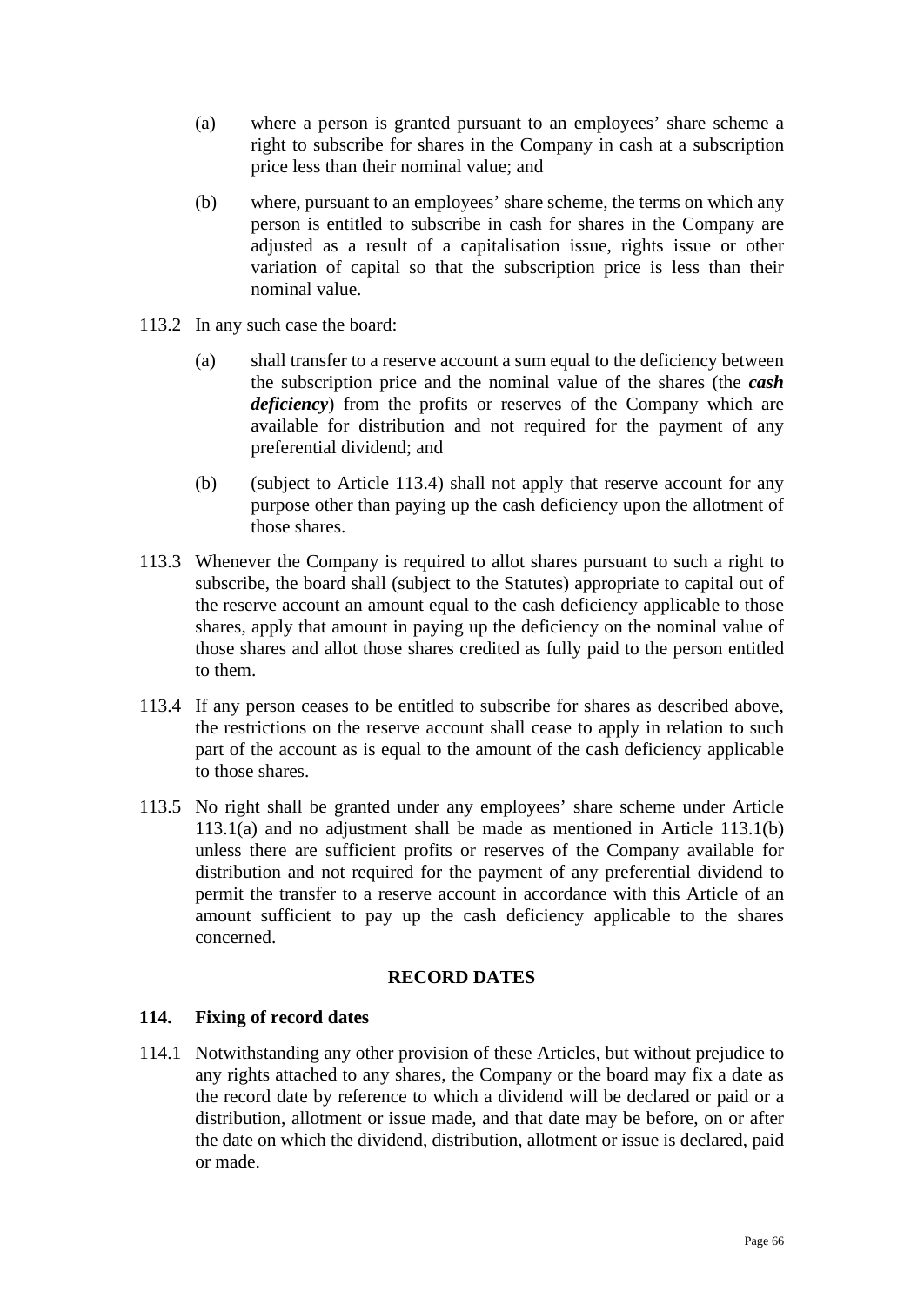- <span id="page-65-1"></span>(a) where a person is granted pursuant to an employees' share scheme a right to subscribe for shares in the Company in cash at a subscription price less than their nominal value; and
- <span id="page-65-2"></span>(b) where, pursuant to an employees' share scheme, the terms on which any person is entitled to subscribe in cash for shares in the Company are adjusted as a result of a capitalisation issue, rights issue or other variation of capital so that the subscription price is less than their nominal value.
- 113.2 In any such case the board:
	- (a) shall transfer to a reserve account a sum equal to the deficiency between the subscription price and the nominal value of the shares (the *cash deficiency*) from the profits or reserves of the Company which are available for distribution and not required for the payment of any preferential dividend; and
	- (b) (subject to Article [113.4\)](#page-65-0) shall not apply that reserve account for any purpose other than paying up the cash deficiency upon the allotment of those shares.
- 113.3 Whenever the Company is required to allot shares pursuant to such a right to subscribe, the board shall (subject to the Statutes) appropriate to capital out of the reserve account an amount equal to the cash deficiency applicable to those shares, apply that amount in paying up the deficiency on the nominal value of those shares and allot those shares credited as fully paid to the person entitled to them.
- <span id="page-65-0"></span>113.4 If any person ceases to be entitled to subscribe for shares as described above, the restrictions on the reserve account shall cease to apply in relation to such part of the account as is equal to the amount of the cash deficiency applicable to those shares.
- 113.5 No right shall be granted under any employees' share scheme under Article [113.1\(a\)](#page-65-1) and no adjustment shall be made as mentioned in Article [113.1\(b\)](#page-65-2) unless there are sufficient profits or reserves of the Company available for distribution and not required for the payment of any preferential dividend to permit the transfer to a reserve account in accordance with this Article of an amount sufficient to pay up the cash deficiency applicable to the shares concerned.

## **RECORD DATES**

## **114. Fixing of record dates**

114.1 Notwithstanding any other provision of these Articles, but without prejudice to any rights attached to any shares, the Company or the board may fix a date as the record date by reference to which a dividend will be declared or paid or a distribution, allotment or issue made, and that date may be before, on or after the date on which the dividend, distribution, allotment or issue is declared, paid or made.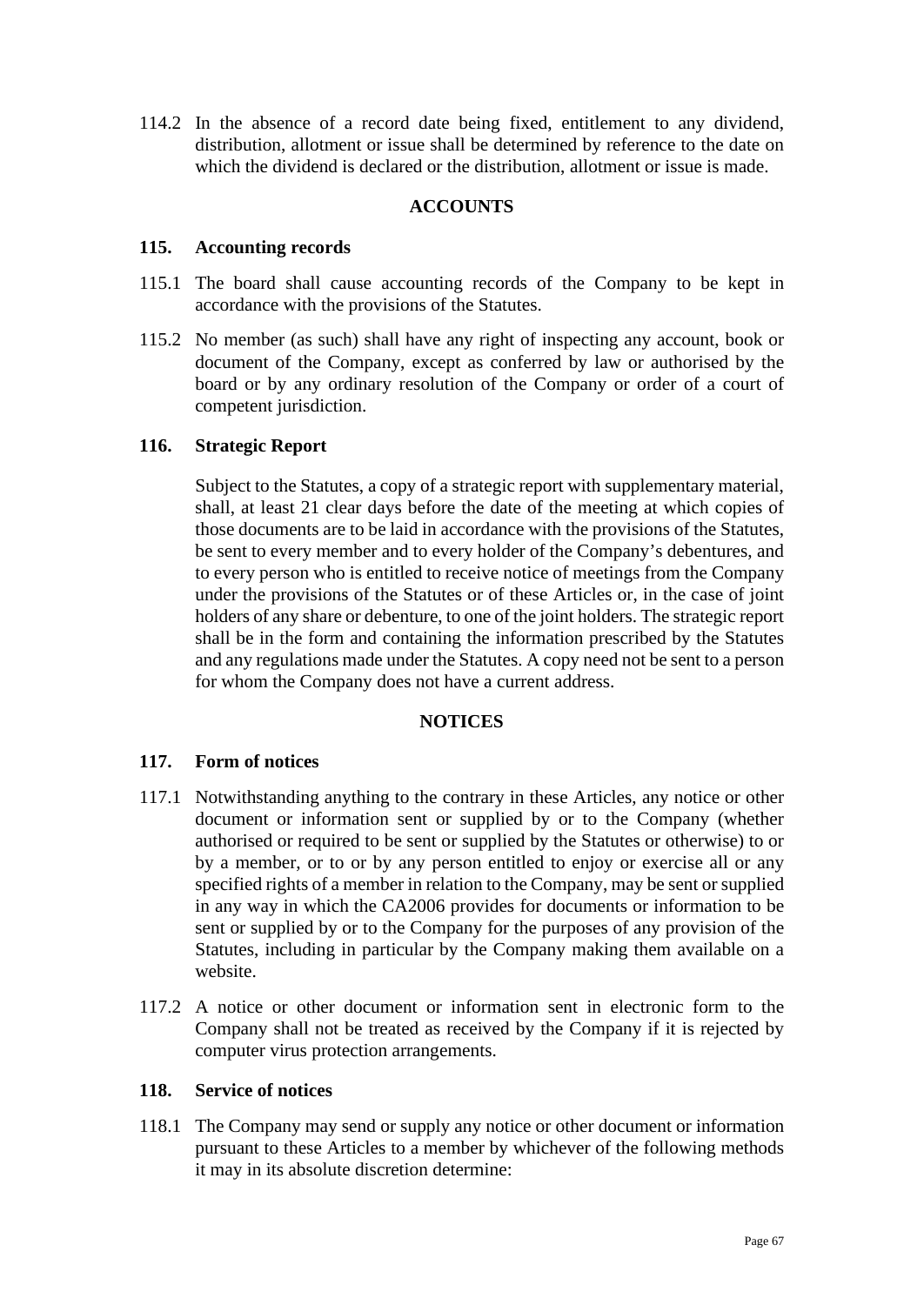114.2 In the absence of a record date being fixed, entitlement to any dividend, distribution, allotment or issue shall be determined by reference to the date on which the dividend is declared or the distribution, allotment or issue is made.

## **ACCOUNTS**

### **115. Accounting records**

- 115.1 The board shall cause accounting records of the Company to be kept in accordance with the provisions of the Statutes.
- 115.2 No member (as such) shall have any right of inspecting any account, book or document of the Company, except as conferred by law or authorised by the board or by any ordinary resolution of the Company or order of a court of competent jurisdiction.

## **116. Strategic Report**

Subject to the Statutes, a copy of a strategic report with supplementary material, shall, at least 21 clear days before the date of the meeting at which copies of those documents are to be laid in accordance with the provisions of the Statutes, be sent to every member and to every holder of the Company's debentures, and to every person who is entitled to receive notice of meetings from the Company under the provisions of the Statutes or of these Articles or, in the case of joint holders of any share or debenture, to one of the joint holders. The strategic report shall be in the form and containing the information prescribed by the Statutes and any regulations made under the Statutes. A copy need not be sent to a person for whom the Company does not have a current address.

### **NOTICES**

## **117. Form of notices**

- 117.1 Notwithstanding anything to the contrary in these Articles, any notice or other document or information sent or supplied by or to the Company (whether authorised or required to be sent or supplied by the Statutes or otherwise) to or by a member, or to or by any person entitled to enjoy or exercise all or any specified rights of a member in relation to the Company, may be sent or supplied in any way in which the CA2006 provides for documents or information to be sent or supplied by or to the Company for the purposes of any provision of the Statutes, including in particular by the Company making them available on a website.
- 117.2 A notice or other document or information sent in electronic form to the Company shall not be treated as received by the Company if it is rejected by computer virus protection arrangements.

#### **118. Service of notices**

118.1 The Company may send or supply any notice or other document or information pursuant to these Articles to a member by whichever of the following methods it may in its absolute discretion determine: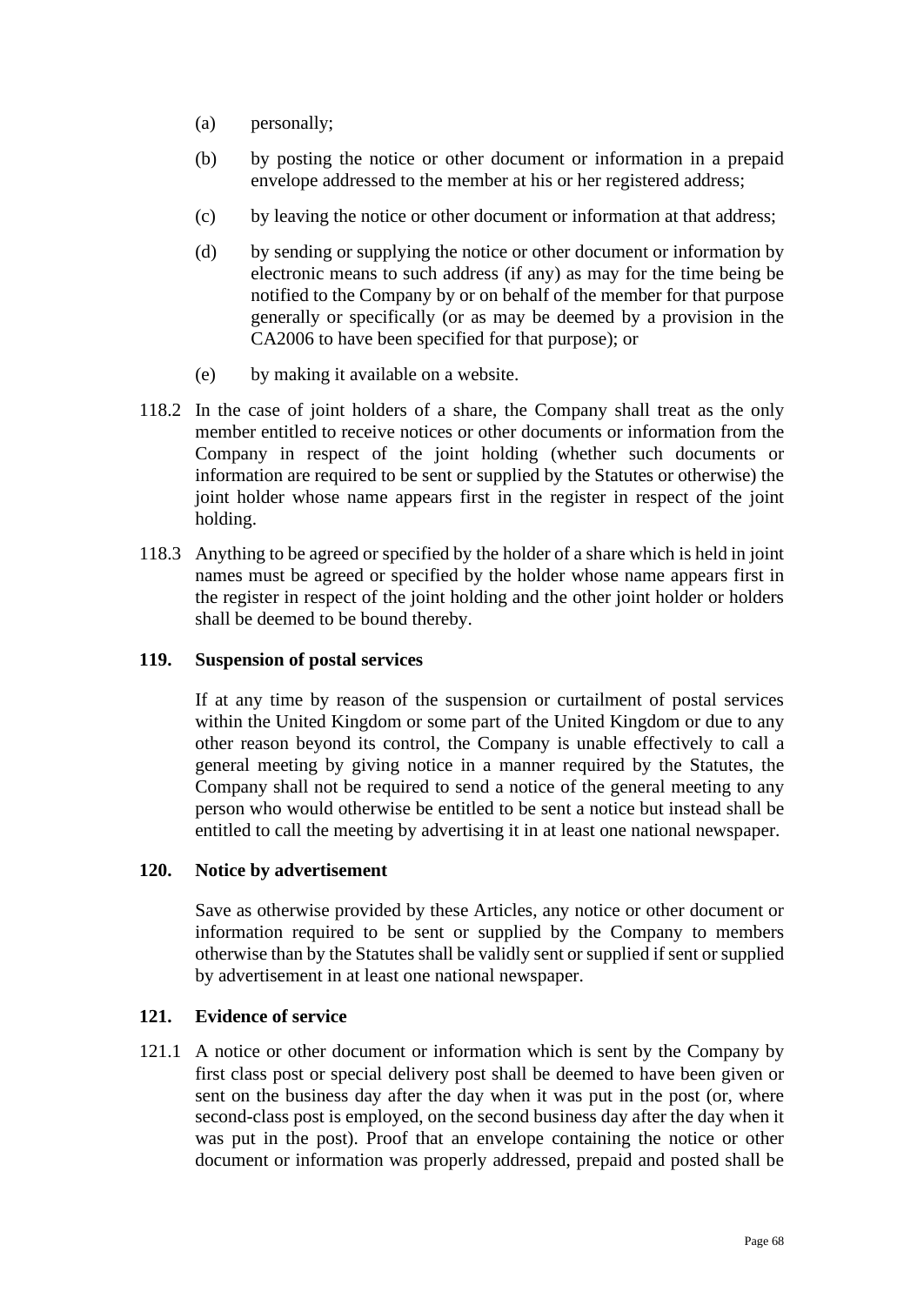- (a) personally;
- (b) by posting the notice or other document or information in a prepaid envelope addressed to the member at his or her registered address;
- (c) by leaving the notice or other document or information at that address;
- (d) by sending or supplying the notice or other document or information by electronic means to such address (if any) as may for the time being be notified to the Company by or on behalf of the member for that purpose generally or specifically (or as may be deemed by a provision in the CA2006 to have been specified for that purpose); or
- (e) by making it available on a website.
- 118.2 In the case of joint holders of a share, the Company shall treat as the only member entitled to receive notices or other documents or information from the Company in respect of the joint holding (whether such documents or information are required to be sent or supplied by the Statutes or otherwise) the joint holder whose name appears first in the register in respect of the joint holding.
- 118.3 Anything to be agreed or specified by the holder of a share which is held in joint names must be agreed or specified by the holder whose name appears first in the register in respect of the joint holding and the other joint holder or holders shall be deemed to be bound thereby.

## **119. Suspension of postal services**

If at any time by reason of the suspension or curtailment of postal services within the United Kingdom or some part of the United Kingdom or due to any other reason beyond its control, the Company is unable effectively to call a general meeting by giving notice in a manner required by the Statutes, the Company shall not be required to send a notice of the general meeting to any person who would otherwise be entitled to be sent a notice but instead shall be entitled to call the meeting by advertising it in at least one national newspaper.

## **120. Notice by advertisement**

Save as otherwise provided by these Articles, any notice or other document or information required to be sent or supplied by the Company to members otherwise than by the Statutes shall be validly sent or supplied if sent or supplied by advertisement in at least one national newspaper.

# **121. Evidence of service**

121.1 A notice or other document or information which is sent by the Company by first class post or special delivery post shall be deemed to have been given or sent on the business day after the day when it was put in the post (or, where second-class post is employed, on the second business day after the day when it was put in the post). Proof that an envelope containing the notice or other document or information was properly addressed, prepaid and posted shall be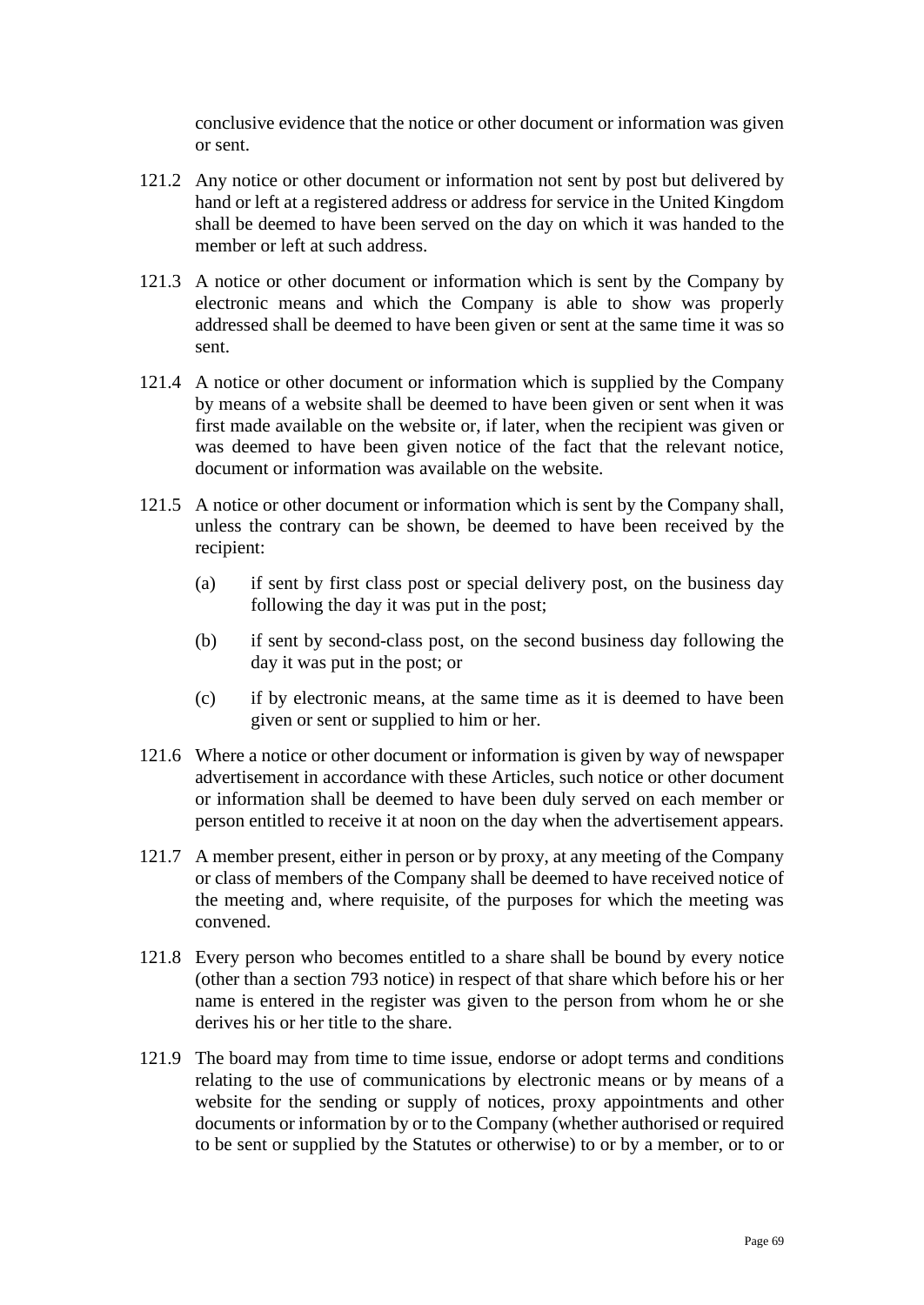conclusive evidence that the notice or other document or information was given or sent.

- 121.2 Any notice or other document or information not sent by post but delivered by hand or left at a registered address or address for service in the United Kingdom shall be deemed to have been served on the day on which it was handed to the member or left at such address.
- 121.3 A notice or other document or information which is sent by the Company by electronic means and which the Company is able to show was properly addressed shall be deemed to have been given or sent at the same time it was so sent.
- 121.4 A notice or other document or information which is supplied by the Company by means of a website shall be deemed to have been given or sent when it was first made available on the website or, if later, when the recipient was given or was deemed to have been given notice of the fact that the relevant notice, document or information was available on the website.
- 121.5 A notice or other document or information which is sent by the Company shall, unless the contrary can be shown, be deemed to have been received by the recipient:
	- (a) if sent by first class post or special delivery post, on the business day following the day it was put in the post;
	- (b) if sent by second-class post, on the second business day following the day it was put in the post; or
	- (c) if by electronic means, at the same time as it is deemed to have been given or sent or supplied to him or her.
- 121.6 Where a notice or other document or information is given by way of newspaper advertisement in accordance with these Articles, such notice or other document or information shall be deemed to have been duly served on each member or person entitled to receive it at noon on the day when the advertisement appears.
- 121.7 A member present, either in person or by proxy, at any meeting of the Company or class of members of the Company shall be deemed to have received notice of the meeting and, where requisite, of the purposes for which the meeting was convened.
- 121.8 Every person who becomes entitled to a share shall be bound by every notice (other than a section 793 notice) in respect of that share which before his or her name is entered in the register was given to the person from whom he or she derives his or her title to the share.
- 121.9 The board may from time to time issue, endorse or adopt terms and conditions relating to the use of communications by electronic means or by means of a website for the sending or supply of notices, proxy appointments and other documents or information by or to the Company (whether authorised or required to be sent or supplied by the Statutes or otherwise) to or by a member, or to or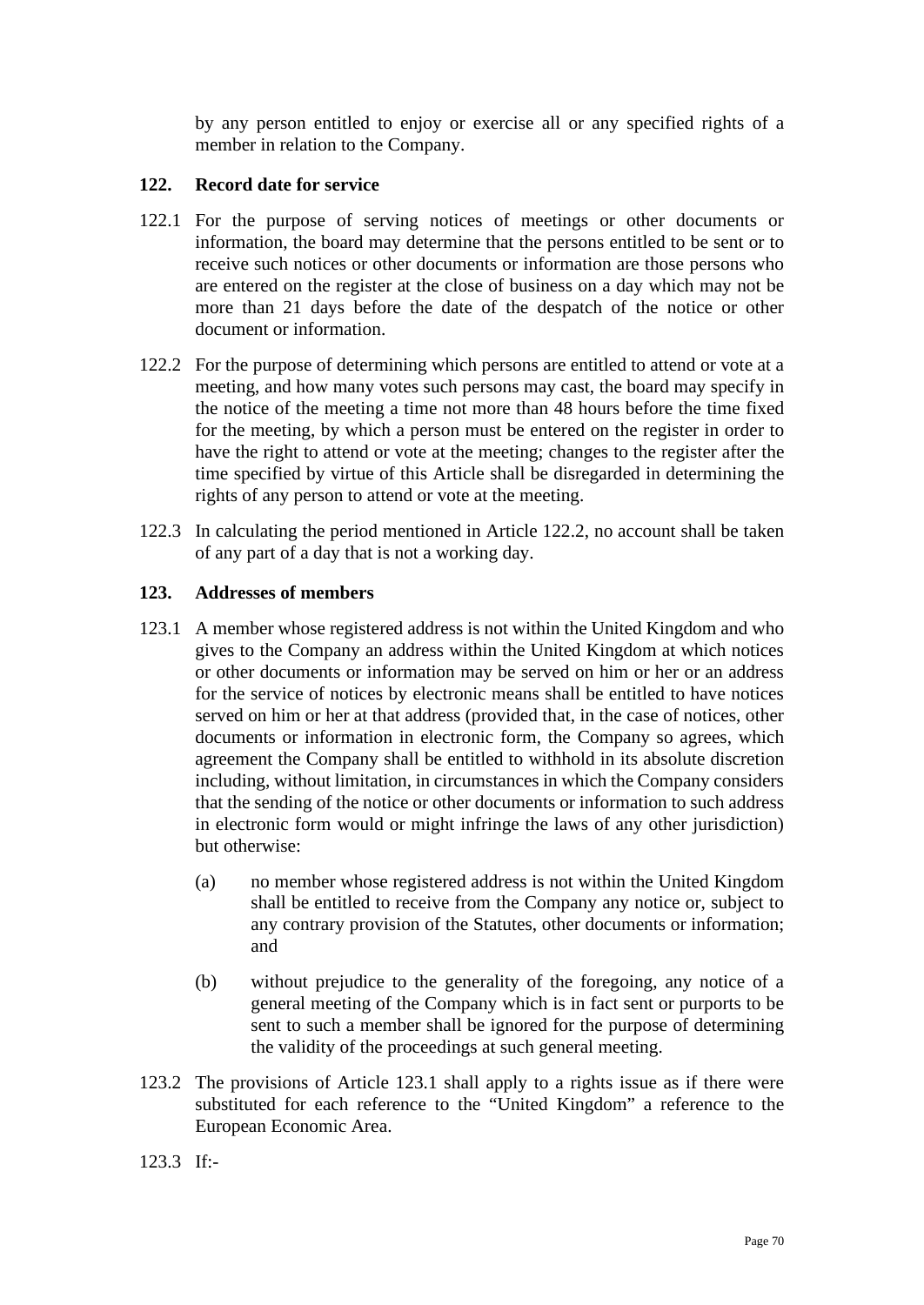by any person entitled to enjoy or exercise all or any specified rights of a member in relation to the Company.

# **122. Record date for service**

- 122.1 For the purpose of serving notices of meetings or other documents or information, the board may determine that the persons entitled to be sent or to receive such notices or other documents or information are those persons who are entered on the register at the close of business on a day which may not be more than 21 days before the date of the despatch of the notice or other document or information.
- <span id="page-69-1"></span>122.2 For the purpose of determining which persons are entitled to attend or vote at a meeting, and how many votes such persons may cast, the board may specify in the notice of the meeting a time not more than 48 hours before the time fixed for the meeting, by which a person must be entered on the register in order to have the right to attend or vote at the meeting; changes to the register after the time specified by virtue of this Article shall be disregarded in determining the rights of any person to attend or vote at the meeting.
- 122.3 In calculating the period mentioned in Article [122.2,](#page-69-1) no account shall be taken of any part of a day that is not a working day.

## **123. Addresses of members**

- <span id="page-69-2"></span>123.1 A member whose registered address is not within the United Kingdom and who gives to the Company an address within the United Kingdom at which notices or other documents or information may be served on him or her or an address for the service of notices by electronic means shall be entitled to have notices served on him or her at that address (provided that, in the case of notices, other documents or information in electronic form, the Company so agrees, which agreement the Company shall be entitled to withhold in its absolute discretion including, without limitation, in circumstances in which the Company considers that the sending of the notice or other documents or information to such address in electronic form would or might infringe the laws of any other jurisdiction) but otherwise:
	- (a) no member whose registered address is not within the United Kingdom shall be entitled to receive from the Company any notice or, subject to any contrary provision of the Statutes, other documents or information; and
	- (b) without prejudice to the generality of the foregoing, any notice of a general meeting of the Company which is in fact sent or purports to be sent to such a member shall be ignored for the purpose of determining the validity of the proceedings at such general meeting.
- 123.2 The provisions of Article [123.1](#page-69-2) shall apply to a rights issue as if there were substituted for each reference to the "United Kingdom" a reference to the European Economic Area.

<span id="page-69-0"></span>123.3 If:-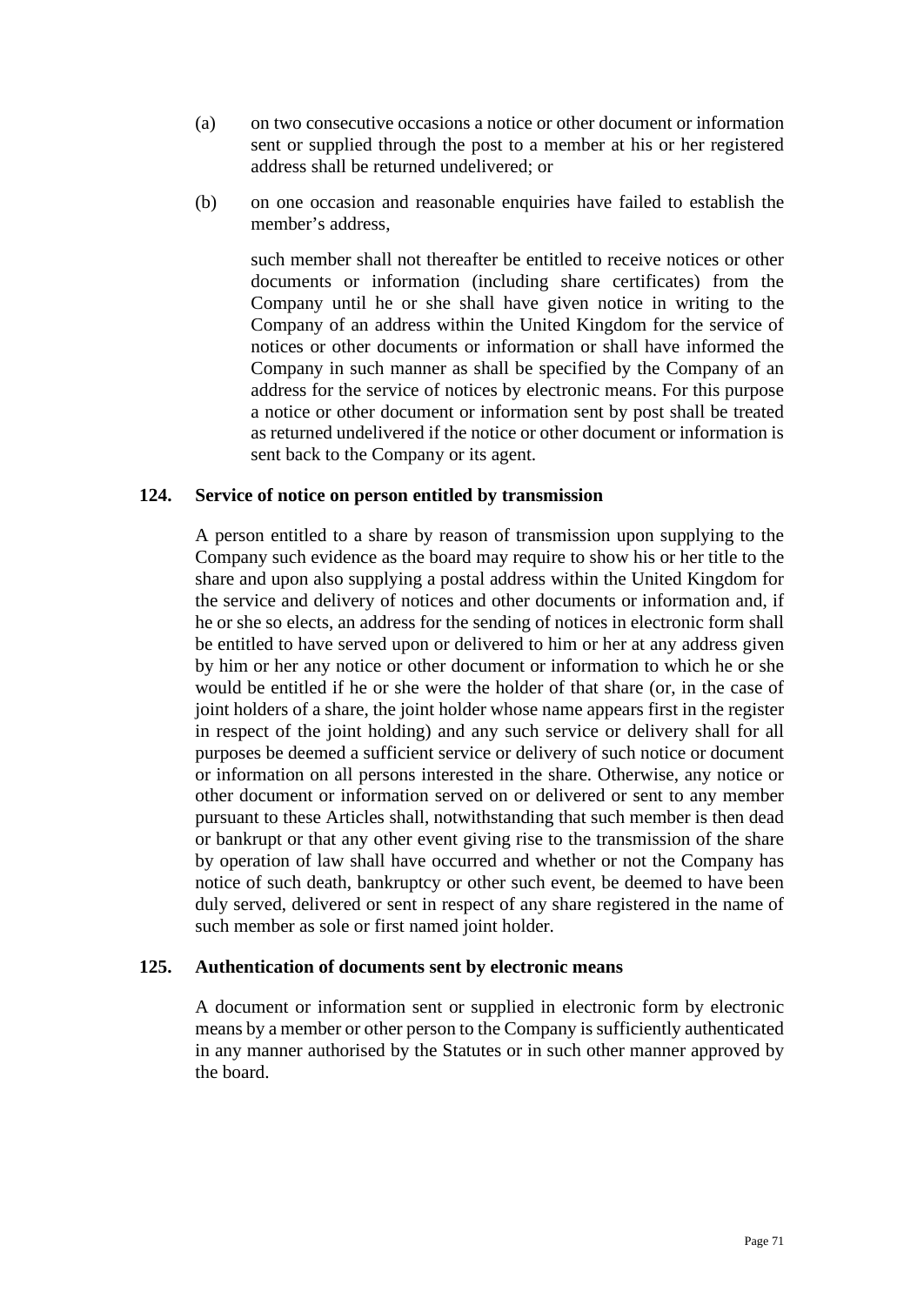- (a) on two consecutive occasions a notice or other document or information sent or supplied through the post to a member at his or her registered address shall be returned undelivered; or
- (b) on one occasion and reasonable enquiries have failed to establish the member's address,

such member shall not thereafter be entitled to receive notices or other documents or information (including share certificates) from the Company until he or she shall have given notice in writing to the Company of an address within the United Kingdom for the service of notices or other documents or information or shall have informed the Company in such manner as shall be specified by the Company of an address for the service of notices by electronic means. For this purpose a notice or other document or information sent by post shall be treated as returned undelivered if the notice or other document or information is sent back to the Company or its agent.

### **124. Service of notice on person entitled by transmission**

A person entitled to a share by reason of transmission upon supplying to the Company such evidence as the board may require to show his or her title to the share and upon also supplying a postal address within the United Kingdom for the service and delivery of notices and other documents or information and, if he or she so elects, an address for the sending of notices in electronic form shall be entitled to have served upon or delivered to him or her at any address given by him or her any notice or other document or information to which he or she would be entitled if he or she were the holder of that share (or, in the case of joint holders of a share, the joint holder whose name appears first in the register in respect of the joint holding) and any such service or delivery shall for all purposes be deemed a sufficient service or delivery of such notice or document or information on all persons interested in the share. Otherwise, any notice or other document or information served on or delivered or sent to any member pursuant to these Articles shall, notwithstanding that such member is then dead or bankrupt or that any other event giving rise to the transmission of the share by operation of law shall have occurred and whether or not the Company has notice of such death, bankruptcy or other such event, be deemed to have been duly served, delivered or sent in respect of any share registered in the name of such member as sole or first named joint holder.

## **125. Authentication of documents sent by electronic means**

A document or information sent or supplied in electronic form by electronic means by a member or other person to the Company is sufficiently authenticated in any manner authorised by the Statutes or in such other manner approved by the board.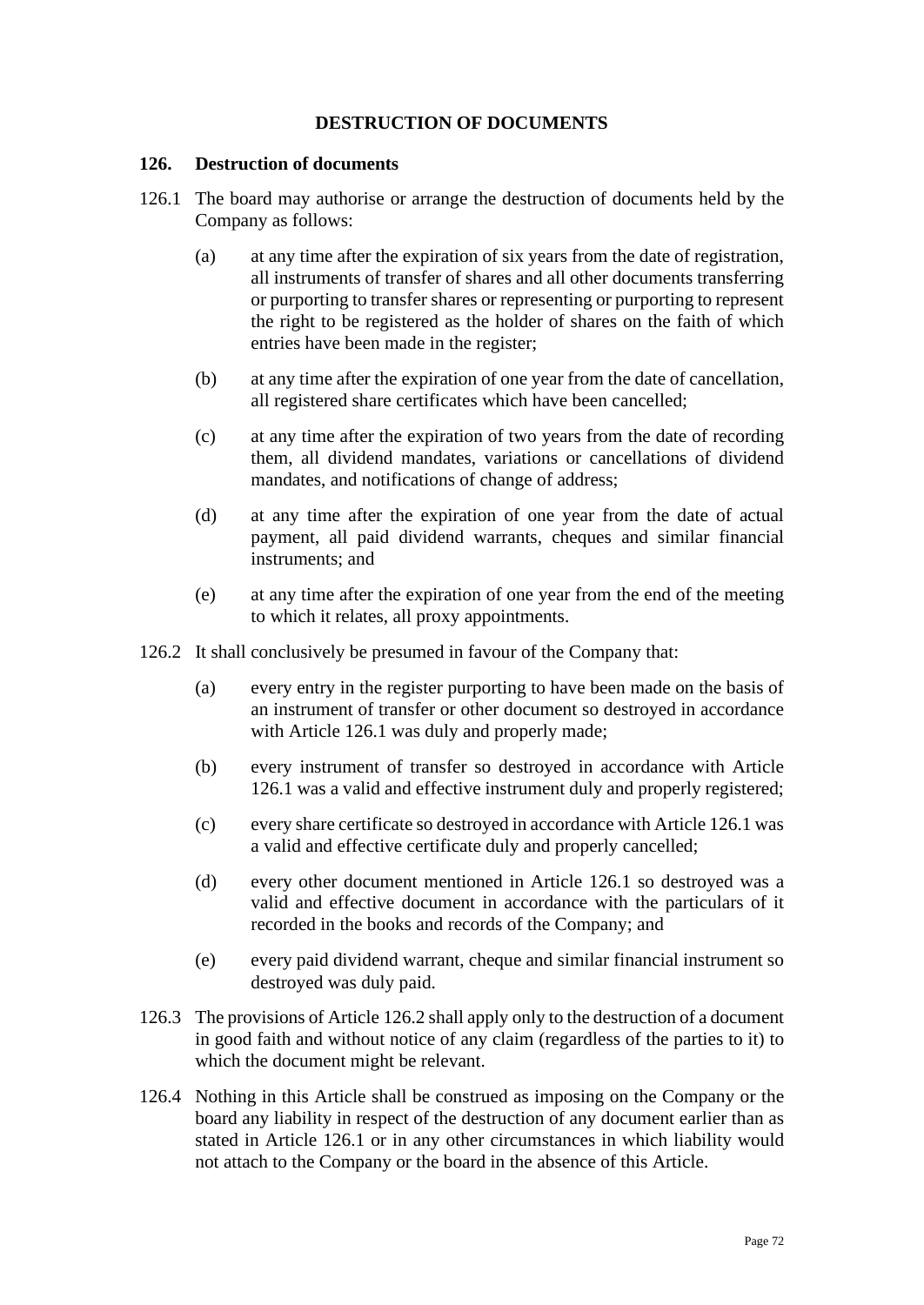## **DESTRUCTION OF DOCUMENTS**

#### **126. Destruction of documents**

- <span id="page-71-0"></span>126.1 The board may authorise or arrange the destruction of documents held by the Company as follows:
	- (a) at any time after the expiration of six years from the date of registration, all instruments of transfer of shares and all other documents transferring or purporting to transfer shares or representing or purporting to represent the right to be registered as the holder of shares on the faith of which entries have been made in the register;
	- (b) at any time after the expiration of one year from the date of cancellation, all registered share certificates which have been cancelled;
	- (c) at any time after the expiration of two years from the date of recording them, all dividend mandates, variations or cancellations of dividend mandates, and notifications of change of address;
	- (d) at any time after the expiration of one year from the date of actual payment, all paid dividend warrants, cheques and similar financial instruments; and
	- (e) at any time after the expiration of one year from the end of the meeting to which it relates, all proxy appointments.
- <span id="page-71-1"></span>126.2 It shall conclusively be presumed in favour of the Company that:
	- (a) every entry in the register purporting to have been made on the basis of an instrument of transfer or other document so destroyed in accordance with Article [126.1](#page-71-0) was duly and properly made;
	- (b) every instrument of transfer so destroyed in accordance with Article [126.1](#page-71-0) was a valid and effective instrument duly and properly registered;
	- (c) every share certificate so destroyed in accordance with Articl[e 126.1](#page-71-0) was a valid and effective certificate duly and properly cancelled;
	- (d) every other document mentioned in Article [126.1](#page-71-0) so destroyed was a valid and effective document in accordance with the particulars of it recorded in the books and records of the Company; and
	- (e) every paid dividend warrant, cheque and similar financial instrument so destroyed was duly paid.
- 126.3 The provisions of Article [126.2](#page-71-1) shall apply only to the destruction of a document in good faith and without notice of any claim (regardless of the parties to it) to which the document might be relevant.
- 126.4 Nothing in this Article shall be construed as imposing on the Company or the board any liability in respect of the destruction of any document earlier than as stated in Article [126.1](#page-71-0) or in any other circumstances in which liability would not attach to the Company or the board in the absence of this Article.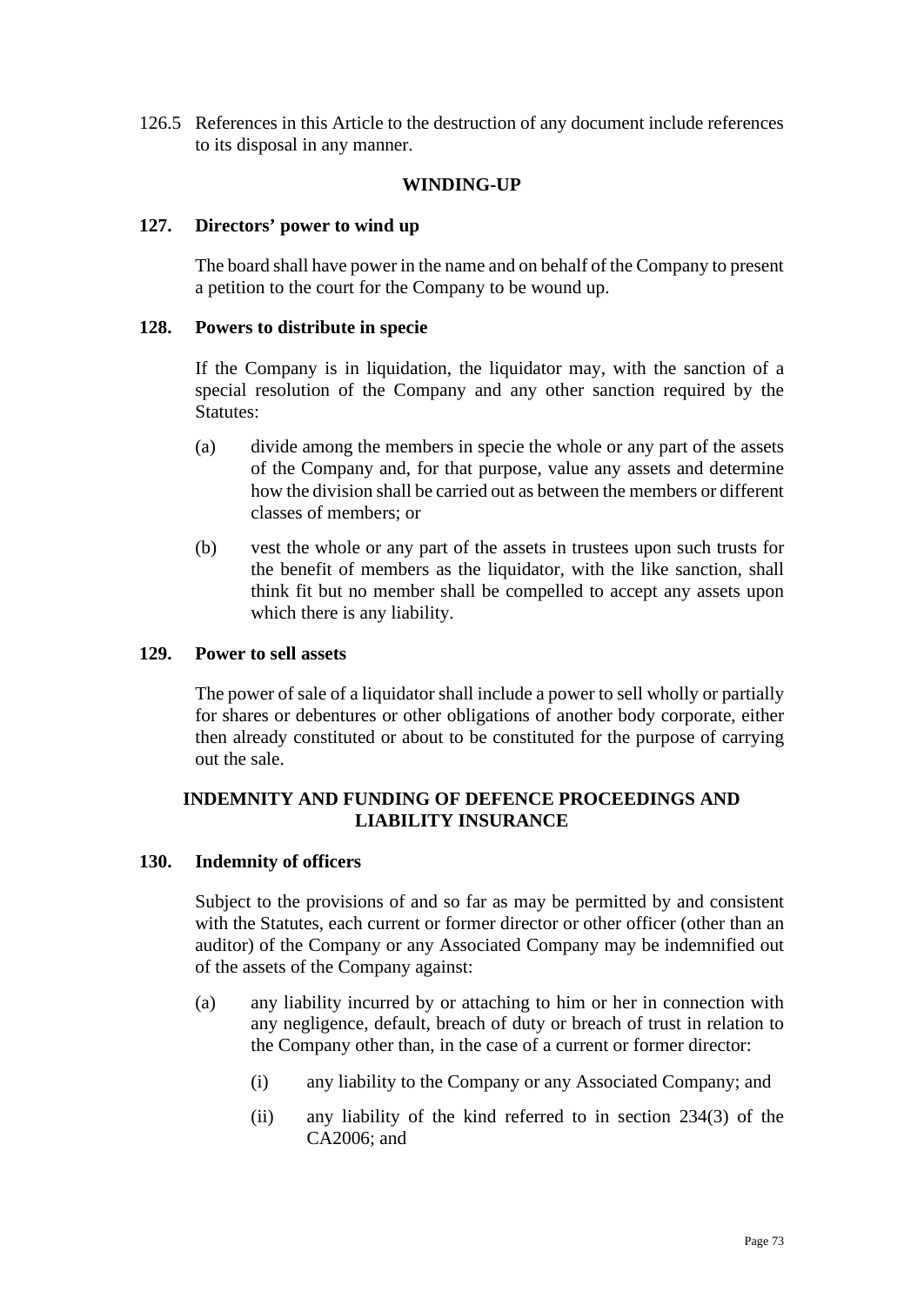126.5 References in this Article to the destruction of any document include references to its disposal in any manner.

# **WINDING-UP**

## **127. Directors' power to wind up**

The board shall have power in the name and on behalf of the Company to present a petition to the court for the Company to be wound up.

## **128. Powers to distribute in specie**

If the Company is in liquidation, the liquidator may, with the sanction of a special resolution of the Company and any other sanction required by the Statutes:

- (a) divide among the members in specie the whole or any part of the assets of the Company and, for that purpose, value any assets and determine how the division shall be carried out as between the members or different classes of members; or
- (b) vest the whole or any part of the assets in trustees upon such trusts for the benefit of members as the liquidator, with the like sanction, shall think fit but no member shall be compelled to accept any assets upon which there is any liability.

### **129. Power to sell assets**

The power of sale of a liquidator shall include a power to sell wholly or partially for shares or debentures or other obligations of another body corporate, either then already constituted or about to be constituted for the purpose of carrying out the sale.

## **INDEMNITY AND FUNDING OF DEFENCE PROCEEDINGS AND LIABILITY INSURANCE**

## **130. Indemnity of officers**

Subject to the provisions of and so far as may be permitted by and consistent with the Statutes, each current or former director or other officer (other than an auditor) of the Company or any Associated Company may be indemnified out of the assets of the Company against:

- <span id="page-72-0"></span>(a) any liability incurred by or attaching to him or her in connection with any negligence, default, breach of duty or breach of trust in relation to the Company other than, in the case of a current or former director:
	- (i) any liability to the Company or any Associated Company; and
	- (ii) any liability of the kind referred to in section 234(3) of the CA2006; and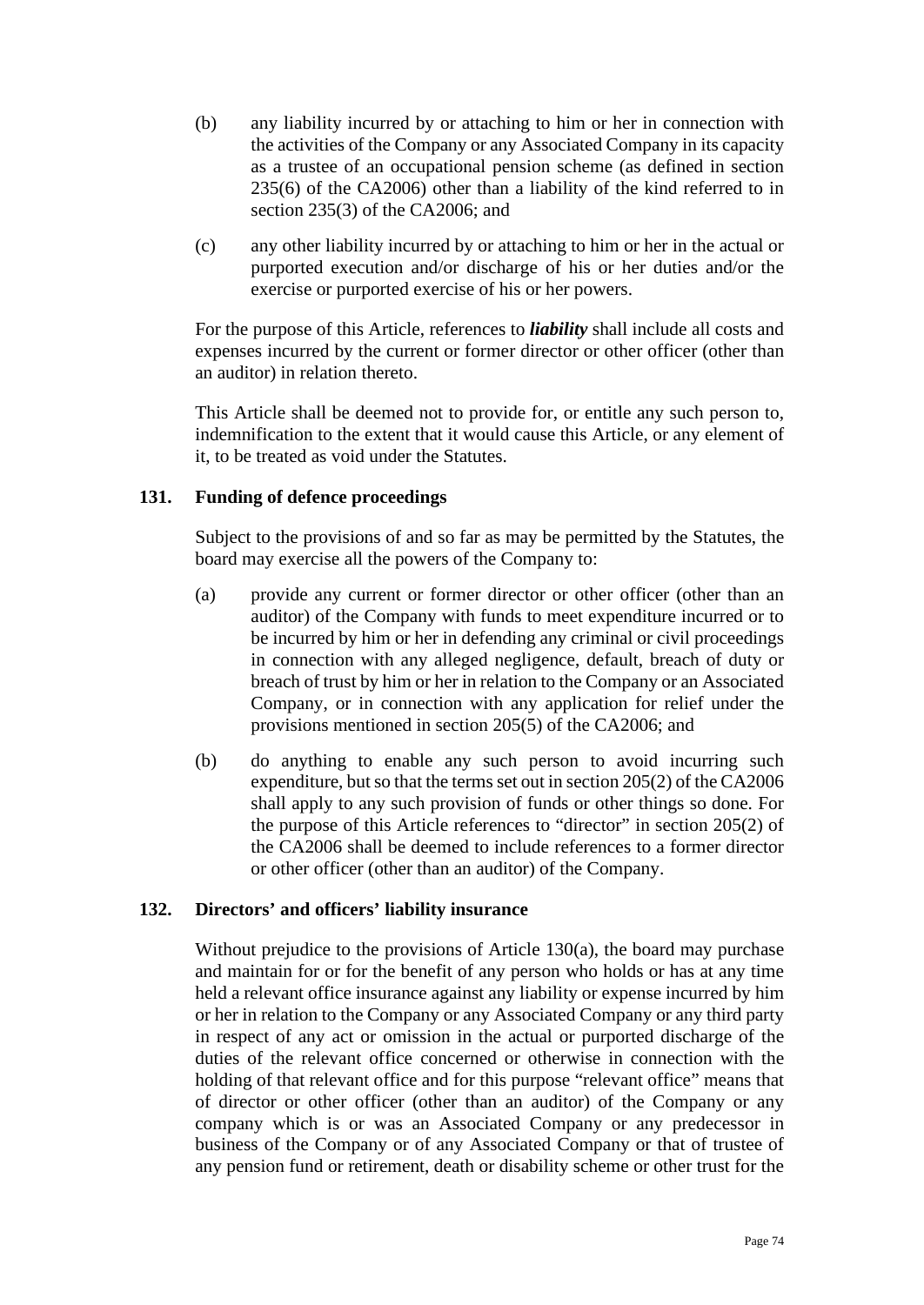- (b) any liability incurred by or attaching to him or her in connection with the activities of the Company or any Associated Company in its capacity as a trustee of an occupational pension scheme (as defined in section 235(6) of the CA2006) other than a liability of the kind referred to in section 235(3) of the CA2006; and
- (c) any other liability incurred by or attaching to him or her in the actual or purported execution and/or discharge of his or her duties and/or the exercise or purported exercise of his or her powers.

For the purpose of this Article, references to *liability* shall include all costs and expenses incurred by the current or former director or other officer (other than an auditor) in relation thereto.

This Article shall be deemed not to provide for, or entitle any such person to, indemnification to the extent that it would cause this Article, or any element of it, to be treated as void under the Statutes.

## **131. Funding of defence proceedings**

Subject to the provisions of and so far as may be permitted by the Statutes, the board may exercise all the powers of the Company to:

- (a) provide any current or former director or other officer (other than an auditor) of the Company with funds to meet expenditure incurred or to be incurred by him or her in defending any criminal or civil proceedings in connection with any alleged negligence, default, breach of duty or breach of trust by him or her in relation to the Company or an Associated Company, or in connection with any application for relief under the provisions mentioned in section 205(5) of the CA2006; and
- (b) do anything to enable any such person to avoid incurring such expenditure, but so that the terms set out in section 205(2) of the CA2006 shall apply to any such provision of funds or other things so done. For the purpose of this Article references to "director" in section 205(2) of the CA2006 shall be deemed to include references to a former director or other officer (other than an auditor) of the Company.

## **132. Directors' and officers' liability insurance**

Without prejudice to the provisions of Article [130\(a\),](#page-72-0) the board may purchase and maintain for or for the benefit of any person who holds or has at any time held a relevant office insurance against any liability or expense incurred by him or her in relation to the Company or any Associated Company or any third party in respect of any act or omission in the actual or purported discharge of the duties of the relevant office concerned or otherwise in connection with the holding of that relevant office and for this purpose "relevant office" means that of director or other officer (other than an auditor) of the Company or any company which is or was an Associated Company or any predecessor in business of the Company or of any Associated Company or that of trustee of any pension fund or retirement, death or disability scheme or other trust for the